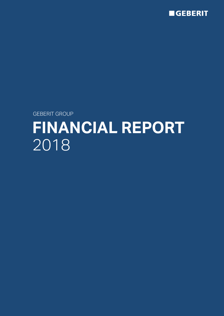

GEBERIT GROUP

# 2018 **FINANCIAL REPORT**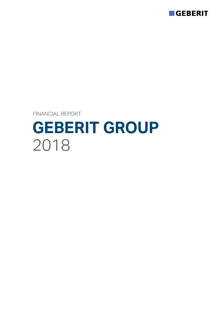

FINANCIAL REPORT

# **GEBERIT GROUP** 2018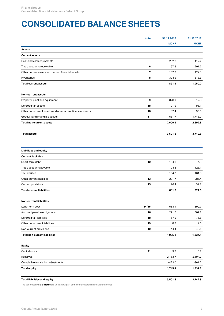# <span id="page-2-0"></span>**CONSOLIDATED BALANCE SHEETS**

|                                                           | <b>Note</b> | 31.12.2018  | 31.12.2017  |
|-----------------------------------------------------------|-------------|-------------|-------------|
|                                                           |             | <b>MCHF</b> | <b>MCHF</b> |
| Assets                                                    |             |             |             |
| <b>Current assets</b>                                     |             |             |             |
| Cash and cash equivalents                                 |             | 282.2       | 412.7       |
| Trade accounts receivable                                 | 6           | 197.5       | 201.7       |
| Other current assets and current financial assets         | 7           | 107.3       | 122.3       |
| Inventories                                               | 8           | 304.9       | 313.3       |
| <b>Total current assets</b>                               |             | 891.9       | 1,050.0     |
| Non-current assets                                        |             |             |             |
| Property, plant and equipment                             | 9           | 828.9       | 812.8       |
| Deferred tax assets                                       | 18          | 91.9        | 96.1        |
| Other non-current assets and non-current financial assets | 10          | 37.4        | 35.0        |
| Goodwill and intangible assets                            | 11          | 1,651.7     | 1,748.9     |
| <b>Total non-current assets</b>                           |             | 2,609.9     | 2,692.8     |
| <b>Total assets</b>                                       |             | 3,501.8     | 3,742.8     |
| <b>Liabilities and equity</b>                             |             |             |             |
| <b>Current liabilities</b>                                |             |             |             |
| Short-term debt                                           | 12          | 154.3       | 4.5         |
| Trade accounts payable                                    |             | 94.8        | 126.1       |
| <b>Tax liabilities</b>                                    |             | 104.0       | 101.8       |
| Other current liabilities                                 | 13          | 281.7       | 286.4       |
| Current provisions                                        | 13          | 26.4        | 52.7        |
| <b>Total current liabilities</b>                          |             | 661.2       | 571.5       |
| Non-current liabilities                                   |             |             |             |
| Long-term debt                                            | 14/15       | 683.1       | 890.7       |
| Accrued pension obligations                               | 16          | 291.5       | 309.2       |
| Deferred tax liabilities                                  | 18          | 67.9        | 76.5        |
| Other non-current liabilities                             | 19          | 8.3         | 9.6         |
| Non-current provisions                                    | 19          | 44.4        | 48.1        |
| <b>Total non-current liabilities</b>                      |             | 1,095.2     | 1,334.1     |
| <b>Equity</b>                                             |             |             |             |
| Capital stock                                             | 21          | 3.7         | 3.7         |
| Reserves                                                  |             | 2,163.7     | 2,194.7     |
| Cumulative translation adjustments                        |             | $-422.0$    | $-361.2$    |
| <b>Total equity</b>                                       |             | 1,745.4     | 1,837.2     |
| <b>Total liabilities and equity</b>                       |             | 3,501.8     | 3,742.8     |

The accompanying **[Notes](#page-7-0)** are an integral part of the consolidated financial statements. [\\$](#page-7-0)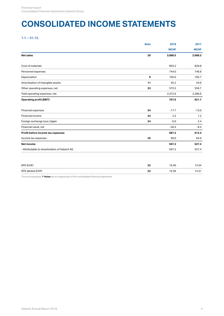# <span id="page-3-0"></span>**CONSOLIDATED INCOME STATEMENTS**

**1.1. – 31.12.**

|                                              | <b>Note</b> | 2018        | 2017        |
|----------------------------------------------|-------------|-------------|-------------|
|                                              |             | <b>MCHF</b> | <b>MCHF</b> |
| <b>Net sales</b>                             | 29          | 3,080.5     | 2,908.3     |
| Cost of materials                            |             | 893.2       | 829.8       |
| Personnel expenses                           |             | 744.0       | 746.8       |
| Depreciation                                 | 9           | 105.0       | 105.7       |
| Amortisation of intangible assets            | 11          | 55.2        | 44.6        |
| Other operating expenses, net                | 23          | 575.5       | 559.7       |
| Total operating expenses, net                |             | 2,372.9     | 2,286.6     |
| <b>Operating profit (EBIT)</b>               |             | 707.6       | 621.7       |
| Financial expenses                           | 24          | $-17.7$     | $-13.0$     |
| Financial income                             | 24          | 2.3         | 1.2         |
| Foreign exchange loss (-)/gain               | 24          | $-5.0$      | 2.4         |
| Financial result, net                        |             | $-20.4$     | $-9.4$      |
| Profit before income tax expenses            |             | 687.2       | 612.3       |
| Income tax expenses                          | 25          | 90.0        | 84.9        |
| Net income                                   |             | 597.2       | 527.4       |
| - Attributable to shareholders of Geberit AG |             | 597.2       | 527.4       |

| EPS (CHF)                 | …<br>--                        | . .<br>$\sqrt{2}$<br>16.40 | ж.<br>∙ت.+               |
|---------------------------|--------------------------------|----------------------------|--------------------------|
| d (CHF)<br>EPS diluted (C | $\overline{\phantom{a}}$<br>-- | 6.20<br>פט.סו              | $\sim$<br>ں. +<br>$\sim$ |

The accompanying  $\rightarrow$  **[Notes](#page-7-0)** are an integral part of the consolidated financial statements.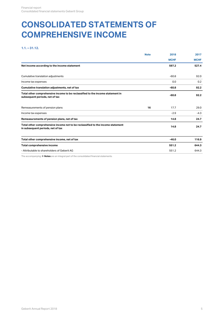# <span id="page-4-0"></span>**CONSOLIDATED STATEMENTS OF COMPREHENSIVE INCOME**

# **1.1. – 31.12.**

|                                                                                                                      | <b>Note</b> | 2018        | 2017        |
|----------------------------------------------------------------------------------------------------------------------|-------------|-------------|-------------|
|                                                                                                                      |             | <b>MCHF</b> | <b>MCHF</b> |
| Net income according to the income statement                                                                         |             | 597.2       | 527.4       |
| Cumulative translation adjustments                                                                                   |             | $-60.8$     | 92.0        |
| Income tax expenses                                                                                                  |             | 0.0         | 0.2         |
| Cumulative translation adjustments, net of tax                                                                       |             | -60.8       | 92.2        |
| Total other comprehensive income to be reclassified to the income statement in<br>subsequent periods, net of tax     |             | $-60.8$     | 92.2        |
| Remeasurements of pension plans                                                                                      | 16          | 17.7        | 29.0        |
| Income tax expenses                                                                                                  |             | $-2.9$      | $-4.3$      |
| Remeasurements of pension plans, net of tax                                                                          |             | 14.8        | 24.7        |
| Total other comprehensive income not to be reclassified to the income statement<br>in subsequent periods, net of tax |             | 14.8        | 24.7        |
| Total other comprehensive income, net of tax                                                                         |             | $-46.0$     | 116.9       |
| Total comprehensive income                                                                                           |             | 551.2       | 644.3       |
| - Attributable to shareholders of Geberit AG                                                                         |             | 551.2       | 644.3       |
| The accompanying $\rightarrow$ Notes are an integral part of the consolidated financial statements.                  |             |             |             |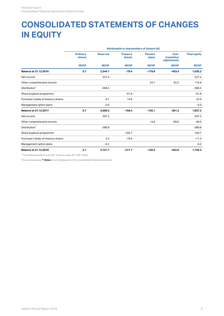# **CONSOLIDATED STATEMENTS OF CHANGES IN EQUITY**

| <b>Ordinary</b><br><b>Total equity</b><br>Cum.<br><b>Reserves</b><br><b>Treasury</b><br><b>Pension</b><br>translation<br>shares<br>shares<br>plans<br>adjustments |
|-------------------------------------------------------------------------------------------------------------------------------------------------------------------|
|                                                                                                                                                                   |
| <b>MCHF</b><br><b>MCHF</b><br><b>MCHF</b><br><b>MCHF</b><br><b>MCHF</b><br><b>MCHF</b>                                                                            |
| <b>Balance at 31.12.2016</b><br>3.7<br>2,344.1<br>$-79.4$<br>$-179.8$<br>$-453.4$<br>1,635.2                                                                      |
| 527.4<br>527.4<br>Net income                                                                                                                                      |
| Other comprehensive income<br>24.7<br>92.2<br>116.9                                                                                                               |
| Distribution <sup>1</sup><br>$-368.4$<br>$-368.4$                                                                                                                 |
| $-91.8$<br>Share buyback programme<br>$-91.8$                                                                                                                     |
| 8.1<br>14.8<br>22.9<br>Purchase (-)/sale of treasury shares                                                                                                       |
| Management option plans<br>$-5.0$<br>$-5.0$                                                                                                                       |
| 3.7<br><b>Balance at 31.12.2017</b><br>2,506.2<br>$-156.4$<br>$-155.1$<br>$-361.2$<br>1,837.2                                                                     |
| Net income<br>597.2<br>597.2                                                                                                                                      |
| 14.8<br>Other comprehensive income<br>$-60.8$<br>$-46.0$                                                                                                          |
| Distribution <sup>1</sup><br>$-380.8$<br>$-380.8$                                                                                                                 |
| $-184.7$<br>$-184.7$<br>Share buyback programme                                                                                                                   |
| 5.3<br>Purchase (-)/sale of treasury shares<br>$-76.6$<br>$-71.3$                                                                                                 |
| $-6.2$<br>$-6.2$<br>Management option plans                                                                                                                       |
| 3.7<br><b>Balance at 31.12.2018</b><br>2,721.7<br>$-417.7$<br>$-140.3$<br>$-422.0$<br>1,745.4                                                                     |

<sup>1</sup> The dividend (ex2017) was CHF 10.40 per share (PY: CHF 10.00).

The accompanying  $\rightarrow$  **[Notes](#page-7-0)** are an integral part of the consolidated financial statements.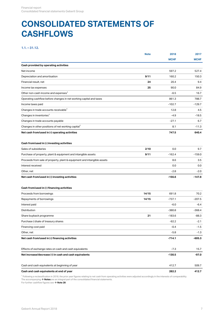# **CONSOLIDATED STATEMENTS OF CASHFLOWS**

# **1.1. – 31.12.**

|                                                                         | <b>Note</b> | 2018        | 2017        |
|-------------------------------------------------------------------------|-------------|-------------|-------------|
|                                                                         |             | <b>MCHF</b> | <b>MCHF</b> |
| Cash provided by operating activities                                   |             |             |             |
| Net income                                                              |             | 597.2       | 527.4       |
| Depreciation and amortisation                                           | 9/11        | 160.2       | 150.3       |
| Financial result, net                                                   | 24          | 20.4        | 9.4         |
| Income tax expenses                                                     | 25          | 90.0        | 84.9        |
| Other non-cash income and expenses <sup>1</sup>                         |             | $-6.5$      | 16.7        |
| Operating cashflow before changes in net working capital and taxes      |             | 861.3       | 788.7       |
| Income taxes paid                                                       |             | $-102.7$    | $-129.7$    |
| Changes in trade accounts receivable <sup>1</sup>                       |             | 12.8        | 4.5         |
| Changes in inventories <sup>1</sup>                                     |             | $-4.9$      | $-18.5$     |
| Changes in trade accounts payable                                       |             | $-27.1$     | 6.7         |
| Changes in other positions of net working capital <sup>1</sup>          |             | 8.1         | $-11.3$     |
| Net cash from/used in (-) operating activities                          |             | 747.5       | 640.4       |
| Cash from/used in (-) investing activities                              |             |             |             |
| Sales of subsidiaries                                                   | 2/10        | 0.0         | 9.7         |
| Purchase of property, plant & equipment and intangible assets           | 9/11        | $-162.4$    | $-159.0$    |
| Proceeds from sale of property, plant & equipment and intangible assets |             | 8.6         | 3.5         |
| Interest received                                                       |             | 0.0         | 0.0         |
| Other, net                                                              |             | $-2.8$      | $-2.0$      |
| Net cash from/used in (-) investing activities                          |             | $-156.6$    | $-147.8$    |
| Cash from/used in (-) financing activities                              |             |             |             |
| Proceeds from borrowings                                                | 14/15       | 691.8       | 70.2        |
| Repayments of borrowings                                                | 14/15       | $-737.1$    | $-207.5$    |
| Interest paid                                                           |             | $-6.0$      | $-6.4$      |
| Distribution                                                            |             | $-380.8$    | $-368.4$    |
| Share buyback programme                                                 | 21          | $-183.6$    | $-88.3$     |
| Purchase (-)/sale of treasury shares                                    |             | $-92.2$     | $-2.1$      |
| Financing cost paid                                                     |             | $-0.4$      | $-1.5$      |
| Other, net                                                              |             | $-5.8$      | $-1.3$      |
| Net cash from/used in (-) financing activities                          |             | $-714.1$    | $-605.3$    |
|                                                                         |             |             |             |
| Effects of exchange rates on cash and cash equivalents                  |             | $-7.3$      | 15.7        |
| Net increase/decrease (-) in cash and cash equivalents                  |             | $-130.5$    | $-97.0$     |
| Cash and cash equivalents at beginning of year                          |             | 412.7       | 509.7       |
| Cash and cash equivalents at end of year                                |             | 282.2       | 412.7       |

 Following a reclassification in 2018, the prior year figures relating to net cash from operating activities were adjusted accordingly in the interests of comparability. The accompanying **[Notes](#page-7-0)** are an integral part of the consolidated financial statements.  $1 \epsilon$  if an idea a reached anti-resolution for  $\rightarrow$  Notes are an integral part of the consolidated financial statements.

For further cashflow figures see  $\rightarrow$  **[Note 28](#page-37-0)**  $\rightarrow$  Note 28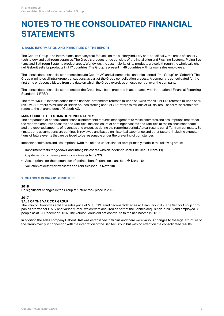# <span id="page-7-0"></span>**NOTES TO THE CONSOLIDATED FINANCIAL STATEMENTS**

# <span id="page-7-2"></span>**1. BASIC INFORMATION AND PRINCIPLES OF THE REPORT**

The Geberit Group is an international company that focuses on the sanitary industry and, specifically, the areas of sanitary technology and bathroom ceramics. The Group's product range consists of the Installation and Flushing Systems, Piping Systems and Bathroom Systems product areas. Worldwide, the vast majority of its products are sold through the wholesale channel. Geberit sells its products in 117 countries. The Group is present in 49 countries with its own sales employees.

The consolidated financial statements include Geberit AG and all companies under its control ("the Group" or "Geberit"). The Group eliminates all intra-group transactions as part of the Group consolidation process. A company is consolidated for the first time or deconsolidated from the date on which the Group exercises or loses control over the company.

The consolidated financial statements of the Group have been prepared in accordance with International Financial Reporting Standards ("IFRS").

The term "MCHF" in these consolidated financial statements refers to millions of Swiss francs, "MEUR" refers to millions of euros, "MGBP" refers to millions of British pounds sterling and "MUSD" refers to millions of US dollars. The term "shareholders" refers to the shareholders of Geberit AG.

#### **MAIN SOURCES OF ESTIMATION UNCERTAINTY**

The preparation of consolidated financial statements requires management to make estimates and assumptions that affect the reported amounts of assets and liabilities, the disclosure of contingent assets and liabilities at the balance sheet date, and the reported amounts of revenues and expenses during the reporting period. Actual results can differ from estimates. Estimates and assumptions are continually reviewed and based on historical experience and other factors, including expectations of future events that are believed to be reasonable under the prevailing circumstances.

Important estimates and assumptions (with the related uncertainties) were primarily made in the following areas:

- Impairment tests for goodwill and intangible assets with an indefinite useful life (see  $\rightarrow$  **[Note 11](#page-17-1)**)
- Capitalisation of development costs (see  $\rightarrow$  **[Note 27](#page-37-1)**)
- Assumptions for the recognition of defined benefit pension plans (see  $\rightarrow$  **[Note 16](#page-25-0)**)
- $\blacksquare$  Valuation of deferred tax assets and liabilities (see  $\rightarrow$  **[Note 18](#page-32-0)**)

#### <span id="page-7-1"></span>**2. CHANGES IN GROUP STRUCTURE**

#### **2018**

No significant changes in the Group structure took place in 2018.

#### **2017**

#### **SALE OF THE VARICOR GROUP**

The Varicor Group was sold at a sales price of MEUR 13.8 and deconsolidated as at 1 January 2017. The Varicor Group companies are Varicor S.A.S. and Varicor GmbH which were acquired as part of the Sanitec acquisition in 2015 and employed 86 people as at 31 December 2016. The Varicor Group did not contribute to the net income in 2017.

In addition the sales company Geberit UAB was established in Vilnius and there were various changes to the legal structure of the Group mainly in connection with the integration of the Sanitec Group but with no effect on the consolidated results.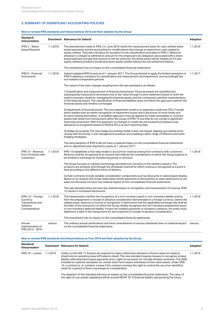# <span id="page-8-0"></span>**3. SUMMARY OF SIGNIFICANT ACCOUNTING POLICIES**

#### **New or revised IFRS standards and interpretations 2018 and their adoption by the Group**

| Standard/<br>Interpretation                                                     |          | <b>Enactment</b> Relevance for Geberit                                                                                                                                                                                                                                                                                                                                                                                                                                                                                                                                                                                                           | Adoption |
|---------------------------------------------------------------------------------|----------|--------------------------------------------------------------------------------------------------------------------------------------------------------------------------------------------------------------------------------------------------------------------------------------------------------------------------------------------------------------------------------------------------------------------------------------------------------------------------------------------------------------------------------------------------------------------------------------------------------------------------------------------------|----------|
| IFRS 2 - Share-<br>based Payment                                                | 1.1.2018 | The amendments made to IFRS 2 in June 2016 clarify the measurement basis for cash-settled share-<br>based payments and the accounting for modifications that change an award from cash-settled to<br>equity-settled. They also introduce an exception to the classification principles in IFRS 2. Where an<br>employer is obliged to withhold an amount for the employee's tax obligation associated with a share-<br>based payment and pay that amount to the tax authority, the whole award will be treated as if it was<br>equity-settled provided it would have been equity-settled without the net settlement feature.                      | 1.1.2018 |
|                                                                                 |          | This amendment has no impact on the consolidated financial statements.                                                                                                                                                                                                                                                                                                                                                                                                                                                                                                                                                                           |          |
| IFRS 9 - Financial<br>Instruments                                               | 1.1.2018 | Geberit adopted IFRS 9 early as of 1 January 2017. The Group elected to apply the limited exemption in 1.1.2017<br>IFRS 9 relating to transition for classification and measurement and impairment, and accordingly has<br>not restated comparative periods.                                                                                                                                                                                                                                                                                                                                                                                     |          |
|                                                                                 |          | The nature of the main changes resulting from the new standard is as follows:                                                                                                                                                                                                                                                                                                                                                                                                                                                                                                                                                                    |          |
|                                                                                 |          | 1) Classification and measurement of financial instruments: Financial assets are classified and<br>subsequently measured at amortised cost or fair value through income statement based on both the<br>entity's business model for managing the financial assets and the contractual cashflow characteristics<br>of the financial assets. The classification of financial liabilities does not follow the approach used for the<br>financial assets and remains unchanged.                                                                                                                                                                       |          |
|                                                                                 |          | 2) Impairment of financial assets: The new impairment model is an expected credit loss ("ECL") model<br>which implies both an earlier recognition of impairment losses and a disclosure of more timely and<br>forward-looking information. A simplified approach must be applied for trade receivables or contract<br>assets that result from transactions within the scope of IFRS 15 and that do not contain a significant<br>financing component. With this approach no changes in credit risk are tracked but instead a loss<br>allowance is recognised based on lifetime ECLs at each reporting date.                                       |          |
|                                                                                 |          | 3) Hedge accounting: The new hedge accounting model is less rule-based, aligning accounting more<br>closely with the Group's risk management practices and enabling a wider range of different economic<br>hedging strategies.                                                                                                                                                                                                                                                                                                                                                                                                                   |          |
|                                                                                 |          | The early adoption of IFRS 9 did not have a material impact on the consolidated financial statements<br>and no adjustment was required to equity at 1 January 2017.                                                                                                                                                                                                                                                                                                                                                                                                                                                                              |          |
| IFRS 15 - Revenue<br>from Contracts with<br>Customers                           | 1.1.2018 | IFRS 15 establishes a five-step model to account for revenue arising from contracts with customers.<br>Revenue shall be recognised at an amount that reflects the consideration to which the Group expects to<br>be entitled in exchange for transferring goods or services.                                                                                                                                                                                                                                                                                                                                                                     | 1.1.2018 |
|                                                                                 |          | The Group focuses on sanitary technology and bathroom ceramics in the sanitary industry. The<br>products are primarily sold through the wholesale channel for which revenue is recognised at a point in<br>time according to the different terms of delivery.                                                                                                                                                                                                                                                                                                                                                                                    |          |
|                                                                                 |          | Certain contracts include variable consideration components such as discounts or sales based rebates.<br>Based on an analysis the Group reallocated certain payments to third parties as sales deductions to net<br>sales but this does not have any material impact on the consolidated financial statements.                                                                                                                                                                                                                                                                                                                                   |          |
|                                                                                 |          | The new standard does not have any material impact on recognition and measurement of revenue. IFRS<br>15 results in increased disclosures.                                                                                                                                                                                                                                                                                                                                                                                                                                                                                                       |          |
| IFRIC 22 - Foreign<br>Currency<br>Transactions and<br>Advance<br>Considerations | 1.1.2018 | The interpretation clarifies the recognition of a non-monetary asset or non-monetary liability arising<br>from the prepayment or receipt of advance consideration denominated in a foreign currency, before the<br>related asset, expense or income is recognised. It determines that the applicable exchange rate shall be<br>the date of the transaction on which the Group initially recognises the non-monetary prepayment asset<br>or non-monetary deferred liability. If there are multiple payments or receipts in advance, the entity must<br>determine a date of the transactions for each payment or receipt of advance consideration. | 1.1.2018 |
|                                                                                 |          | The amendment has no impact on the consolidated financial statements.                                                                                                                                                                                                                                                                                                                                                                                                                                                                                                                                                                            |          |
| Annual<br>improvements of<br>IFRS 2014 - 2016                                   | various  | The ordinary annual clarifications and minor amendments of various standards have no material impact various<br>on the consolidated financial statements.                                                                                                                                                                                                                                                                                                                                                                                                                                                                                        |          |

# **New or revised IFRS standards and interpretations as from 2019 and their adoption by the Group**

| Standard/<br>Interpretation |          | <b>Enactment</b> Relevance for Geberit                                                                                                                                                                                                                                                                                                                                                                                                                                                                                                                                                                                         | <b>Adoption</b> |
|-----------------------------|----------|--------------------------------------------------------------------------------------------------------------------------------------------------------------------------------------------------------------------------------------------------------------------------------------------------------------------------------------------------------------------------------------------------------------------------------------------------------------------------------------------------------------------------------------------------------------------------------------------------------------------------------|-----------------|
| IFRS 16 - Leases            | 1.1.2019 | Under current IAS 17 lessees are required to make a distinction between a finance lease (on balance<br>sheet) and an operating lease (off balance sheet). The new standard requires lessees to recognise a lease<br>liability reflecting future lease payments and a 'right-of-use asset' for virtually all lease contracts. The IASB<br>included an optional exemption for certain short-term leases and leases of low-value assets. Under IFRS<br>16, a contract is, or contains, a lease if the contract conveys the right to control the use of an identified<br>asset for a period of time in exchange for consideration. | 1.1.2019        |
|                             |          | The edention of this standard will be us an impost on the especial deted financial statements. The value of                                                                                                                                                                                                                                                                                                                                                                                                                                                                                                                    |                 |

The adoption of this standard will have an impact on the consolidated financial statements. The value of the right-of-use assets capitalised will be around MCHF 70. A financial liability representing the future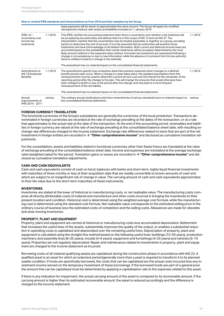#### **New or revised IFRS standards and interpretations as from 2019 and their adoption by the Group**

|                                                              |          | lease payments will be shown at approximately the same amount. The Group will apply the modified<br>retrospective method, with assets and liabilities included on 1 January 2019.                                                                                                                                                                                                                                                                                                                                                                                                                                                                                                                                                                                                                                                                                                                                                         |          |
|--------------------------------------------------------------|----------|-------------------------------------------------------------------------------------------------------------------------------------------------------------------------------------------------------------------------------------------------------------------------------------------------------------------------------------------------------------------------------------------------------------------------------------------------------------------------------------------------------------------------------------------------------------------------------------------------------------------------------------------------------------------------------------------------------------------------------------------------------------------------------------------------------------------------------------------------------------------------------------------------------------------------------------------|----------|
| IFRIC $23 -$<br>Uncertainty over<br>income tax<br>treatments | 1.1.2019 | This IFRIC clarifies the accounting treatment when there is uncertainty over whether a tax treatment will<br>be accepted by tax authorities and defines that it is in the scope of IAS 12 and not IAS 37. The<br>interpretation clarifies that the uncertainties may be treated separately or together as a group, providing<br>factors to determine the unit of account. It is to be assumed that tax authorities will examine those<br>treatments and have full knowledge of all related information. Both current and deferred income taxes are<br>accounted based on the probabilities that certain treatments will be accepted, determined by the most<br>likely amount method or the expected value method. Uncertain tax treatments are reassessed following a<br>change in circumstances or due to new information, while the absence of comment from the tax authority<br>alone is unlikely to lead to a change in the estimate. | 1.1.2019 |
|                                                              |          | The amendment has no material impact on the consolidated financial statements.                                                                                                                                                                                                                                                                                                                                                                                                                                                                                                                                                                                                                                                                                                                                                                                                                                                            |          |
| Amendments to<br>IAS 19 Employee<br><b>Benefits</b>          | 1.1.2019 | The amendments specify how companies determine pension expenses when changes to a defined<br>benefit pension plan occur. When a change to a plan takes place, the updated assumptions from this<br>remeasurement must be used to determine current service cost and net interest for the remainder of the<br>reporting period after the change to the plan. This will change the amounts that would otherwise have<br>been charged to profit or loss in the period after the change, and may lead to a more frequent<br>remeasurement of the net liability.                                                                                                                                                                                                                                                                                                                                                                               | 1.1.2019 |
|                                                              |          | This amendment has no material impact on the consolidated financial statements.                                                                                                                                                                                                                                                                                                                                                                                                                                                                                                                                                                                                                                                                                                                                                                                                                                                           |          |
| Annual<br>improvements of<br>IFRS 2015 - 2017                | various  | The ordinary annual clarifications and minor amendments of various standards have no material impact on various<br>the consolidated financial statements.                                                                                                                                                                                                                                                                                                                                                                                                                                                                                                                                                                                                                                                                                                                                                                                 |          |
|                                                              |          |                                                                                                                                                                                                                                                                                                                                                                                                                                                                                                                                                                                                                                                                                                                                                                                                                                                                                                                                           |          |

#### **FOREIGN CURRENCY TRANSLATION**

The functional currencies of the Group's subsidiaries are generally the currencies of the local jurisdiction. Transactions denominated in foreign currencies are recorded at the rate of exchange prevailing at the dates of the transaction, or at a rate that approximates to the actual rate at the date of the transaction. At the end of the accounting period, receivables and liabilities in foreign currency are valued at the rate of exchange prevailing at the consolidated balance sheet date, with resulting exchange rate differences charged to the income statement. Exchange rate differences related to loans that are part of the net investment in foreign entities are recorded in **→ ["Other comprehensive income"](#page-4-0)** and disclosed as cumulative translation adjustments.

For the consolidation, assets and liabilities stated in functional currencies other than Swiss francs are translated at the rates of exchange prevailing at the consolidated balance sheet date. Income and expenses are translated at the average exchange rates (weighted sales) for the period. Translation gains or losses are recorded in **→ ["Other comprehensive income"](#page-4-0)** and disclosed as cumulative translation adjustments.

#### **CASH AND CASH EQUIVALENTS**

Cash and cash equivalents consist of cash on hand, balances with banks and short-term, highly liquid financial investments with maturities of three months or less at their acquisition date that are readily convertible to known amounts of cash and which are subject to an insignificant risk of change in value. The carrying amount of cash and cash equivalents approximates to their fair value due to the short-term maturities of these instruments.

#### **INVENTORIES**

Inventories are stated at the lower of historical or manufacturing costs, or net realisable value. The manufacturing costs comprise all directly attributable costs of material and manufacture and other costs incurred in bringing the inventories to their present location and condition. Historical cost is determined using the weighted average cost formula, while the manufacturing cost is determined using the standard cost formula. Net realisable value corresponds to the estimated selling price in the ordinary course of business less the estimated costs of completion and the selling costs. Allowances are made for obsolete and slow-moving inventories.

#### **PROPERTY, PLANT AND EQUIPMENT**

Property, plant and equipment are carried at historical or manufacturing costs less accumulated depreciation. Betterment that increases the useful lives of the assets, substantially improves the quality of the output, or enables a substantial reduction in operating costs is capitalised and depreciated over the remaining useful lives. Depreciation of property, plant and equipment is calculated using the straight-line method based on the following useful lives: buildings (15–50 years), production machinery and assembly lines (8–25 years), moulds (4–6 years), equipment and furnishings (4–25 years) and vehicles (5–10 years). Properties are not regularly depreciated. Repair and maintenance related to investments in property, plant and equipment are charged to the income statement as incurred.

Borrowing costs of all material qualifying assets are capitalised during the construction phase in accordance with IAS 23. A qualified asset is an asset for which an extensive period (generally more than a year) is required to transform it to its planned usable condition. If funds are specifically borrowed, the costs that can be capitalised are the actual costs incurred less any investment income earned on the temporary investment of these borrowings. If the borrowed funds are part of a general pool, the amount that can be capitalised must be determined by applying a capitalisation rate to the expenses related to this asset.

If there is any indication for impairment, the actual carrying amount of the asset is compared to its recoverable amount. If the carrying amount is higher than its estimated recoverable amount, the asset is reduced accordingly and the difference is charged to the income statement.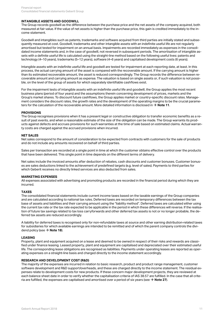#### **INTANGIBLE ASSETS AND GOODWILL**

The Group records goodwill as the difference between the purchase price and the net assets of the company acquired, both measured at fair value. If the value of net assets is higher than the purchase price, this gain is credited immediately to the income statement.

Goodwill and intangibles such as patents, trademarks and software acquired from third parties are initially stated and subsequently measured at cost. Goodwill, trademarks and other intangible assets with an indefinite useful life are not regularly amortised but tested for impairment on an annual basis. Impairments are recorded immediately as expenses in the consolidated income statements and, in the case of goodwill, not reversed in subsequent periods. The amortisation of intangible assets with a definite useful life is calculated using the straight-line method based on the following useful lives: patents and technology (4–10 years), trademarks (5–12 years), software (4–6 years) and capitalised development costs (6 years).

Intangible assets with an indefinite useful life and goodwill are tested for impairment at each reporting date, at least. In this process, the actual carrying amount of the asset is compared with the recoverable amount. If the carrying amount is higher than its estimated recoverable amount, the asset is reduced correspondingly. The Group records the difference between recoverable amount and carrying amount as expense. The valuation is based on single assets or, if such valuation is not possible, on the level of the group of assets for which separately identifiable cashflows exist.

For the impairment tests of intangible assets with an indefinite useful life and goodwill, the Group applies the most recent business plans (period of four years) and the assumptions therein concerning development of prices, markets and the Group's market shares. To discount future cashflows, the Group applies market or country-specific discount rates. Management considers the discount rates, the growth rates and the development of the operating margins to be the crucial parameters for the calculation of the recoverable amount. More detailed information is disclosed in  $\rightarrow$  **[Note 11](#page-17-1)**.

#### **PROVISIONS**

The Group recognises provisions when it has a present legal or constructive obligation to transfer economic benefits as a result of past events, and when a reasonable estimate of the size of the obligation can be made. The Group warrants its products against defects and accrues provisions for such warranties at the time of sale based on estimated claims. Actual warranty costs are charged against the accrued provisions when incurred.

#### **NET SALES**

Net sales correspond to the amount of consideration to be expected from contracts with customers for the sale of products and do not include any amounts recovered on behalf of third parties.

Sales per transaction are recorded at a single point in time at which the customer obtains effective control over the products that have been delivered. This single point in time depends on the different terms of delivery.

Net sales include the invoiced amounts after deduction of rebates, cash discounts and customer bonuses. Customer bonuses are sales deductions linked to the achievement of predefined targets (e.g. level of sales). Payments to third parties for which Geberit receives no directly linked services are also deducted from sales.

#### **MARKETING EXPENSES**

All expenses associated with advertising and promoting products are recorded in the financial period during which they are incurred.

#### **TAXES**

The consolidated financial statements include current income taxes based on the taxable earnings of the Group companies and are calculated according to national tax rules. Deferred taxes are recorded on temporary differences between the tax base of assets and liabilities and their carrying amount using the "liability method". Deferred taxes are calculated either using the current tax rate or the tax rate expected to be applicable in the period in which these differences will reverse. If the realisation of future tax savings related to tax loss carryforwards and other deferred tax assets is not or no longer probable, the deferred tax assets are reduced accordingly.

A liability for deferred taxes is recognised only for non-refundable taxes at source and other earning distribution-related taxes for subsidiaries for which available earnings are intended to be remitted and of which the parent company controls the dividend policy (see  $\rightarrow$  **[Note 18](#page-32-0)**).

#### **LEASING**

Property, plant and equipment acquired on a lease and deemed to be owned in respect of their risks and rewards are classified under finance leasing. Leased property, plant and equipment are capitalised and depreciated over their estimated useful life. The corresponding lease obligations are recognised as liabilities. Payments under operating leases are reported as operating expenses on a straight-line basis and charged directly to the income statement accordingly.

#### **RESEARCH AND DEVELOPMENT COST (R&D)**

The majority of the expenses are incurred in relation to basic research, product and product range management, customer software development and R&D support/overheads, and these are charged directly to the income statement. The residual expenses relate to development costs for new products. If these concern major development projects, they are reviewed at each balance sheet date in order to verify whether the capitalisation criteria of IAS 38.57 are fulfilled. In the case that all criteria are fulfilled, the expenses are capitalised and amortised over a period of six years (see  $\rightarrow$  **[Note 27](#page-37-1)**).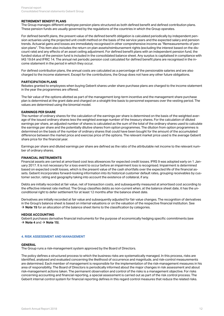#### **RETIREMENT BENEFIT PLANS**

The Group manages different employee pension plans structured as both defined benefit and defined contribution plans. These pension funds are usually governed by the regulations of the countries in which the Group operates.

For defined benefit plans, the present value of the defined benefit obligation is calculated periodically by independent pension actuaries using the projected unit credit method on the basis of the service years and the expected salary and pension trends. Actuarial gains and losses are immediately recognised in other comprehensive income as "Remeasurements of pension plans". This item also includes the return on plan assets/reimbursement rights (excluding the interest based on the discount rate) and any effects of an asset ceiling adjustment. For defined benefit plans with an independent pension fund, the funded status of the pension fund is included in the consolidated balance sheet. Any surplus is capitalised in compliance with IAS 19.64 and IFRIC 14. The annual net periodic pension cost calculated for defined benefit plans are recognised in the income statement in the period in which they occur.

For defined contribution plans, the annual costs are calculated as a percentage of the pensionable salaries and are also charged to the income statement. Except for the contributions, the Group does not have any other future obligations.

#### **PARTICIPATION PLANS**

Rebates granted to employees when buying Geberit shares under share purchase plans are charged to the income statement in the year the programmes are offered.

The fair value of the options allotted as part of the management long-term incentive and the management share purchase plan is determined at the grant date and charged on a straight-line basis to personnel expenses over the vesting period. The values are determined using the binomial model.

#### **EARNINGS PER SHARE**

The number of ordinary shares for the calculation of the earnings per share is determined on the basis of the weighted average of the issued ordinary shares less the weighted average number of the treasury shares. For the calculation of diluted earnings per share, an adjusted number of shares is calculated as the sum of the total of the ordinary shares used to calculate the earnings per share and the potentially dilutive shares from option programmes. The dilution from option programmes is determined on the basis of the number of ordinary shares that could have been bought for the amount of the accumulated difference between the market price and exercise price of the options. The relevant market price used is the average Geberit share price for the financial year.

Earnings per share and diluted earnings per share are defined as the ratio of the attributable net income to the relevant number of ordinary shares.

#### **FINANCIAL INSTRUMENTS**

Financial assets are carried at amortised cost less allowances for expected credit losses. IFRS 9 was adopted early on 1 January 2017. It is not necessary for a loss event to occur before an impairment loss is recognised. Impairment is determined based on expected credit losses, which is the present value of the cash shortfalls over the expected life of the financial assets. Geberit incorporates forward-looking information into its historical customer default rates, grouping receivables by customer sector, rating and geography taking into account the existence of collateral, if any.

Debts are initially recorded at fair value, net of transaction costs, and subsequently measured at amortised cost according to the effective interest rate method. The Group classifies debts as non-current when, at the balance sheet date, it has the unconditional right to defer settlement for at least 12 months after the balance sheet date.

Derivatives are initially recorded at fair value and subsequently adjusted for fair value changes. The recognition of derivatives in the Group's balance sheet is based on internal valuations or on the valuation of the respective financial institution. See  $\rightarrow$  **[Note 15](#page-21-1)** for an allocation of the balance sheet items to the classification by categories.

#### **HEDGE ACCOUNTING**

Geberit purchases derivative financial instruments for the purpose of economically hedging specific commitments (see  $\rightarrow$  **[Note 4](#page-11-0)** and  $\rightarrow$  **[Note 15](#page-21-1)**).

#### <span id="page-11-0"></span>**4. RISK ASSESSMENT AND MANAGEMENT**

#### **GENERAL**

The Group runs a risk-management system approved by the Board of Directors.

The policy defines a structured process to which the business risks are systematically managed. In this process, risks are identified, analysed and evaluated concerning the likelihood of occurrence and magnitude, and risk-control measurements are determined. Each member of management is responsible for the implementation of the risk-management measures in his area of responsibility. The Board of Directors is periodically informed about the major changes in risk assessment and about risk-management actions taken. The permanent observation and control of the risks is a management objective. For risks concerning accounting and financial reporting, a special assessment is carried out as part of the risk control process. The Geberit internal control system for financial reporting defines in this regard control measures that reduce the related risks.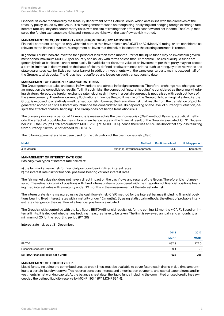Financial risks are monitored by the treasury department of the Geberit Group, which acts in line with the directives of the treasury policy issued by the Group. Risk management focuses on recognising, analysing and hedging foreign exchange rate, interest rate, liquidity and counterparty risks, with the aim of limiting their effect on cashflow and net income. The Group measures the foreign exchange rate risks and interest rate risks with the cashflow-at-risk method.

### **MANAGEMENT OF COUNTERPARTY RISKS FROM TREASURY ACTIVITIES**

Financial contracts are agreed only with third parties that have at least an A (S&P) or A2 (Moody's) rating, or are considered as relevant to the financial system. Management believes that the risk of losses from the existing contracts is remote.

In general, liquid funds are invested for a period of less than three months. Part of the liquid funds may be invested in government bonds (maximum MCHF 70 per country and usually with terms of less than 12 months). The residual liquid funds are generally held at banks on a short-term basis. To avoid cluster risks, the value of an investment per third party may not exceed a certain limit that is determined on the basis of clearly defined creditworthiness criteria such as rating, system relevance and state guarantees (e.g. for Swiss cantonal banks). In addition, investments with the same counterparty may not exceed half of the Group's total deposits. The Group has not suffered any losses on such transactions to date.

#### **MANAGEMENT OF FOREIGN EXCHANGE RATE RISK**

The Group generates sales and costs in Switzerland and abroad in foreign currencies. Therefore, exchange rate changes have an impact on the consolidated results. To limit such risks, the concept of "natural hedging" is considered as the primary hedging strategy. Hereby, the foreign exchange rate risk of cash inflows in a certain currency is neutralised with cash outflows of the same currency. Therefore, currency fluctuations influence the profit margin of the Group only to a marginal extent; i.e. the Group is exposed to a relatively small transaction risk. However, the translation risk that results from the translation of profits generated abroad can still substantially influence the consolidated results depending on the level of currency fluctuation, despite the effective "natural hedging". The Group does not hedge translation risks.

The currency risk over a period of 12 months is measured via the cashflow-at-risk (CfaR) method. By using statistical methods, the effect of probable changes in foreign exchange rates on the financial result of the Group is evaluated. On 31 December 2018, the Group's CfaR amounted to MCHF 26.5 (PY: MCHF 34.5), hence there was a 95% likelihood that any loss resulting from currency risk would not exceed MCHF 26.5.

The following parameters have been used for the calculation of the cashflow-at-risk (CfaR):

| <b>Model</b> | . <sub>v</sub> iethod        | <b>Confidence level</b> | <b>Holding period</b> |
|--------------|------------------------------|-------------------------|-----------------------|
| J. P. Morgan | Variance-covariance approach | 95%                     | ? months              |

#### **MANAGEMENT OF INTEREST RATE RISK**

Basically, two types of interest rate risk exist:

a) the fair market value risk for financial positions bearing fixed interest rates b) the interest rate risk for financial positions bearing variable interest rates

The fair market value risk does not have a direct impact on the cashflows and results of the Group. Therefore, it is not measured. The refinancing risk of positions with fixed interest rates is considered with the integration of financial positions bearing fixed interest rates with a maturity under 12 months in the measurement of the interest rate risk.

The interest rate risk is measured using the cashflow-at-risk (CfaR) method for the interest balance (including financial positions bearing fixed interest rates with a maturity under 12 months). By using statistical methods, the effect of probable interest rate changes on the cashflow of a financial position is evaluated.

The Group's risk is controlled with the key figure EBITDA/(financial result, net, for the coming 12 months + CfaR). Based on internal limits, it is decided whether any hedging measures have to be taken. The limit is reviewed annually and amounts to a minimum of 20 for the reporting period (PY: 20).

Interest rate risk as at 31 December:

| EBITDA/(Financial result, net + CfaR) | 92x         | 79x         |
|---------------------------------------|-------------|-------------|
| Financial result, net + CfaR          | 9.4         | 9.8         |
| EBITDA                                | 867.8       | 772.0       |
|                                       | <b>MCHF</b> | <b>MCHF</b> |
|                                       | 2018        | 2017        |

#### **MANAGEMENT OF LIQUIDITY RISK**

Liquid funds, including the committed unused credit lines, must be available to cover future cash drains in due time amounting to a certain liquidity reserve. This reserve considers interest and amortisation payments and capital expenditures and investments in net working capital. At the balance sheet date, the liquid funds including the committed unused credit lines exceeded the defined liquidity reserve by MCHF 193.4 (PY: MCHF 631.4).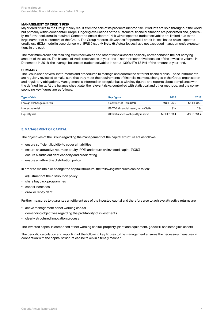#### **MANAGEMENT OF CREDIT RISK**

Major credit risks to the Group mainly result from the sale of its products (debtor risk). Products are sold throughout the world, but primarily within continental Europe. Ongoing evaluations of the customers' financial situation are performed and, generally, no further collateral is required. Concentrations of debtors' risk with respect to trade receivables are limited due to the large number of customers of the Group. The Group records allowances for potential credit losses based on an expected credit loss (ECL) model in accordance with IFRS 9 (see **→ [Note 6](#page-14-0)**). Actual losses have not exceeded management's expectations in the past.

The maximum credit risk resulting from receivables and other financial assets basically corresponds to the net carrying amount of the asset. The balance of trade receivables at year-end is not representative because of the low sales volume in December. In 2018, the average balance of trade receivables is about 139% (PY: 131%) of the amount at year-end.

#### **SUMMARY**

The Group uses several instruments and procedures to manage and control the different financial risks. These instruments are regularly reviewed to make sure that they meet the requirements of financial markets, changes in the Group organisation and regulatory obligations. Management is informed on a regular basis with key figures and reports about compliance with the defined limits. At the balance sheet date, the relevant risks, controlled with statistical and other methods, and the corresponding key figures are as follows:

| <b>Type of risk</b>        | <b>Key figure</b>                     | 2018       | 2017             |
|----------------------------|---------------------------------------|------------|------------------|
| Foreign exchange rate risk | Cashflow-at-Risk (CfaR)               | MCHF 26.5  | <b>MCHF 34.5</b> |
| Interest rate risk         | EBITDA/(financial result, net + CfaR) | 92x        | 79x              |
| Liquidity risk             | (Deficit)/excess of liquidity reserve | MCHF 193.4 | MCHF 631.4       |

#### **5. MANAGEMENT OF CAPITAL**

The objectives of the Group regarding the management of the capital structure are as follows:

- ensure sufficient liquidity to cover all liabilities
- ensure an attractive return on equity (ROE) and return on invested capital (ROIC)
- ensure a sufficient debt capacity and credit rating
- ensure an attractive distribution policy

In order to maintain or change the capital structure, the following measures can be taken:

- adjustment of the distribution policy
- share buyback programmes
- capital increases
- draw or repay debt

Further measures to guarantee an efficient use of the invested capital and therefore also to achieve attractive returns are:

- active management of net working capital
- demanding objectives regarding the profitability of investments
- clearly structured innovation process

The invested capital is composed of net working capital, property, plant and equipment, goodwill, and intangible assets.

The periodic calculation and reporting of the following key figures to the management ensures the necessary measures in connection with the capital structure can be taken in a timely manner.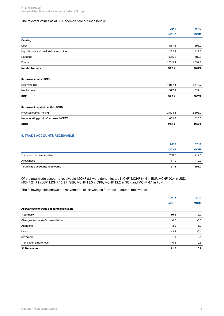# The relevant values as at 31 December are outlined below:

|                                        | 2018        | 2017        |
|----------------------------------------|-------------|-------------|
|                                        | <b>MCHF</b> | <b>MCHF</b> |
| Gearing                                |             |             |
| Debt                                   | 837.4       | 895.2       |
| Liquid funds and marketable securities | 282.2       | 412.7       |
| Net debt                               | 555.2       | 482.5       |
| Equity                                 | 1,745.4     | 1,837.2     |
| Net debt/equity                        | 31.8%       | 26.3%       |

#### **Return on equity (ROE)**

| Equity (rolling)<br>Net income | 1,817.4<br>597.2 | 1,718.7<br>527.4 |
|--------------------------------|------------------|------------------|
| ROE                            | $  -$<br>32.9%   | 30.7%            |

#### **Return on invested capital (ROIC)**

| <b>ROIC</b>                              | 21.6%   | 19.5%   |
|------------------------------------------|---------|---------|
| Net operating profit after taxes (NOPAT) | 609.3   | 526.2   |
| Invested capital (rolling)               | 2,823.3 | 2,696.0 |

# <span id="page-14-0"></span>**6. TRADE ACCOUNTS RECEIVABLE**

| Total trade accounts receivable | 197.5       | 201.7       |
|---------------------------------|-------------|-------------|
| Allowances                      | $-11.0$     | $-10.9$     |
| Trade accounts receivable       | 208.5       | 212.6       |
|                                 | <b>MCHF</b> | <b>MCHF</b> |
|                                 | 2018        | 2017        |
|                                 |             |             |

Of the total trade accounts receivable, MCHF 8.5 were denominated in CHF, MCHF 64.6 in EUR, MCHF 20.4 in USD, MCHF 21.7 in GBP, MCHF 12.2 in SEK, MCHF 18.0 in DKK, MCHF 12.2 in NOK and MCHF 6.1 in PLN.

The following table shows the movements of allowances for trade accounts receivable:

|                                          | 2018        | 2017        |
|------------------------------------------|-------------|-------------|
|                                          | <b>MCHF</b> | <b>MCHF</b> |
| Allowances for trade accounts receivable |             |             |
| 1 January                                | 10.9        | 12.7        |
| Changes in scope of consolidation        | 0.0         | $-0.6$      |
| Additions                                | 3.9         | 1.0         |
| Used                                     | $-2.2$      | $-0.4$      |
| Reversed                                 | $-1.1$      | $-2.4$      |
| <b>Translation differences</b>           | $-0.5$      | 0.6         |
| 31 December                              | 11.0        | 10.9        |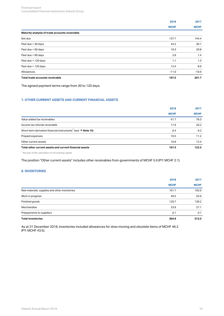|                                                | 2018        | 2017        |
|------------------------------------------------|-------------|-------------|
|                                                | <b>MCHF</b> | <b>MCHF</b> |
| Maturity analysis of trade accounts receivable |             |             |
| Not due                                        | 137.7       | 144.4       |
| Past due < 30 days                             | 44.2        | 36.1        |
| Past due < 60 days                             | 10.3        | 20.8        |
| Past due < 90 days                             | 2.8         | 1.4         |
| Past due < 120 days                            | 1.1         | 1.3         |
| Past due > 120 days                            | 12.4        | 8.6         |
| Allowances                                     | $-11.0$     | $-10.9$     |
| Total trade accounts receivable                | 197.5       | 201.7       |
|                                                |             |             |

The agreed payment terms range from 30 to 120 days.

# <span id="page-15-0"></span>**7. OTHER CURRENT ASSETS AND CURRENT FINANCIAL ASSETS**

|                                                                                      | 2018        | 2017        |
|--------------------------------------------------------------------------------------|-------------|-------------|
|                                                                                      | <b>MCHF</b> | <b>MCHF</b> |
| Value added tax receivables                                                          | 61.7        | 78.3        |
| Income tax refunds receivable                                                        | 17.9        | 20.2        |
| Short-term derivative financial instruments <sup>1</sup> (see $\rightarrow$ Note 15) | 0.4         | 0.2         |
| Prepaid expenses                                                                     | 10.5        | 11.2        |
| Other current assets                                                                 | 16.8        | 12.4        |
| Total other current assets and current financial assets                              | 107.3       | 122.3       |
|                                                                                      |             |             |

 $^1$  Not part of the calculation of net working capital

The position "Other current assets" includes other receivables from governments of MCHF 5.9 (PY: MCHF 2.1).

# <span id="page-15-1"></span>**8. INVENTORIES**

| <b>Total inventories</b>                      | 304.9       | 313.3       |
|-----------------------------------------------|-------------|-------------|
| Prepayments to suppliers                      | 0.1         | 0.1         |
| Merchandise                                   | 23.9        | 27.1        |
| Finished goods                                | 129.7       | 128.2       |
| Work in progress                              | 49.5        | 55.9        |
| Raw materials, supplies and other inventories | 101.7       | 102.0       |
|                                               | <b>MCHF</b> | <b>MCHF</b> |
|                                               | 2018        | 2017        |
|                                               |             |             |

As at 31 December 2018, inventories included allowances for slow-moving and obsolete items of MCHF 46.2 (PY: MCHF 43.5).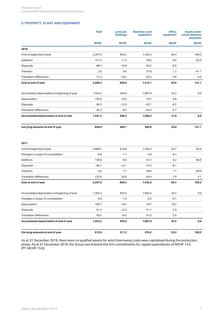# <span id="page-16-0"></span>**9. PROPERTY, PLANT AND EQUIPMENT**

|                                               | <b>Total</b> | <b>Land and</b><br><b>buildings</b> | <b>Machinery and</b><br>equipment | <b>Office</b><br>equipment | <b>Assets under</b><br>constr./advance<br>payments |
|-----------------------------------------------|--------------|-------------------------------------|-----------------------------------|----------------------------|----------------------------------------------------|
|                                               | <b>MCHF</b>  | <b>MCHF</b>                         | <b>MCHF</b>                       | <b>MCHF</b>                | <b>MCHF</b>                                        |
| 2018                                          |              |                                     |                                   |                            |                                                    |
| Cost at beginning of year                     | 2,267.0      | 656.2                               | 1,445.2                           | 65.4                       | 100.2                                              |
| Additions                                     | 151.4        | 11.2                                | 39.6                              | 8.6                        | 92.0                                               |
| <b>Disposals</b>                              | $-88.7$      | $-19.0$                             | $-63.2$                           | $-6.5$                     |                                                    |
| <b>Transfers</b>                              | 2.0          | 9.6                                 | 37.8                              | 1.7                        | $-47.1$                                            |
| <b>Translation differences</b>                | $-71.4$      | $-18.5$                             | $-45.3$                           | $-3.6$                     | $-4.0$                                             |
| Cost at end of year                           | 2,260.3      | 639.5                               | 1,414.1                           | 65.6                       | 141.1                                              |
| Accumulated depreciation at beginning of year | 1,454.2      | 345.0                               | 1,067.0                           | 42.2                       | 0.0                                                |
| Depreciation                                  | 105.0        | 16.5                                | 79.7                              | 8.8                        |                                                    |
| <b>Disposals</b>                              | $-82.5$      | $-13.9$                             | $-62.1$                           | $-6.5$                     |                                                    |
| <b>Translation differences</b>                | $-45.3$      | $-8.2$                              | $-34.4$                           | $-2.7$                     |                                                    |
| Accumulated depreciation at end of year       | 1,431.4      | 339.4                               | 1,050.2                           | 41.8                       | 0.0                                                |
| Carrying amounts at end of year               | 828.9        | 300.1                               | 363.9                             | 23.8                       | 141.1                                              |
| 2017                                          |              |                                     |                                   |                            |                                                    |
| Cost at beginning of year                     | 2,088.7      | 619.8                               | 1,349.3                           | 55.7                       | 63.9                                               |
| Changes in scope of consolidation             | $-6.8$       | $-1.7$                              | $-5.0$                            | $-0.1$                     |                                                    |
| Additions                                     | 149.8        | 8.6                                 | 51.4                              | 9.2                        | 80.6                                               |
| <b>Disposals</b>                              | $-96.7$      | $-14.1$                             | $-74.5$                           | $-8.1$                     |                                                    |
| <b>Transfers</b>                              | 0.0          | 7.7                                 | 39.6                              | 1.7                        | $-49.0$                                            |
| <b>Translation differences</b>                | 132.0        | 35.9                                | 84.4                              | 7.0                        | 4.7                                                |
| Cost at end of year                           | 2,267.0      | 656.2                               | 1,445.2                           | 65.4                       | 100.2                                              |
| Accumulated depreciation at beginning of year | 1,362.2      | 323.6                               | 1,004.4                           | 34.2                       | 0.0                                                |
| Changes in scope of consolidation             | $-5.9$       | $-1.3$                              | $-4.5$                            | $-0.1$                     |                                                    |
| Depreciation                                  | 105.7        | 18.5                                | 76.7                              | 10.5                       |                                                    |

| Carrying amounts at end of year         | 812.8   | 311.2   | 378.2   | 23.2   | 100.2 |
|-----------------------------------------|---------|---------|---------|--------|-------|
| Accumulated depreciation at end of year | 1,454.2 | 345.0   | 1.067.0 | 42.2   | 0.0   |
| <b>Translation differences</b>          | 83.5    | 16.5    | 61.5    | 5.5    |       |
| Disposals                               | $-91.3$ | $-12.3$ | $-71.1$ | $-7.9$ |       |
| Depreciation                            | 105.7   | 18.9    | 10.1    | 10.O   |       |

As at 31 December 2018, there were no qualified assets for which borrowing costs were capitalised during the production phase. As at 31 December 2018, the Group had entered into firm commitments for capital expenditures of MCHF 14.5 (PY: MCHF 15.0).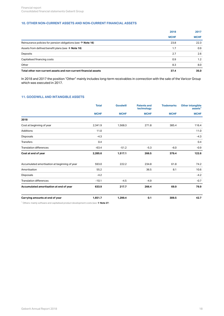# <span id="page-17-0"></span>**10. OTHER NON-CURRENT ASSETS AND NON-CURRENT FINANCIAL ASSETS**

|                                                                          | 2018        | 2017        |
|--------------------------------------------------------------------------|-------------|-------------|
|                                                                          | <b>MCHF</b> | <b>MCHF</b> |
| Reinsurance policies for pension obligations (see $\rightarrow$ Note 16) | 23.8        | 22.3        |
| Assets from defined benefit plans (see $\rightarrow$ Note 16)            | 1.7         | 0.9         |
| Deposits                                                                 | 2.7         | 2.6         |
| Capitalised financing costs                                              | 0.9         | 1.2         |
| Other                                                                    | 8.3         | 8.0         |
| Total other non-current assets and non-current financial assets          | 37.4        | 35.0        |

In 2018 and 2017 the position "Other" mainly includes long-term receivables in connection with the sale of the Varicor Group which was executed in 2017.

# <span id="page-17-1"></span>**11. GOODWILL AND INTANGIBLE ASSETS**

| <b>Total</b><br><b>Goodwill</b> |             | <b>Patents and</b><br>technology | <b>Trademarks</b> | <b>Other intangible</b><br>assets <sup>1</sup> |
|---------------------------------|-------------|----------------------------------|-------------------|------------------------------------------------|
| <b>MCHF</b>                     | <b>MCHF</b> | <b>MCHF</b>                      | <b>MCHF</b>       | <b>MCHF</b>                                    |
|                                 |             |                                  |                   |                                                |
| 2,341.9                         | 1,568.3     | 271.8                            | 385.4             | 116.4                                          |
| 11.0                            |             |                                  |                   | 11.0                                           |
| $-4.3$                          |             |                                  |                   | $-4.3$                                         |
| 0.4                             |             |                                  |                   | 0.4                                            |
| $-63.4$                         | $-51.2$     | $-5.3$                           | $-6.0$            | $-0.9$                                         |
| 2,285.6                         | 1,517.1     | 266.5                            | 379.4             | 122.6                                          |
| 593.0                           | 222.2       | 234.8                            | 61.8              | 74.2                                           |
| 55.2                            |             | 36.5                             | 8.1               | 10.6                                           |
| $-4.2$                          |             |                                  |                   | $-4.2$                                         |
| $-10.1$                         | $-4.5$      | $-4.9$                           |                   | $-0.7$                                         |
| 633.9                           | 217.7       | 266.4                            | 69.9              | 79.9                                           |
| 1,651.7                         | 1,299.4     | 0.1                              | 309.5             | 42.7                                           |
|                                 |             |                                  |                   |                                                |

 $^1$  Others: mainly software and capitalised product development costs (see  $\rightarrow$  **[Note 27](#page-37-1)**)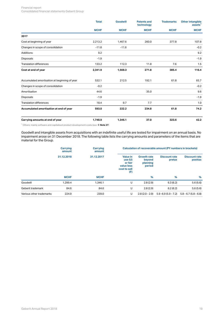#### Financial report Consolidated financial statements Geberit Group

|                                               | <b>Total</b> | <b>Goodwill</b> | <b>Patents and</b><br>technology | <b>Trademarks</b> | <b>Other intangible</b><br>assets <sup>1</sup> |
|-----------------------------------------------|--------------|-----------------|----------------------------------|-------------------|------------------------------------------------|
|                                               | <b>MCHF</b>  | <b>MCHF</b>     | <b>MCHF</b>                      | <b>MCHF</b>       | <b>MCHF</b>                                    |
| 2017                                          |              |                 |                                  |                   |                                                |
| Cost at beginning of year                     | 2,213.2      | 1,467.6         | 260.0                            | 377.8             | 107.8                                          |
| Changes in scope of consolidation             | $-11.8$      | $-11.6$         |                                  |                   | $-0.2$                                         |
| Additions                                     | 9.2          |                 |                                  |                   | 9.2                                            |
| Disposals                                     | $-1.9$       |                 |                                  |                   | $-1.9$                                         |
| <b>Translation differences</b>                | 133.2        | 112.3           | 11.8                             | 7.6               | 1.5                                            |
| Cost at end of year                           | 2,341.9      | 1,568.3         | 271.8                            | 385.4             | 116.4                                          |
| Accumulated amortisation at beginning of year | 532.1        | 212.5           | 192.1                            | 61.8              | 65.7                                           |
| Changes in scope of consolidation             | $-0.2$       |                 |                                  |                   | $-0.2$                                         |
| Amortisation                                  | 44.6         |                 | 35.0                             |                   | 9.6                                            |
| Disposals                                     | $-1.9$       |                 |                                  |                   | $-1.9$                                         |
| <b>Translation differences</b>                | 18.4         | 9.7             | 7.7                              |                   | 1.0                                            |
| Accumulated amortisation at end of year       | 593.0        | 222.2           | 234.8                            | 61.8              | 74.2                                           |
| Carrying amounts at end of year               | 1,748.9      | 1,346.1         | 37.0                             | 323.6             | 42.2                                           |

 $^1$  Others: mainly software and capitalised product development costs (see  $\rightarrow$  **[Note 27](#page-37-1)**)

Goodwill and intangible assets from acquisitions with an indefinite useful life are tested for impairment on an annual basis. No impairment arose on 31 December 2018. The following table lists the carrying amounts and parameters of the items that are material for the Group.

|                          | <b>Carrying</b><br>amount | Carrying<br>amount |                                                                           | Calculation of recoverable amount (PY numbers in brackets) |                                |                                               |  |
|--------------------------|---------------------------|--------------------|---------------------------------------------------------------------------|------------------------------------------------------------|--------------------------------|-----------------------------------------------|--|
|                          | 31.12.2018                | 31.12.2017         | <b>Value in</b><br>use(U)<br>or fair<br>value less<br>cost to sell<br>(F) | <b>Growth rate</b><br>beyond<br>planning<br>period         | <b>Discount rate</b><br>pretax | <b>Discount rate</b><br>posttax               |  |
|                          | <b>MCHF</b>               | <b>MCHF</b>        |                                                                           | $\%$                                                       | %                              | $\%$                                          |  |
| Goodwill                 | 1,299.4                   | 1,346.1            | U                                                                         | 2.8(2.9)                                                   | 6.3(6.2)                       | 5.6(5.6)                                      |  |
| Geberit trademark        | 84.6                      | 84.6               | U                                                                         | 2.8(2.9)                                                   | 6.2(6.2)                       | 5.6(5.6)                                      |  |
| Various other trademarks | 224.9                     | 239.0              | U                                                                         | $2.8(2.0 - 2.9)$                                           |                                | $5.9 - 6.9(5.9 - 7.2)$ $5.8 - 6.7(5.8 - 6.8)$ |  |
|                          |                           |                    |                                                                           |                                                            |                                |                                               |  |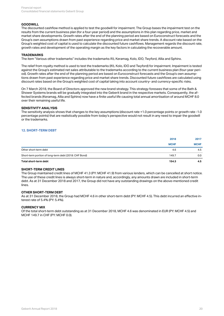#### **GOODWILL**

The discounted cashflow method is applied to test the goodwill for impairment. The Group bases the impairment test on the results from the current business plan (for a four-year period) and the assumptions in this plan regarding price, market and market share developments. Growth rates after the end of the planning period are based on Euroconstruct forecasts and the Group's own assumptions drawn from past experience regarding price and market share trends. A discount rate based on the Group's weighted cost of capital is used to calculate the discounted future cashflows. Management regards the discount rate, growth rates and development of the operating margin as the key factors in calculating the recoverable amount.

#### **TRADEMARKS**

The item "Various other trademarks" includes the trademarks Ifö, Keramag, Kolo, IDO, Twyford, Allia and Sphinx.

The relief from royalty method is used to test the trademarks (Ifö, Kolo, IDO and Twyford) for impairment. Impairment is tested against the Group's estimated net sales attributable to the trademarks according to the current business plan (four-year period). Growth rates after the end of the planning period are based on Euroconstruct forecasts and the Group's own assumptions drawn from past experience regarding price and market share trends. Discounted future cashflows are calculated using discount rates based on the Group's weighted cost of capital taking into account country- and currency-specific risks.

On 7 March 2018, the Board of Directors approved the new brand strategy. This strategy foresees that some of the Bath & Shower Systems brands will be gradually integrated into the Geberit brand in the respective markets. Consequently, the affected brands (Keramag, Allia and Sphinx) now have a finite useful life causing total annual amortisation of around MCHF 8.0 over their remaining useful life.

#### **SENSITIVITY ANALYSIS**

The sensitivity analysis shows that changes to the key assumptions (discount rate +1.0 percentage points or growth rate -1.0 percentage points) that are realistically possible from today's perspective would not result in any need to impair the goodwill or the trademarks.

#### <span id="page-19-0"></span>**12. SHORT-TERM DEBT**

|                                                       | 2018        | 2017        |
|-------------------------------------------------------|-------------|-------------|
|                                                       | <b>MCHF</b> | <b>MCHF</b> |
| Other short-term debt                                 | 4.6         | 4.5         |
| Short-term portion of long-term debt (2018: CHF Bond) | 149.7       | 0.0         |
| Total short-term debt                                 | 154.3       | 4.5         |

#### **SHORT-TERM CREDIT LINES**

The Group maintained credit lines of MCHF 41.3 (PY: MCHF 41.9) from various lenders, which can be cancelled at short notice. The use of these credit lines is always short-term in nature and, accordingly, any amounts drawn are included in short-term debt. As at 31 December 2018 and 2017, the Group did not have any outstanding drawings on the above-mentioned credit lines.

#### **OTHER SHORT-TERM DEBT**

As at 31 December 2018, the Group had MCHF 4.6 in other short-term debt (PY: MCHF 4.5). This debt incurred an effective interest rate of 5.4% (PY: 5.4%).

#### **CURRENCY MIX**

Of the total short-term debt outstanding as at 31 December 2018, MCHF 4.6 was denominated in EUR (PY: MCHF 4.5) and MCHF 149.7 in CHF (PY: MCHF 0.0).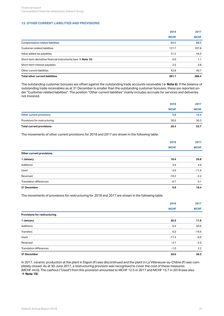# <span id="page-20-0"></span>**13. OTHER CURRENT LIABILITIES AND PROVISIONS**

|                                                                         | 2018        | 2017        |
|-------------------------------------------------------------------------|-------------|-------------|
|                                                                         | <b>MCHF</b> | <b>MCHF</b> |
| Compensation-related liabilities                                        | 83.5        | 88.5        |
| Customer-related liabilities                                            | 121.7       | 107.8       |
| Value added tax payables                                                | 31.2        | 44.5        |
| Short-term derivative financial instruments (see $\rightarrow$ Note 15) | 0.0         | 1.1         |
| Short-term interest payables                                            | 2.5         | 3.8         |
| Other current liabilities                                               | 42.8        | 40.7        |
| Total other current liabilities                                         | 281.7       | 286.4       |

The outstanding customer bonuses are offset against the outstanding trade accounts receivable ( $\to$  **[Note 6](#page-14-0)**). If the balance of outstanding trade receivables as at 31 December is smaller than the outstanding customer bonuses, these are reported under "Customer-related liabilities". The position "Other current liabilities" mainly includes accruals for services and deliveries not invoiced.

|                              | 2018        | 2017        |
|------------------------------|-------------|-------------|
|                              | <b>MCHF</b> | <b>MCHF</b> |
| Other current provisions     | 5.8         | 16.4        |
| Provisions for restructuring | 20.6        | 36.3        |
| Total current provisions     | 26.4        | 52.7        |

The movements of other current provisions for 2018 and 2017 are shown in the following table:

|                                | 2018        | 2017        |
|--------------------------------|-------------|-------------|
|                                | <b>MCHF</b> | <b>MCHF</b> |
| Other current provisions       |             |             |
| 1 January                      | 16.4        | 25.8        |
| Additions                      | 3.9         | 4.6         |
| Used                           | $-3.6$      | $-11.9$     |
| Reversed                       | $-10.2$     | $-2.2$      |
| <b>Translation differences</b> | $-0.7$      | 0.1         |
| 31 December                    | 5.8         | 16.4        |
|                                |             |             |

The movements of provisions for restructuring for 2018 and 2017 are shown in the following table:

|                                | 2018        | 2017        |
|--------------------------------|-------------|-------------|
|                                | <b>MCHF</b> | <b>MCHF</b> |
| Provisions for restructuring   |             |             |
| 1 January                      | 36.3        | 11.9        |
| Additions                      | 0.4         | 50.9        |
| Transfers                      | 6.0         | $-19.6$     |
| Used                           | $-17.4$     | $-6.6$      |
| Reversed                       | $-3.7$      | $-2.5$      |
| <b>Translation differences</b> | $-1.0$      | 2.2         |
| 31 December                    | 20.6        | 36.3        |

In 2017, ceramic production at the plant in Digoin (F) was discontinued and the plant in La Villeneuve-au-Chêne (F) was completely closed. As at 30 June 2017, a restructuring provision was recognised to cover the cost of these measures (MCHF 44.0). The cashout ("Used") from this provision amounted to MCHF 12.5 in 2017 and MCHF 15.7 in 2018 (see also  $\rightarrow$  [Note 19](#page-33-0)).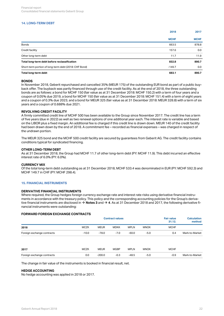# <span id="page-21-0"></span>**14. LONG-TERM DEBT**

|                                                       | 2018        | 2017        |
|-------------------------------------------------------|-------------|-------------|
|                                                       | <b>MCHF</b> | <b>MCHF</b> |
| Bonds                                                 | 663.5       | 878.8       |
| Credit facility                                       | 157.6       | 0.0         |
| Other long-term debt                                  | 11.7        | 11.9        |
| Total long-term debt before reclassification          | 832.8       | 890.7       |
| Short-term portion of long-term debt (2018: CHF Bond) | $-149.7$    | 0.0         |
| Total long-term debt                                  | 683.1       | 890.7       |

#### **BONDS**

In November 2018, Geberit repurchased and cancelled 35% (MEUR 175) of the outstanding EUR bond as part of a public buyback offer. The buyback was partly financed through use of the credit facility. As at the end of 2018, the three outstanding bonds are as follows: a bond for MCHF 150 (fair value as at 31 December 2018: MCHF 150.2) with a term of four years and a coupon of 0.05% due 2019, a bond for MCHF 150 (fair value as at 31 December 2018: MCHF 151.4) with a term of eight years and a coupon of 0.3% due 2023, and a bond for MEUR 325 (fair value as at 31 December 2018: MEUR 328.8) with a term of six years and a coupon of 0.688% due 2021.

#### **REVOLVING CREDIT FACILITY**

A firmly committed credit line of MCHF 500 has been available to the Group since November 2017. The credit line has a term of five years (due in 2022) as well as two renewal options of one additional year each. The interest rate is variable and based on the LIBOR plus a fixed margin. An additional fee is charged if this credit line is drawn down. MEUR 140 of the credit facility had been drawn down by the end of 2018. A commitment fee – recorded as financial expenses – was charged in respect of the undrawn portion.

The MEUR 325 bond and the MCHF 500 credit facility are secured by guarantees from Geberit AG. The credit facility contains conditions typical for syndicated financing.

#### **OTHER LONG-TERM DEBT**

As at 31 December 2018, the Group had MCHF 11.7 of other long-term debt (PY: MCHF 11.9). This debt incurred an effective interest rate of 6.0% (PY: 6.0%).

#### **CURRENCY MIX**

Of the total long-term debt outstanding as at 31 December 2018, MCHF 533.4 was denominated in EUR (PY: MCHF 592.3) and MCHF 149.7 in CHF (PY: MCHF 298.4).

# <span id="page-21-1"></span>**15. FINANCIAL INSTRUMENTS**

#### **DERIVATIVE FINANCIAL INSTRUMENTS**

Where required, the Group hedges foreign currency exchange rate and interest rate risks using derivative financial instruments in accordance with the treasury policy. This policy and the corresponding accounting policies for the Group's derivative financial instruments are disclosed in  $\to$  **[Notes 3](#page-8-0)** and  $\to$  **[4](#page-11-0)**. As at 31 December 2018 and 2017, the following derivative financial instruments were outstanding:

#### **FORWARD FOREIGN EXCHANGE CONTRACTS**

|                            |             | <b>Contract values</b> |             |             |             |             | <b>Calculation</b><br>method |
|----------------------------|-------------|------------------------|-------------|-------------|-------------|-------------|------------------------------|
| 2018                       | <b>MCZK</b> | <b>MEUR</b>            | <b>MDKK</b> | <b>MPLN</b> | <b>MNOK</b> | <b>MCHF</b> |                              |
| Foreign exchange contracts | $-10.0$     | $-78.0$                | $-7.0$      | $-60.0$     | $-5.0$      | 0.4         | Mark-to-Market               |
| 2017                       | <b>MCZK</b> | <b>MEUR</b>            | <b>MGBP</b> | <b>MPLN</b> | <b>MNOK</b> | <b>MCHF</b> |                              |
| Foreign exchange contracts | 0.0         | $-200.0$               | $-0.3$      | $-48.5$     | $-5.0$      | $-0.9$      | Mark-to-Market               |
|                            |             |                        |             |             |             |             |                              |

The change in fair value of the instruments is booked in financial result, net.

#### **HEDGE ACCOUNTING**

No hedge accounting was applied in 2018 or 2017.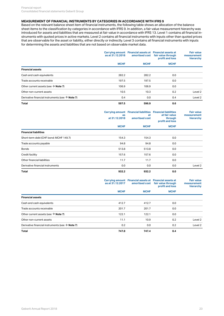### **MEASUREMENT OF FINANCIAL INSTRUMENTS BY CATEGORIES IN ACCORDANCE WITH IFRS 9**

Based on the relevant balance sheet item of financial instruments, the following table shows an allocation of the balance sheet items to the classification by categories in accordance with IFRS 9. In addition, a fair value measurement hierarchy was introduced for assets and liabilities that are measured at fair value in accordance with IFRS 13. Level 1 contains all financial instruments with quoted prices in active markets. Level 2 contains all financial instruments with inputs other than quoted prices that are observable for the asset or liability, either directly or indirectly. Level 3 contains all financial instruments with inputs for determining the assets and liabilities that are not based on observable market data.

|                                                             | as at 31.12.2018 | Carrying amount Financial assets at Financial assets at<br>amortised cost | fair value through<br>profit and loss<br><b>MCHF</b> | <b>Fair value</b><br>measurement<br>hierarchy |
|-------------------------------------------------------------|------------------|---------------------------------------------------------------------------|------------------------------------------------------|-----------------------------------------------|
|                                                             | <b>MCHF</b>      | <b>MCHF</b>                                                               |                                                      |                                               |
| <b>Financial assets</b>                                     |                  |                                                                           |                                                      |                                               |
| Cash and cash equivalents                                   | 282.2            | 282.2                                                                     | 0.0                                                  |                                               |
| Trade accounts receivable                                   | 197.5            | 197.5                                                                     | 0.0                                                  |                                               |
| Other current assets (see $\rightarrow$ Note 7)             | 106.9            | 106.9                                                                     | 0.0                                                  |                                               |
| Other non-current assets                                    | 10.5             | 10.3                                                                      | 0.2                                                  | Level 2                                       |
| Derivative financial instruments (see $\rightarrow$ Note 7) | 0.4              | 0.0                                                                       | 0.4                                                  | Level 2                                       |
| Total                                                       | 597.5            | 596.9                                                                     | 0.6                                                  |                                               |

|                                        | as<br>at 31.12.2018 | Carrying amount Financial liabilities Financial liabilities<br>at<br>amortised cost | at fair value<br>through<br>profit and loss | <b>Fair value</b><br>measurement<br>hierarchy |
|----------------------------------------|---------------------|-------------------------------------------------------------------------------------|---------------------------------------------|-----------------------------------------------|
|                                        | <b>MCHF</b>         | <b>MCHF</b>                                                                         | <b>MCHF</b>                                 |                                               |
| <b>Financial liabilities</b>           |                     |                                                                                     |                                             |                                               |
| Short-term debt (CHF bond: MCHF 149.7) | 154.3               | 154.3                                                                               | 0.0                                         |                                               |
| Trade accounts payable                 | 94.8                | 94.8                                                                                | 0.0                                         |                                               |
| <b>Bonds</b>                           | 513.8               | 513.8                                                                               | 0.0                                         |                                               |
| Credit facility                        | 157.6               | 157.6                                                                               | 0.0                                         |                                               |
| Other financial liabilities            | 11.7                | 11.7                                                                                | 0.0                                         |                                               |
| Derivative financial instruments       | 0.0                 | 0.0                                                                                 | 0.0                                         | Level 2                                       |
| <b>Total</b>                           | 932.2               | 932.2                                                                               | 0.0                                         |                                               |

|                                                             | as at 31.12.2017 | Carrying amount Financial assets at Financial assets at<br>amortised cost | fair value through<br>profit and loss<br><b>MCHF</b> | <b>Fair value</b><br>measurement<br>hierarchy |
|-------------------------------------------------------------|------------------|---------------------------------------------------------------------------|------------------------------------------------------|-----------------------------------------------|
|                                                             | <b>MCHF</b>      | <b>MCHF</b>                                                               |                                                      |                                               |
| <b>Financial assets</b>                                     |                  |                                                                           |                                                      |                                               |
| Cash and cash equivalents                                   | 412.7            | 412.7                                                                     | 0.0                                                  |                                               |
| Trade accounts receivable                                   | 201.7            | 201.7                                                                     | 0.0                                                  |                                               |
| Other current assets (see $\rightarrow$ Note 7)             | 122.1            | 122.1                                                                     | 0.0                                                  |                                               |
| Other non-current assets                                    | 11.1             | 10.9                                                                      | 0.2                                                  | Level 2                                       |
| Derivative financial instruments (see $\rightarrow$ Note 7) | 0.2              | 0.0                                                                       | 0.2                                                  | Level 2                                       |
| <b>Total</b>                                                | 747.8            | 747.4                                                                     | 0.4                                                  |                                               |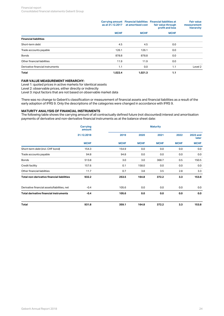|                                  | as at 31.12.2017 | at amortised cost | Carrying amount Financial liabilities Financial liabilities at<br>fair value through<br>profit and loss |         |
|----------------------------------|------------------|-------------------|---------------------------------------------------------------------------------------------------------|---------|
|                                  | <b>MCHF</b>      | <b>MCHF</b>       | <b>MCHF</b>                                                                                             |         |
| <b>Financial liabilities</b>     |                  |                   |                                                                                                         |         |
| Short-term debt                  | 4.5              | 4.5               | 0.0                                                                                                     |         |
| Trade accounts payable           | 126.1            | 126.1             | 0.0                                                                                                     |         |
| <b>Bonds</b>                     | 878.8            | 878.8             | 0.0                                                                                                     |         |
| Other financial liabilities      | 11.9             | 11.9              | 0.0                                                                                                     |         |
| Derivative financial instruments | 1.1              | 0.0               | 1.1                                                                                                     | Level 2 |
| <b>Total</b>                     | 1,022.4          | 1,021.3           | 1.1                                                                                                     |         |

# **FAIR VALUE MEASUREMENT HIERARCHY:**

Level 1: quoted prices in active markets for identical assets

Level 2: observable prices, either directly or indirectly

Level 3: input factors that are not based on observable market data

There was no change to Geberit's classification or measurement of financial assets and financial liabilities as a result of the early adoption of IFRS 9. Only the descriptions of the categories were changed in accordance with IFRS 9.

### **MATURITY ANALYSIS OF FINANCIAL INSTRUMENTS**

The following table shows the carrying amount of all contractually defined future (not discounted) interest and amortisation payments of derivative and non-derivative financial instruments as at the balance sheet date:

|                                              | <b>Carrying</b><br>amount |             | <b>Maturity</b> |             |             |                          |  |
|----------------------------------------------|---------------------------|-------------|-----------------|-------------|-------------|--------------------------|--|
|                                              | 31.12.2018                | 2019        | 2020            | 2021        | 2022        | <b>2023 and</b><br>later |  |
|                                              | <b>MCHF</b>               | <b>MCHF</b> | <b>MCHF</b>     | <b>MCHF</b> | <b>MCHF</b> | <b>MCHF</b>              |  |
| Short-term debt (incl. CHF bond)             | 154.3                     | 154.9       | 0.0             | 0.0         | 0.0         | 0.0                      |  |
| Trade accounts payable                       | 94.8                      | 94.8        | 0.0             | 0.0         | 0.0         | 0.0                      |  |
| <b>Bonds</b>                                 | 513.8                     | 3.0         | 3.0             | 368.7       | 0.5         | 150.5                    |  |
| Credit facility                              | 157.6                     | 0.1         | 158.0           | 0.0         | 0.0         | 0.0                      |  |
| Other financial liabilities                  | 11.7                      | 0.7         | 3.8             | 3.5         | 2.8         | 3.3                      |  |
| Total non-derivative financial liabilities   | 932.2                     | 253.5       | 164.8           | 372.2       | 3.3         | 153.8                    |  |
| Derivative financial assets/liabilities, net | $-0.4$                    | 105.6       | 0.0             | 0.0         | 0.0         | 0.0                      |  |
| Total derivative financial instruments       | $-0.4$                    | 105.6       | 0.0             | 0.0         | 0.0         | 0.0                      |  |
| Total                                        | 931.8                     | 359.1       | 164.8           | 372.2       | 3.3         | 153.8                    |  |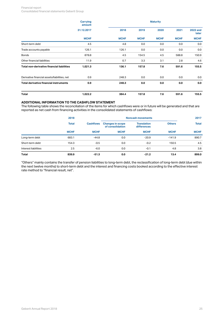#### Financial report Consolidated financial statements Geberit Group

|                                              | <b>Carrying</b><br>amount |             | <b>Maturity</b> |             |             |                          |  |  |
|----------------------------------------------|---------------------------|-------------|-----------------|-------------|-------------|--------------------------|--|--|
|                                              | 31.12.2017                | 2018        | 2019            | 2020        | 2021        | <b>2022 and</b><br>later |  |  |
|                                              | <b>MCHF</b>               | <b>MCHF</b> | <b>MCHF</b>     | <b>MCHF</b> | <b>MCHF</b> | <b>MCHF</b>              |  |  |
| Short-term debt                              | 4.5                       | 4.8         | 0.0             | 0.0         | 0.0         | 0.0                      |  |  |
| Trade accounts payable                       | 126.1                     | 126.1       | 0.0             | 0.0         | 0.0         | 0.0                      |  |  |
| <b>Bonds</b>                                 | 878.8                     | 4.5         | 154.5           | 4.5         | 588.8       | 150.9                    |  |  |
| Other financial liabilities                  | 11.9                      | 0.7         | 3.3             | 3.1         | 2.8         | 4.6                      |  |  |
| Total non-derivative financial liabilities   | 1,021.3                   | 136.1       | 157.8           | 7.6         | 591.6       | 155.5                    |  |  |
| Derivative financial assets/liabilities, net | 0.9                       | 248.3       | 0.0             | 0.0         | 0.0         | 0.0                      |  |  |
| Total derivative financial instruments       | 0.9                       | 248.3       | 0.0             | 0.0         | 0.0         | 0.0                      |  |  |
| <b>Total</b>                                 | 1,022.2                   | 384.4       | 157.8           | 7.6         | 591.6       | 155.5                    |  |  |

# **ADDITIONAL INFORMATION TO THE CASHFLOW STATEMENT**

The following table shows the reconciliation of the items for which cashflows were or in future will be generated and that are reported as net cash from financing activities in the consolidated statements of cashflows:

|                      | 2018         |                  | <b>Noncash movements</b>                    | 2017                              |               |              |
|----------------------|--------------|------------------|---------------------------------------------|-----------------------------------|---------------|--------------|
|                      | <b>Total</b> | <b>Cashflows</b> | <b>Changes in scope</b><br>of consolidation | <b>Translation</b><br>differences | <b>Others</b> | <b>Total</b> |
|                      | <b>MCHF</b>  | <b>MCHF</b>      | <b>MCHF</b>                                 | <b>MCHF</b>                       | <b>MCHF</b>   | <b>MCHF</b>  |
| Long-term debt       | 683.1        | $-44.8$          | 0.0                                         | $-20.9$                           | $-141.9$      | 890.7        |
| Short-term debt      | 154.3        | $-0.5$           | 0.0                                         | $-0.2$                            | 150.5         | 4.5          |
| Interest liabilities | 2.5          | $-6.0$           | 0.0                                         | $-0.1$                            | 4.8           | 3.8          |
| <b>Total</b>         | 839.9        | $-51.3$          | 0.0                                         | $-21.2$                           | 13.4          | 899.0        |

"Others" mainly contains the transfer of pension liabilities to long-term debt, the reclassification of long-term debt (due within the next twelve months) to short-term debt and the interest and financing costs booked according to the effective interest rate method to "financial result, net".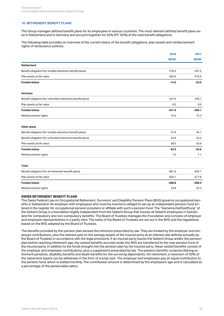# <span id="page-25-0"></span>**16. RETIREMENT BENEFIT PLANS**

The Group manages defined benefit plans for its employees in various countries. The most relevant defined benefit plans exist in Switzerland and in Germany and account together for 92% (PY: 92%) of the total benefit obligations.

The following table provides an overview of the current status of the benefit obligations, plan assets and reimbursement rights of reinsurance policies.

|                                                            | 2018        | 2017        |  |
|------------------------------------------------------------|-------------|-------------|--|
|                                                            | <b>MCHF</b> | <b>MCHF</b> |  |
| <b>Switzerland</b>                                         |             |             |  |
| Benefit obligation (for funded retirement benefit plans)   | 578.2       | 597.5       |  |
| Plan assets at fair value                                  | 563.6       | 573.9       |  |
| <b>Funded status</b>                                       | $-14.6$     | $-23.6$     |  |
| Germany                                                    |             |             |  |
| Benefit obligation (for unfunded retirement benefit plans) | 241.9       | 250.1       |  |
| Plan assets at fair value                                  | 0.0         | 0.0         |  |
| <b>Funded status</b>                                       | $-241.9$    | $-250.1$    |  |
| Reimbursement rights                                       | 16.3        | 15.2        |  |
| Other plans                                                |             |             |  |
| Benefit obligation (for funded retirement benefit plans)   | 37.8        | 44.1        |  |
| Benefit obligation (for unfunded retirement benefit plans) | 34.0        | 34.4        |  |
| Plan assets at fair value                                  | 38.5        | 43.9        |  |
| <b>Funded status</b>                                       | $-33.3$     | $-34.6$     |  |
| Reimbursement rights                                       | 7.5         | 7.1         |  |
| <b>Total</b>                                               |             |             |  |
| Benefit obligation (for all retirement benefit plans)      | 891.9       | 926.1       |  |
| Plan assets at fair value                                  | 602.1       | 617.8       |  |
| <b>Funded status</b>                                       | $-289.8$    | $-308.3$    |  |
| Reimbursement rights                                       | 23.8        | 22.3        |  |

#### **SWISS RETIREMENT BENEFIT PLANS**

The Swiss Federal Law on Occupational Retirement, Survivors' and Disability Pension Plans (BVG) governs occupational benefits in Switzerland. An employer with employees who must be insured is obliged to set up an independent pension fund entered in the register for occupational pension providers or affiliate with such a pension fund. The "Gemeinschaftsstiftung" of the Geberit Group is a foundation legally independent from the Geberit Group that insures all Geberit employees in Switzerland for compulsory and non-compulsory benefits. The Board of Trustees manages the Foundation and consists of employer and employee representatives in a parity ratio. The tasks of the Board of Trustees are set out in the BVG and the regulations based on the BVG adopted by the Board of Trustees.

The benefits provided by the pension plan exceed the minimum prescribed by law. They are funded by the employer and employee contributions, plus the interest paid on the savings assets of the insured party at an interest rate defined annually by the Board of Trustees in accordance with the legal provisions. If an insured party leaves the Geberit Group and/or the pension plan before reaching retirement age, the vested benefits accrued under the BVG are transferred to the new pension fund of the insured party. In addition to the funds brought into the pension plan by the insured party, these vested benefits consist of the employer and employee contributions, plus a supplement prescribed by law. The pension benefits comprise lifelong retirement pensions, disability benefits and death benefits for the surviving dependents. On retirement, a maximum of 50% of the retirement assets can be withdrawn in the form of a lump sum. The employer and employees pay an equal contribution to the pension fund, which is settled monthly. The contribution amount is determined by the employee's age and is calculated as a percentage of the pensionable salary.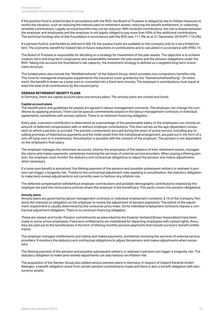If the pension fund is underfunded in accordance with the BVG, the Board of Trustees is obliged by law to initiate measures to rectify the situation, such as reducing the interest paid on retirement assets, reducing the benefit entitlement, or collecting remedial contributions. Legally accrued benefits may not be reduced. With remedial contributions, the risk is shared between the employer and employees and the employer is not legally obliged to pay more than 50% of the additional contributions. The technical funding ratio of this Foundation in accordance with the BVG was 111.3% as at 31 December 2018 (PY: 118.2%).

If a pension fund is overfunded as defined in IAS 19, the surplus funds are available to the company only to a very limited extent. The economic benefit for Geberit lies in future reductions in contributions and is calculated in accordance with IFRIC 14.

The Board of Trustees is responsible for deciding on a strategy for investment of the plan assets. The objective is to achieve medium-term and long-term congruence and sustainability between the plan assets and the pension obligations under the BVG. Taking into account the foundation's risk capacity, the investment strategy is defined as a targeted long-term investment structure.

The funded plans also include the "Wohlfahrtsfonds" of the Geberit Group, which provides non-compulsory benefits only. This fund for managerial employees supplements the insurance cover granted by the "Gemeinschaftsstiftung". On retirement, the benefit is drawn as a lump sum or converted into a fixed-term annuity. The employer's contributions must equal at least the total of all contributions by the insured party.

#### **GERMAN RETIREMENT BENEFIT PLANS**

In Germany, there are capital account plans and annuity plans. The annuity plans are closed-end funds.

#### **Capital account plans**

The benefit plans and guidelines for payout are agreed in labour-management contracts. The employer can change the conditions by applying provisos. There can be special commitments based on the labour-management contracts or individual agreements, sometimes with annuity options. There is no minimum financing obligation.

Every year, a pension contribution is determined as a percentage of the pensionable salary or the employees can choose an amount of deferred compensation with or without employer contributions. This then serves as the age-dependent component on which a pension is accrued. The pension components accrued during the years of active service, including any resulting promises of fixed bonus payments and the initial credit from the transitional arrangement, are paid out in the form of a one-off lump sum or in instalments. Annuitisation is possible with the consent of the employer. The pension is not dependent on the employee's final salary.

The employer manages the retirement accounts, informs the employees of the balance of their retirement assets, manages the claims and makes payments, sometimes involving the services of external service providers. When paying a lifelong pension, the employer must monitor the statutory and contractual obligations to adjust the pension and makes adjustments when necessary.

If a lump-sum benefit is annuitised, the lifelong payment of the pension and possible subsequent widow's or widower's pension can trigger a longevity risk. Thanks to the contractual adjustment rules applying to annuitisation, the statutory obligation to make (and review) adjustments is not currently seen to harbour any inflation risk.

The deferred compensation with/without employer contributions and possible demographic contributions retained by the employer are paid into reinsurance policies where the employer is the beneficiary. This partly covers the pension obligations.

#### **Annuity plans**

Annuity plans are governed by labour-management contracts or individual employment contracts. § 16 of the Company Pensions Act imposes an obligation on the employer to review the adjustment of pension payments. The extent of the adjustment requirement is usually determined by the consumer price index. Some individual employment contracts impose a contractual adjustment obligation. There is no minimum financing obligation.

These are closed-end funds. Pension commitments as prescribed by the Essener Verband (Essen Association) have been made to some active employees. Fixed euro entitlements are maintained for departing employees with vested rights. Annuities are paid out to the beneficiaries in the form of lifelong monthly pension payments that include survivors' benefit entitlements.

The employer manages entitlements and claims and makes payments, sometimes involving the services of external service providers. It monitors the statutory and contractual obligations to adjust the pension and makes adjustments when necessary.

The lifelong payment of the pension and possible subsequent widow's or widower's pension can trigger a longevity risk. The statutory obligation to make (and review) adjustments can also harbour an inflation risk.

The acquisition of the Sanitec Group also added various pension plans in Germany. In respect of Geberit Keramik GmbH, Ratingen, a benefit obligation arose from certain pension commitments made and there is also a benefit obligation with reinsurance assets.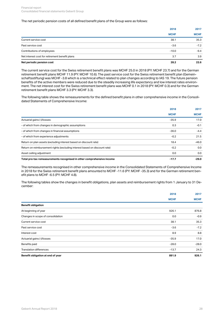#### The net periodic pension costs of all defined benefit plans of the Group were as follows:

|                                                | 2018        | 2017        |
|------------------------------------------------|-------------|-------------|
|                                                | <b>MCHF</b> | <b>MCHF</b> |
| Current service cost                           | 38.1        | 35.3        |
| Past service cost                              | $-3.6$      | $-7.2$      |
| Contributions of employees                     | $-10.0$     | $-9.4$      |
| Net interest cost for retirement benefit plans | 3.7         | 3.9         |
| Net periodic pension cost                      | 28.2        | 22.6        |

The current service cost for the Swiss retirement benefit plans was MCHF 25.0 in 2018 (PY: MCHF 23.7) and for the German retirement benefit plans MCHF 11.9 (PY: MCHF 10.6). The past service cost for the Swiss retirement benefit plan (Gemeinschaftsstiftung) was MCHF -3.8 which is a technical effect related to plan changes according to IAS 19. The future pension benefits of the active members were reduced due to the steadily increasing life expectancy and low interest rates environment. The net interest cost for the Swiss retirement benefit plans was MCHF 0.1 in 2018 (PY: MCHF 0.3) and for the German retirement benefit plans MCHF 3.3 (PY: MCHF 3.3).

The following table shows the remeasurements for the defined benefit plans in other comprehensive income in the Consolidated Statements of Comprehensive Income:

|                                                                            | 2018        | 2017        |  |
|----------------------------------------------------------------------------|-------------|-------------|--|
|                                                                            | <b>MCHF</b> | <b>MCHF</b> |  |
| Actuarial gains (-)/losses:                                                | $-35.9$     | 17.0        |  |
| - of which from changes in demographic assumptions                         | 0.3         | $-0.1$      |  |
| - of which from changes in financial assumptions                           | $-36.0$     | $-4.4$      |  |
| - of which from experience adjustments                                     | $-0.2$      | 21.5        |  |
| Return on plan assets (excluding interest based on discount rate)          | 18.4        | $-46.0$     |  |
| Return on reimbursement rights (excluding interest based on discount rate) | $-0.2$      | 0.0         |  |
| Asset ceiling adjustment                                                   | 0.0         | 0.0         |  |
| Total pre-tax remeasurements recognised in other comprehensive income      | $-17.7$     | -29.0       |  |

The remeasurements recognised in other comprehensive income in the Consolidated Statements of Comprehensive Income in 2018 for the Swiss retirement benefit plans amounted to MCHF -11.6 (PY: MCHF -35.3) and for the German retirement benefit plans to MCHF -6.5 (PY: MCHF 4.8).

The following tables show the changes in benefit obligations, plan assets and reimbursement rights from 1 January to 31 December:

|                                   | 2018        | 2017        |
|-----------------------------------|-------------|-------------|
|                                   | <b>MCHF</b> | <b>MCHF</b> |
| <b>Benefit obligation</b>         |             |             |
| At beginning of year              | 926.1       | 876.8       |
| Changes in scope of consolidation | 0.0         | $-0.9$      |
| Current service cost              | 38.1        | 35.3        |
| Past service cost                 | $-3.6$      | $-7.2$      |
| Interest cost                     | 8.9         | 8.8         |
| Actuarial gains (-)/losses        | $-35.9$     | 17.0        |
| Benefits paid                     | $-28.0$     | $-28.0$     |
| Translation differences           | $-13.7$     | 24.3        |
| Benefit obligation at end of year | 891.9       | 926.1       |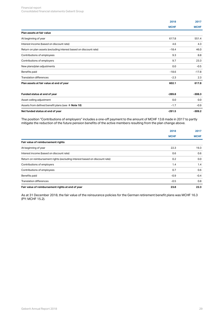|                                                                   | 2018        | 2017        |
|-------------------------------------------------------------------|-------------|-------------|
|                                                                   | <b>MCHF</b> | <b>MCHF</b> |
| Plan assets at fair value                                         |             |             |
| At beginning of year                                              | 617.8       | 551.4       |
| Interest income (based on discount rate)                          | 4.6         | 4.3         |
| Return on plan assets (excluding interest based on discount rate) | $-18.4$     | 46.0        |
| Contributions of employees                                        | 9.3         | 8.8         |
| Contributions of employers                                        | 9.7         | 23.3        |
| New plans/plan adjustments                                        | 0.0         | $-0.5$      |
| Benefits paid                                                     | $-18.6$     | $-17.8$     |
| <b>Translation differences</b>                                    | $-2.3$      | 2.3         |
| Plan assets at fair value at end of year                          | 602.1       | 617.8       |
| Funded status at end of year                                      | $-289.8$    | $-308.3$    |
| Asset ceiling adjustment                                          | 0.0         | 0.0         |
| Assets from defined benefit plans (see $\rightarrow$ Note 10)     | $-1.7$      | $-0.9$      |
| Net funded status at end of year                                  | $-291.5$    | $-309.2$    |

The position "Contributions of employers" includes a one-off payment to the amount of MCHF 13.8 made in 2017 to partly mitigate the reduction of the future pension benefits of the active members resulting from the plan change above.

|                                                                            | 2018        | 2017        |  |
|----------------------------------------------------------------------------|-------------|-------------|--|
|                                                                            | <b>MCHF</b> | <b>MCHF</b> |  |
| Fair value of reimbursement rights                                         |             |             |  |
| At beginning of year                                                       | 22.3        | 19.3        |  |
| Interest income (based on discount rate)                                   | 0.6         | 0.6         |  |
| Return on reimbursement rights (excluding interest based on discount rate) | 0.2         | 0.0         |  |
| Contributions of employers                                                 | 1.4         | 1.4         |  |
| Contributions of employees                                                 | 0.7         | 0.6         |  |
| Benefits paid                                                              | $-0.9$      | $-0.4$      |  |
| <b>Translation differences</b>                                             | $-0.5$      | 0.8         |  |
| Fair value of reimbursement rights at end of year                          | 23.8        | 22.3        |  |
|                                                                            |             |             |  |

As at 31 December 2018, the fair value of the reinsurance policies for the German retirement benefit plans was MCHF 16.3 (PY: MCHF 15.2).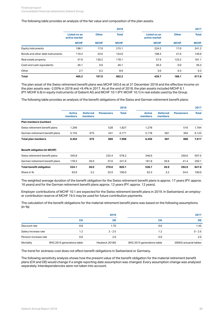#### The following table provides an analysis of the fair value and composition of the plan assets.

|                                  |                               |                                                                               | 2018                       |              |             | 2017        |  |
|----------------------------------|-------------------------------|-------------------------------------------------------------------------------|----------------------------|--------------|-------------|-------------|--|
|                                  | Listed on an<br>active market | <b>Other</b><br><b>Total</b><br>Listed on an<br><b>Other</b><br>active market |                            | <b>Total</b> |             |             |  |
|                                  | <b>MCHF</b>                   | <b>MCHF</b>                                                                   | <b>MCHF</b><br><b>MCHF</b> |              | <b>MCHF</b> | <b>MCHF</b> |  |
| Equity instruments               | 198.1                         | 17.0                                                                          | 215.1                      | 224.2        | 17.0        | 241.2       |  |
| Bonds and other debt instruments | 110.4                         | 43.6                                                                          | 154.0                      | 108.3        | 41.6        | 149.9       |  |
| Real estate property             | 47.9                          | 130.2                                                                         | 178.1                      | 57.9         | 123.2       | 181.1       |  |
| Cash and cash equivalents        | 46.1                          | 0.0                                                                           | 46.1                       | 36.3         | 0.0         | 36.3        |  |
| Other                            | 2.7                           | 6.2                                                                           | 8.9                        | 3.0          | 6.3         | 9.3         |  |
| <b>Total</b>                     | 405.2                         | 197.0                                                                         | 602.2                      | 429.7        | 188.1       | 617.8       |  |

The plan asset of the Swiss retirement benefit plans was MCHF 563.6 as at 31 December 2018 and the effective income on the plan assets was -2.05% in 2018 and +9.4% in 2017. As at the end of 2018, the plan assets included MCHF 6.1 (PY: MCHF 6.6) in equity instruments of Geberit AG and MCHF 10.1 (PY: MCHF 10.1) in real estate used by the Group.

The following table provides an analysis of the benefit obligations of the Swiss and German retirement benefit plans:

|                                     |                          | 2018                       |                   |              |                          |                            | 2017              |              |
|-------------------------------------|--------------------------|----------------------------|-------------------|--------------|--------------------------|----------------------------|-------------------|--------------|
|                                     | <b>Active</b><br>members | <b>Deferred</b><br>members | <b>Pensioners</b> | <b>Total</b> | <b>Active</b><br>members | <b>Deferred</b><br>members | <b>Pensioners</b> | <b>Total</b> |
| Plan members (number)               |                          |                            |                   |              |                          |                            |                   |              |
| Swiss retirement benefit plans      | 1,299                    |                            | 528               | 1,827        | 1,278                    |                            | 516               | 1,794        |
| German retirement benefit plans     | 5,155                    | 675                        | 341               | 6,171        | 5,178                    | 581                        | 364               | 6,123        |
| <b>Total plan members</b>           | 6,454                    | 675                        | 869               | 7,998        | 6,456                    | 581                        | 880               | 7,917        |
| <b>Benefit obligation (in MCHF)</b> |                          |                            |                   |              |                          |                            |                   |              |
| Swiss retirement benefit plans      | 345.8                    |                            | 232.4             | 578.2        | 346.9                    |                            | 250.6             | 597.5        |
| German retirement benefit plans     | 178.3                    | 26.0                       | 37.6              | 241.9        | 181.8                    | 26.9                       | 41.4              | 250.1        |

The weighted average duration of the benefit obligation for the Swiss retirement benefit plans is approx. 17 years (PY: approx. 16 years) and for the German retirement benefit plans approx. 12 years (PY: approx. 12 years).

**Total benefit obligation 524.1 26.0 270.0 820.1 528.7 26.9 292.0 847.6**

Share in % 63.9 5.2 32.9 100.0 62.3 3.2 34.5 100.0

Employer contributions of MCHF 10.1 are expected for the Swiss retirement benefit plans in 2019. In Switzerland, an employer contribution reserve of MCHF 19.5 may be used for future contribution payments.

The calculation of the benefit obligations for the material retirement benefit plans was based on the following assumptions (in %):

|                       |                            | 2018          |                            | 2017                   |  |  |  |
|-----------------------|----------------------------|---------------|----------------------------|------------------------|--|--|--|
|                       | <b>CH</b>                  | DE.           | <b>CH</b>                  | <b>DE</b>              |  |  |  |
| Discount rate         | 0.8                        | 1.70          | 0.6                        | 1.45                   |  |  |  |
| Salary increase rate  | 1.2                        | $2 - 2.5$     | 1.2                        | $0 - 2.5$              |  |  |  |
| Pension increase rate | 0.0                        | 2.0           | 0.0                        | 2.0                    |  |  |  |
| Mortality             | BVG 2015 generations table | Heubeck 2018G | BVG 2015 generations table | 2005G actuarial tables |  |  |  |

The trend for sickness cost does not affect benefit obligations in Switzerland or Germany.

The following sensitivity analysis shows how the present value of the benefit obligation for the material retirement benefit plans (CH and DE) would change if a single reporting date assumption was changed. Every assumption change was analysed separately. Interdependencies were not taken into account.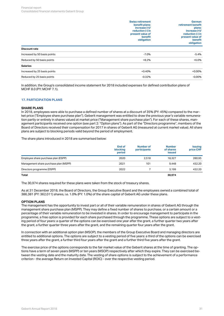|                              | <b>Swiss retirement</b><br>benefit plans:<br>increase $(+)/$<br>reduction (-) in<br>present value of<br>benefit<br>obligation | German<br>retirement benefit<br>plans:<br>increase $(+)/$<br>reduction (-) in<br>present value of<br>benefit<br>obligation |
|------------------------------|-------------------------------------------------------------------------------------------------------------------------------|----------------------------------------------------------------------------------------------------------------------------|
| Discount rate                |                                                                                                                               |                                                                                                                            |
| Increased by 50 basis points | -7.0%                                                                                                                         | $-5.4%$                                                                                                                    |
| Reduced by 50 basis points   | $+8.2%$                                                                                                                       | $+6.0%$                                                                                                                    |
| <b>Salaries</b>              |                                                                                                                               |                                                                                                                            |
| Increased by 25 basis points | +0.40%                                                                                                                        | +0.00%                                                                                                                     |
| Reduced by 25 basis points   | -0.32%                                                                                                                        | $-0.00\%$                                                                                                                  |
|                              |                                                                                                                               |                                                                                                                            |

In addition, the Group's consolidated income statement for 2018 included expenses for defined contribution plans of MCHF 8.0 (PY: MCHF 7.1).

### <span id="page-30-0"></span>**17. PARTICIPATION PLANS**

#### **SHARE PLANS**

In 2018, employees were able to purchase a defined number of shares at a discount of 35% (PY: 45%) compared to the market price ("Employee share purchase plan"). Geberit management was entitled to draw the previous year's variable remuneration partly or entirely in shares valued at market price ("Management share purchase plan"). For each of these shares, management participants received one option (see part 2: "Option plans"). As part of the "Directors programme", members of the Board of Directors received their compensation for 2017 in shares of Geberit AG (measured at current market value). All share plans are subject to blocking periods valid beyond the period of employment.

The share plans introduced in 2018 are summarised below:

|                                       | <b>End of</b><br>blocking<br>period | Number of<br>participants | <b>Number</b><br>of shares<br><b>issued</b> | <b>Issuing</b><br>price CHF |
|---------------------------------------|-------------------------------------|---------------------------|---------------------------------------------|-----------------------------|
| Employee share purchase plan (ESPP)   | 2020                                | 2.518                     | 18,327                                      | 280.95                      |
| Management share purchase plan (MSPP) | 2021                                | 101                       | 9,448                                       | 432.20                      |
| Directors programme (DSPP)            | 2022                                |                           | 3.199                                       | 432.20                      |
| <b>Total</b>                          |                                     |                           | 30,974                                      |                             |

The 30,974 shares required for these plans were taken from the stock of treasury shares.

As at 31 December 2018, the Board of Directors, the Group Executive Board and the employees owned a combined total of 386,381 (PY: 362,011) shares, i.e. 1.0% (PY: 1.0%) of the share capital of Geberit AG under these plans.

#### **OPTION PLANS**

The management has the opportunity to invest part or all of their variable remuneration in shares of Geberit AG through the management share purchase plan (MSPP). They may define a fixed number of shares to purchase, or a certain amount or a percentage of their variable remuneration to be invested in shares. In order to encourage management to participate in the programme, a free option is provided for each share purchased through the programme. These options are subject to a vesting period of four years: a quarter of the options can be exercised one year after the grant, a further quarter two years after the grant, a further quarter three years after the grant, and the remaining quarter four years after the grant.

In connection with an additional option plan (MSOP), the members of the Group Executive Board and managing directors are entitled to additional options. The options are subject to a vesting period of five years: a third of the options can be exercised three years after the grant, a further third four years after the grant and a further third five years after the grant.

The exercise price of the options corresponds to the fair market value of the Geberit shares at the time of granting. The options have a term of seven years (MSPP) or ten years (MSOP) respectively after which they expire. They can be exercised between the vesting date and the maturity date. The vesting of share options is subject to the achievement of a performance criterion - the average Return on Invested Capital (ROIC) - over the respective vesting period.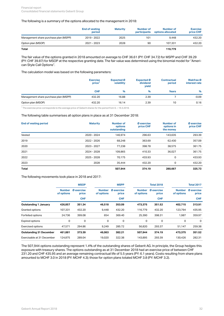#### The following is a summary of the options allocated to the management in 2018:

|                                       | <b>End of vesting</b><br>period | <b>Maturity</b> | Number of<br>participants | Number of<br>options allocated | <b>Exercise</b><br>price CHF |
|---------------------------------------|---------------------------------|-----------------|---------------------------|--------------------------------|------------------------------|
| Management share purchase plan (MSPP) | 2019 - 2022                     | 2025            | 101                       | 9.448                          | 432.20                       |
| Option plan (MSOP)                    | 2021 - 2023                     | 2028            | 90                        | 107.331                        | 432.20                       |
| <b>Total</b>                          |                                 |                 |                           | 116,779                        |                              |

The fair value of the options granted in 2018 amounted on average to CHF 36.61 (PY: CHF 34.72) for MSPP and CHF 39.29 (PY: CHF 39.87) for MSOP at the respective granting date. The fair value was determined using the binomial model for "American Style Call Options".

The calculation model was based on the following parameters:

|                                       | <b>Exercise</b><br>price | Expected Ø<br>volatility | <b>Expected</b> <sup>Ø</sup><br>dividend<br>yield | <b>Contractual</b><br>period | <b>Riskfree Ø</b><br>interest rate |
|---------------------------------------|--------------------------|--------------------------|---------------------------------------------------|------------------------------|------------------------------------|
|                                       | <b>CHF</b>               | $\%$                     | %                                                 | <b>Years</b>                 | %                                  |
| Management share purchase plan (MSPP) | 432.20                   | 16.88                    | 2.39                                              |                              | $-0.09$                            |
| Option plan (MSOP)                    | 432.20                   | 16.14                    | 2.39                                              | 10                           | 0.16                               |

 $^1$  The exercise price corresponds to the average price of Geberit shares for the period from 6. – 19.3.2018.

#### The following table summarises all option plans in place as at 31 December 2018:

| <b>End of vesting period</b> | <b>Maturity</b> | <b>Number of</b><br>options<br>outstanding | <b>Ø</b> exercise<br>price CHF | <b>Number of</b><br>options in<br>the money | <b>Ø</b> exercise<br>price CHF |
|------------------------------|-----------------|--------------------------------------------|--------------------------------|---------------------------------------------|--------------------------------|
| Vested                       | 2020 - 2024     | 146,974                                    | 296.63                         | 143,635                                     | 293.39                         |
| 2019                         | 2022 - 2026     | 68,248                                     | 363.69                         | 62,430                                      | 357.09                         |
| 2020                         | 2023 - 2027     | 77,238                                     | 398.78                         | 38,575                                      | 361.75                         |
| 2021                         | 2024 - 2028     | 109,865                                    | 410.33                         | 36,027                                      | 361.75                         |
| 2022                         | 2025 - 2028     | 70,175                                     | 433.93                         | 0                                           | 433.93                         |
| 2023                         | 2028            | 35,444                                     | 432.20                         | 0                                           | 432.20                         |
| <b>Total</b>                 |                 | 507.944                                    | 374.19                         | 280,667                                     | 325.73                         |

The following movements took place in 2018 and 2017:

|                                |                                                           | <b>MSOP</b> |                             | <b>MSPP</b>                |                             | <b>Total 2018</b>          |                             | <b>Total 2017</b>          |  |
|--------------------------------|-----------------------------------------------------------|-------------|-----------------------------|----------------------------|-----------------------------|----------------------------|-----------------------------|----------------------------|--|
|                                | <b>Ø</b> exercise<br><b>Number</b><br>of options<br>price |             | <b>Number</b><br>of options | <b>Ø</b> exercise<br>price | <b>Number</b><br>of options | <b>Ø</b> exercise<br>price | <b>Number</b><br>of options | <b>Ø</b> exercise<br>price |  |
|                                |                                                           | <b>CHF</b>  | <b>CHF</b>                  |                            |                             | <b>CHF</b>                 |                             | <b>CHF</b>                 |  |
| <b>Outstanding 1 January</b>   | 426,857                                                   | 351.34      | 46,518                      | 353.09                     | 473,375                     | 351.52                     | 402,715                     | 313.91                     |  |
| Granted options                | 107,331                                                   | 432.20      | 9,448                       | 432.20                     | 116,779                     | 432.20                     | 123,794                     | 435.95                     |  |
| Forfeited options              | 24,736                                                    | 399.08      | 654                         | 369.40                     | 25,390                      | 398.31                     | 1,987                       | 359.97                     |  |
| Expired options                | $\mathbf 0$                                               | 0           | 0                           | $\mathbf 0$                | 0                           | $\mathbf 0$                | $\mathbf 0$                 | 0                          |  |
| <b>Exercised options</b>       | 47,571                                                    | 294.86      | 9,249                       | 285.72                     | 56,820                      | 293.37                     | 51,147                      | 259.38                     |  |
| <b>Outstanding 31 December</b> | 461.881                                                   | 373.39      | 46,063                      | 382.21                     | 507,944                     | 374.19                     | 473.375                     | 351.52                     |  |
| Exercisable at 31 December     | 124.875                                                   | 289.04      | 19,020                      | 322.38                     | 143,895                     | 293.39                     | 130,426                     | 282.31                     |  |

The 507,944 options outstanding represent 1.4% of the outstanding shares of Geberit AG. In principle, the Group hedges this exposure with treasury shares. The options outstanding as at 31 December 2018 had an exercise price of between CHF 231.20 and CHF 435.95 and an average remaining contractual life of 5.5 years (PY: 6.1 years). Costs resulting from share plans amounted to MCHF 3.0 in 2018 (PY: MCHF 4.3); those for option plans totaled MCHF 3.8 (PY: MCHF 3.2).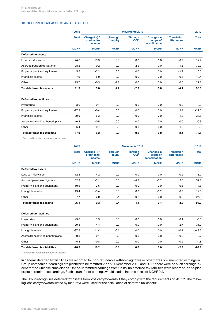### <span id="page-32-0"></span>**18. DEFERRED TAX ASSETS AND LIABILITIES**

|                                       | 2018         | <b>Movements 2018</b>                  |                          |                                    |                                                |                                   |              |
|---------------------------------------|--------------|----------------------------------------|--------------------------|------------------------------------|------------------------------------------------|-----------------------------------|--------------|
|                                       | <b>Total</b> | Charged (-) /<br>credited to<br>income | <b>Through</b><br>equity | <b>Through</b><br>OCI <sup>1</sup> | <b>Changes in</b><br>scope of<br>consolidation | <b>Translation</b><br>differences | <b>Total</b> |
|                                       | <b>MCHF</b>  | <b>MCHF</b>                            | <b>MCHF</b>              | <b>MCHF</b>                        | <b>MCHF</b>                                    | <b>MCHF</b>                       | <b>MCHF</b>  |
| <b>Deferred tax assets</b>            |              |                                        |                          |                                    |                                                |                                   |              |
| Loss carryforwards                    | 24.6         | 13.3                                   | 0.0                      | 0.0                                | 0.0                                            | $-0.9$                            | 12.2         |
| Accrued pension obligations           | 28.2         | 0.2                                    | 0.0                      | $-2.9$                             | 0.0                                            | $-1.3$                            | 32.2         |
| Property, plant and equipment         | 5.5          | $-3.2$                                 | 0.0                      | 0.0                                | 0.0                                            | $-1.9$                            | 10.6         |
| Intangible assets                     | 7.9          | $-5.0$                                 | 0.0                      | 0.0                                | 0.0                                            | $-0.5$                            | 13.4         |
| Other                                 | 25.7         | $-0.3$                                 | $-2.2$                   | 0.0                                | 0.0                                            | 0.5                               | 27.7         |
| Total deferred tax assets             | 91.9         | 5.0                                    | $-2.2$                   | $-2.9$                             | 0.0                                            | $-4.1$                            | 96.1         |
| <b>Deferred tax liabilities</b>       |              |                                        |                          |                                    |                                                |                                   |              |
| Inventories                           | $-3.5$       | 0.1                                    | 0.0                      | 0.0                                | 0.0                                            | 0.0                               | $-3.6$       |
| Property, plant and equipment         | $-27.3$      | $-0.4$                                 | 0.0                      | 0.0                                | 0.0                                            | 2.4                               | $-29.3$      |
| Intangible assets                     | $-29.9$      | 6.3                                    | 0.0                      | 0.0                                | 0.0                                            | 1.3                               | $-37.5$      |
| Assets from defined benefit plans     | $-0.8$       | $-0.5$                                 | 0.0                      | 0.0                                | 0.0                                            | 0.0                               | $-0.3$       |
| Other                                 | $-6.4$       | 0.7                                    | 0.0                      | 0.0                                | 0.0                                            | $-1.3$                            | $-5.8$       |
| <b>Total deferred tax liabilities</b> | $-67.9$      | 6.2                                    | 0.0                      | 0.0                                | 0.0                                            | 2.4                               | $-76.5$      |

 $1$  Recorded in other comprehensive income

|                               | 2017         | <b>Movements 2017</b>                  |                          |                                                   |                                                               |                                   |                             |
|-------------------------------|--------------|----------------------------------------|--------------------------|---------------------------------------------------|---------------------------------------------------------------|-----------------------------------|-----------------------------|
|                               | <b>Total</b> | Charged (-) /<br>credited to<br>income | <b>Through</b><br>equity | <b>Through</b><br>OCI <sup>1</sup><br><b>MCHF</b> | <b>Changes in</b><br>scope of<br>consolidation<br><b>MCHF</b> | <b>Translation</b><br>differences | <b>Total</b><br><b>MCHF</b> |
|                               | <b>MCHF</b>  | <b>MCHF</b>                            | <b>MCHF</b>              |                                                   |                                                               | <b>MCHF</b>                       |                             |
| Deferred tax assets           |              |                                        |                          |                                                   |                                                               |                                   |                             |
| Loss carryforwards            | 12.2         | 4.2                                    | 0.0                      | 0.0                                               | 0.0                                                           | $-0.2$                            | 8.2                         |
| Accrued pension obligations   | 32.2         | $-3.1$                                 | 0.0                      | $-4.3$                                            | $-0.2$                                                        | 2.6                               | 37.2                        |
| Property, plant and equipment | 10.6         | 2.6                                    | 0.0                      | 0.0                                               | 0.0                                                           | 0.5                               | 7.5                         |
| Intangible assets             | 13.4         | $-5.4$                                 | 0.0                      | 0.0                                               | $-0.2$                                                        | 0.0                               | 19.0                        |
| Other                         | 27.7         | 2.0                                    | 0.4                      | 0.2                                               | 0.0                                                           | 0.3                               | 24.8                        |
| Total deferred tax assets     | 96.1         | 0.3                                    | 0.4                      | $-4.1$                                            | $-0.4$                                                        | 3.2                               | 96.7                        |

#### **Deferred tax liabilities**

| Inventories                       | $-3.6$  | 1.3    | 0.0    | 0.0 | 0.0 | 0.1    | $-5.0$  |
|-----------------------------------|---------|--------|--------|-----|-----|--------|---------|
| Property, plant and equipment     | $-29.3$ | 4.4    | 0.0    | 0.0 | 0.0 | $-2.7$ | $-31.0$ |
| Intangible assets                 | $-37.5$ | 11.4   | $-0.1$ | 0.0 | 0.0 | $-0.1$ | $-48.7$ |
| Assets from defined benefit plans | $-0.3$  | $-0.1$ | 0.0    | 0.0 | 0.0 | 0.0    | $-0.2$  |
| Other                             | $-5.8$  | $-0.8$ | 0.0    | 0.0 | 0.0 | $-0.2$ | $-4.8$  |
| Total deferred tax liabilities    | $-76.5$ | 16.2   | $-0.1$ | 0.0 | 0.0 | $-2.9$ | $-89.7$ |

 $1$  Recorded in other comprehensive income

In general, deferred tax liabilities are recorded for non-refundable withholding taxes or other taxes on unremitted earnings in Group companies if earnings are planned to be remitted. As at 31 December 2018 and 2017, there were no such earnings, except for the Chinese subsidiaries. On the unremitted earnings from China, no deferred tax liabilities were recorded, as no plan exists to remit these earnings. Such a transfer of earnings would lead to income taxes of MCHF 0.2.

The Group recognises deferred tax assets from loss carryforwards if they comply with the requirements of IAS 12. The following loss carryforwards (listed by maturity) were used for the calculation of deferred tax assets: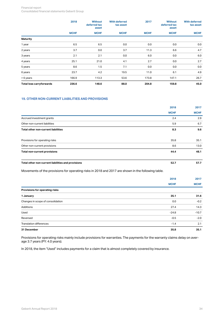#### Financial report Consolidated financial statements Geberit Group

|                          | 2018        | <b>Without</b><br>deferred tax<br>asset | <b>With deferred</b><br>tax asset | 2017        | <b>Without</b><br>deferred tax<br>asset | <b>With deferred</b><br>tax asset |
|--------------------------|-------------|-----------------------------------------|-----------------------------------|-------------|-----------------------------------------|-----------------------------------|
|                          | <b>MCHF</b> | <b>MCHF</b>                             | <b>MCHF</b>                       | <b>MCHF</b> | <b>MCHF</b>                             | <b>MCHF</b>                       |
| <b>Maturity</b>          |             |                                         |                                   |             |                                         |                                   |
| 1 year                   | 6.5         | 6.5                                     | 0.0                               | 0.0         | 0.0                                     | 0.0                               |
| 2 years                  | 3.7         | 0.0                                     | 3.7                               | 11.3        | 6.6                                     | 4.7                               |
| 3 years                  | 2.1         | 2.1                                     | 0.0                               | 6.0         | 0.0                                     | 6.0                               |
| 4 years                  | 25.1        | 21.0                                    | 4.1                               | 2.7         | 0.0                                     | 2.7                               |
| 5 years                  | 8.6         | 1.5                                     | 7.1                               | 0.0         | 0.0                                     | 0.0                               |
| 6 years                  | 23.7        | 4.2                                     | 19.5                              | 11.0        | 6.1                                     | 4.9                               |
| > 6 years                | 166.9       | 113.3                                   | 53.6                              | 173.8       | 147.1                                   | 26.7                              |
| Total loss carryforwards | 236.6       | 148.6                                   | 88.0                              | 204.8       | 159.8                                   | 45.0                              |

# <span id="page-33-0"></span>**19. OTHER NON-CURRENT LIABILITIES AND PROVISIONS**

|                                                    | 2018        | 2017        |  |
|----------------------------------------------------|-------------|-------------|--|
|                                                    | <b>MCHF</b> | <b>MCHF</b> |  |
| Accrued investment grants                          | 2.4         | 2.9         |  |
| Other non-current liabilities                      | 5.9         | 6.7         |  |
| Total other non-current liabilities                | 8.3         | 9.6         |  |
| Provisions for operating risks                     | 35.8        | 35.1        |  |
| Other non-current provisions                       | 8.6         | 13.0        |  |
| Total non-current provisions                       | 44.4        | 48.1        |  |
| Total other non-current liabilities and provisions | 52.7        | 57.7        |  |

Movements of the provisions for operating risks in 2018 and 2017 are shown in the following table.

|                                   | 2018        | 2017        |
|-----------------------------------|-------------|-------------|
|                                   | <b>MCHF</b> | <b>MCHF</b> |
| Provisions for operating risks    |             |             |
| 1 January                         | 35.1        | 31.6        |
| Changes in scope of consolidation | 0.0         | $-0.2$      |
| Additions                         | 27.4        | 14.3        |
| Used                              | $-24.8$     | $-10.7$     |
| Reversed                          | $-0.5$      | $-2.0$      |
| Translation differences           | $-1.4$      | 2.1         |
| 31 December                       | 35.8        | 35.1        |

Provisions for operating risks mainly include provisions for warranties. The payments for the warranty claims delay on average 3.7 years (PY: 4.0 years).

In 2018, the item "Used" includes payments for a claim that is almost completely covered by insurance.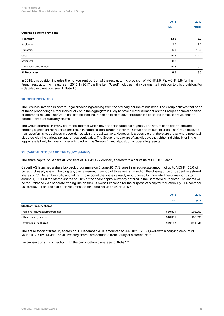| <b>MCHF</b><br>Other non-current provisions<br>1 January<br>13.0<br>Additions<br>2.7<br>Transfers<br>$-6.3$<br>Used<br>$-0.5$<br>Reversed<br>0.0<br>$-0.3$<br><b>Translation differences</b> |             | 2018 | 2017        |
|----------------------------------------------------------------------------------------------------------------------------------------------------------------------------------------------|-------------|------|-------------|
|                                                                                                                                                                                              |             |      | <b>MCHF</b> |
|                                                                                                                                                                                              |             |      |             |
|                                                                                                                                                                                              |             |      | 3.2         |
|                                                                                                                                                                                              |             |      | 2.7         |
|                                                                                                                                                                                              |             |      | 19.6        |
|                                                                                                                                                                                              |             |      | $-12.7$     |
|                                                                                                                                                                                              |             |      | $-0.5$      |
|                                                                                                                                                                                              |             |      | 0.7         |
|                                                                                                                                                                                              | 31 December | 8.6  | 13.0        |

In 2018, this position includes the non-current portion of the restructuring provision of MCHF 2.6 (PY: MCHF 8.8) for the French restructuring measures in 2017. In 2017 the line item "Used" includes mainly payments in relation to this provision. For a detailed explanation, see  $\rightarrow$  **[Note 13](#page-20-0)**.  $\rightarrow$ 

#### **20. CONTINGENCIES**

The Group is involved in several legal proceedings arising from the ordinary course of business. The Group believes that none of these proceedings either individually or in the aggregate is likely to have a material impact on the Group's financial position or operating results. The Group has established insurance policies to cover product liabilities and it makes provisions for potential product warranty claims.

The Group operates in many countries, most of which have sophisticated tax regimes. The nature of its operations and ongoing significant reorganisations result in complex legal structures for the Group and its subsidiaries. The Group believes that it performs its business in accordance with the local tax laws. However, it is possible that there are areas where potential disputes with the various tax authorities could arise. The Group is not aware of any dispute that either individually or in the aggregate is likely to have a material impact on the Group's financial position or operating results.

#### <span id="page-34-0"></span>**21. CAPITAL STOCK AND TREASURY SHARES**

The share capital of Geberit AG consists of 37,041,427 ordinary shares with a par value of CHF 0.10 each.

Geberit AG launched a share buyback programme on 6 June 2017. Shares in an aggregate amount of up to MCHF 450.0 will be repurchased, less withholding tax, over a maximum period of three years. Based on the closing price of Geberit registered shares on 31 December 2018 and taking into account the shares already repurchased by this date, this corresponds to around 1,100,000 registered shares or 3.0% of the share capital currently entered in the Commercial Register. The shares will be repurchased via a separate trading line on the SIX Swiss Exchange for the purpose of a capital reduction. By 31 December 2018, 650,801 shares had been repurchased for a total value of MCHF 276.5.

| Total treasury shares         | 999,182 | 391,640 |
|-------------------------------|---------|---------|
| Other treasury shares         | 348,381 | 186,390 |
| From share buyback programmes | 650,801 | 205,250 |
| Stock of treasury shares      |         |         |
|                               | pcs.    | pcs.    |
|                               | 2018    | 2017    |

The entire stock of treasury shares on 31 December 2018 amounted to 999,182 (PY: 391,640) with a carrying amount of MCHF 417.7 (PY: MCHF 156.4). Treasury shares are deducted from equity at historical cost.

For transactions in connection with the participation plans, see  $\rightarrow$  **[Note 17](#page-30-0)**.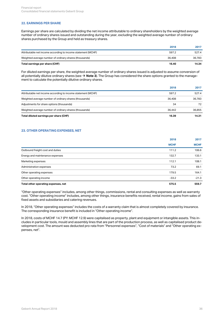#### <span id="page-35-1"></span>**22. EARNINGS PER SHARE**

Earnings per share are calculated by dividing the net income attributable to ordinary shareholders by the weighted average number of ordinary shares issued and outstanding during the year, excluding the weighted average number of ordinary shares purchased by the Group and held as treasury shares.

| Total earnings per share (CHF)                               | 16.40  | 14.34  |
|--------------------------------------------------------------|--------|--------|
| Weighted average number of ordinary shares (thousands)       | 36,408 | 36,783 |
| Attributable net income according to income statement (MCHF) | 597.2  | 527.4  |
|                                                              | 2018   | 2017   |

For diluted earnings per share, the weighted average number of ordinary shares issued is adjusted to assume conversion of all potentially dilutive ordinary shares (see  $\to$  **[Note 3](#page-8-0)**). The Group has considered the share options granted to the management to calculate the potentially dilutive ordinary shares.

| Total diluted earnings per share (CHF)                       | 16.39  | 14.31  |
|--------------------------------------------------------------|--------|--------|
| Weighted average number of ordinary shares (thousands)       | 36.442 | 36,855 |
| Adjustments for share options (thousands)                    | 34     | 72     |
| Weighted average number of ordinary shares (thousands)       | 36,408 | 36,783 |
| Attributable net income according to income statement (MCHF) | 597.2  | 527.4  |
|                                                              | 2018   | 2017   |

## <span id="page-35-0"></span>**23. OTHER OPERATING EXPENSES, NET**

|                                     | 2018        | 2017        |
|-------------------------------------|-------------|-------------|
|                                     | <b>MCHF</b> | <b>MCHF</b> |
| Outbound freight cost and duties    | 111.2       | 106.6       |
| Energy and maintenance expenses     | 132.7       | 133.1       |
| Marketing expenses                  | 112.1       | 108.1       |
| Administration expenses             | 73.2        | 69.1        |
| Other operating expenses            | 179.5       | 164.1       |
| Other operating income              | $-33.2$     | $-21.3$     |
| Total other operating expenses, net | 575.5       | 559.7       |

"Other operating expenses" includes, among other things, commissions, rental and consulting expenses as well as warranty cost. "Other operating income" includes, among other things, insurance benefits received, rental income, gains from sales of fixed assets and subsidiaries and catering revenues.

In 2018, "Other operating expenses" includes the costs of a warranty claim that is almost completely covered by insurance. The corresponding insurance benefit is included in "Other operating income".

In 2018, costs of MCHF 14.7 (PY: MCHF 12.9) were capitalised as property, plant and equipment or intangible assets. This includes in particular tools, mould and assembly lines that are part of the production process, as well as capitalised product development cost. The amount was deducted pro-rata from "Personnel expenses", "Cost of materials" and "Other operating expenses, net".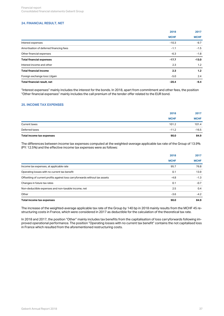# <span id="page-36-0"></span>**24. FINANCIAL RESULT, NET**

|                                         | 2018        | 2017        |
|-----------------------------------------|-------------|-------------|
|                                         | <b>MCHF</b> | <b>MCHF</b> |
| Interest expenses                       | $-10.3$     | $-9.7$      |
| Amortisation of deferred financing fees | $-1.1$      | $-1.5$      |
| Other financial expenses                | $-6.3$      | $-1.8$      |
| <b>Total financial expenses</b>         | $-17.7$     | $-13.0$     |
| Interest income and other               | 2.3         | 1.2         |
| <b>Total financial income</b>           | 2.3         | $1.2$       |
| Foreign exchange loss (-)/gain          | $-5.0$      | 2.4         |
| Total financial result, net             | $-20.4$     | $-9.4$      |

"Interest expenses" mainly includes the interest for the bonds. In 2018, apart from commitment and other fees, the position "Other financial expenses" mainly includes the call premium of the tender offer related to the EUR bond.

#### <span id="page-36-1"></span>**25. INCOME TAX EXPENSES**

|                           | 2018        | 2017        |
|---------------------------|-------------|-------------|
|                           | <b>MCHF</b> | <b>MCHF</b> |
| Current taxes             | 101.2       | 101.4       |
| Deferred taxes            | $-11.2$     | $-16.5$     |
| Total income tax expenses | 90.0        | 84.9        |

The differences between income tax expenses computed at the weighted-average applicable tax rate of the Group of 13.9% (PY: 12.5%) and the effective income tax expenses were as follows:

|                                                                             | 2018<br><b>MCHF</b> | 2017<br><b>MCHF</b> |
|-----------------------------------------------------------------------------|---------------------|---------------------|
|                                                                             |                     |                     |
| Income tax expenses, at applicable rate                                     | 95.7                | 76.8                |
| Operating losses with no current tax benefit                                | 0.1                 | 13.9                |
| Offsetting of current profits against loss carryforwards without tax assets | $-4.8$              | $-1.3$              |
| Changes in future tax rates                                                 | 0.1                 | $-0.7$              |
| Non-deductible expenses and non-taxable income, net                         | 2.5                 | 0.4                 |
| Other                                                                       | $-3.6$              | $-4.2$              |
| Total income tax expenses                                                   | 90.0                | 84.9                |

The increase of the weighted-average applicable tax rate of the Group by 140 bp in 2018 mainly results from the MCHF 45 restructuring costs in France, which were considered in 2017 as deductible for the calculation of the theoretical tax rate.

In 2018 and 2017, the position "Other" mainly includes tax benefits from the capitalisation of loss carryforwards following improved operational performance. The position "Operating losses with no current tax benefit" contains the not capitalised loss in France which resulted from the aforementioned restructuring costs.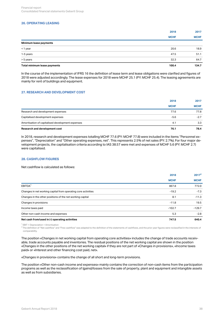# **26. OPERATING LEASING**

|                              | 2018        | 2017        |
|------------------------------|-------------|-------------|
|                              | <b>MCHF</b> | <b>MCHF</b> |
| Minimum lease payments       |             |             |
| < 1 year                     | 20.6        | 18.9        |
| 1-5 years                    | 47.5        | 51.1        |
| > 5 years                    | 32.3        | 64.7        |
| Total minimum lease payments | 100.4       | 134.7       |

In the course of the implementation of IFRS 16 the definition of lease term and lease obligations were clarified and figures of 2018 were adjusted accordingly. The lease expenses for 2018 were MCHF 25.1 (PY: MCHF 25.4). The leasing agreements are mainly for rent of buildings and equipment.

#### <span id="page-37-1"></span>**27. RESEARCH AND DEVELOPMENT COST**

| Research and development cost                    | 76.1        | 78.4        |
|--------------------------------------------------|-------------|-------------|
| Amortisation of capitalised development expenses | 4.1         | 3.3         |
| Capitalised development expenses                 | $-5.6$      | $-2.7$      |
| Research and development expenses                | 77.6        | 77.8        |
|                                                  | <b>MCHF</b> | <b>MCHF</b> |
|                                                  | 2018        | 2017        |
|                                                  |             |             |

In 2018, research and development expenses totalling MCHF 77.6 (PY: MCHF 77.8) were included in the items "Personnel expenses", "Depreciation" and "Other operating expenses, net". This represents 2.5% of net sales (PY: 2.7%). For four major development projects, the capitalisation criteria according to IAS 38.57 were met and expenses of MCHF 5.6 (PY: MCHF 2.7) were capitalised.

# <span id="page-37-0"></span>**28. CASHFLOW FIGURES**

Net cashflow is calculated as follows:

| Net cash from/used in (-) operating activities                | 747.5       | 640.4       |
|---------------------------------------------------------------|-------------|-------------|
| Other non-cash income and expenses                            | 5.3         | $-2.8$      |
| Income taxes paid                                             | $-102.7$    | $-129.7$    |
| Changes in provisions                                         | $-11.8$     | 19.5        |
| Changes in the other positions of the net working capital     | 8.1         | $-11.3$     |
| Changes in net working capital from operating core activities | $-19.2$     | $-7.3$      |
| EBITDA <sup>1</sup>                                           | 867.8       | 772.0       |
|                                                               | <b>MCHF</b> | <b>MCHF</b> |
|                                                               | 2018        | $2017^2$    |

<sup>1</sup> EBIT + Depreciation + Amortisation

 $^2$  The definition of "Net cashflow" and "Free cashflow" was adapted to the definition of the statements of cashflows, and the prior year figures were reclassified in the interests of comparability.

The position «Changes in net working capital from operating core activities» includes the change of trade accounts receivable, trade accounts payable and inventories. The residual positions of the net working capital are shown in the position «Changes in the other positions of the net working capital» if they are not part of «Changes in provisions», «Income taxes paid» or «Interest and other financing cost paid, net».

«Changes in provisions» contains the change of all short and long-term provisions.

The position «Other non-cash income and expenses» mainly contains the correction of non-cash items from the participation programs as well as the reclassification of (gains)/losses from the sale of property, plant and equipment and intangible assets as well as from subsidiaries.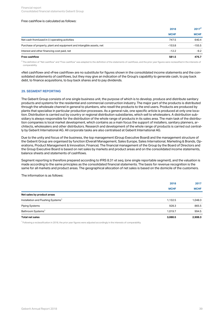#### Free cashflow is calculated as follows:

| Free cashflow                                                        | 581.5       | 475.7       |
|----------------------------------------------------------------------|-------------|-------------|
| Interest and other financing cost paid, net                          | $-12.2$     | $-9.2$      |
| Purchase of property, plant and equipment and intangible assets, net | $-153.8$    | $-155.5$    |
| Net cash from/used in (-) operating activities                       | 747.5       | 640.4       |
|                                                                      | <b>MCHF</b> | <b>MCHF</b> |
|                                                                      | 2018        | $2017^2$    |

 $^2$  The definition of "Net cashflow" and "Free cashflow" was adapted to the definition of the statements of cashflows, and the prior year figures were reclassified in the interests of comparability.

«Net cashflow» and «Free cashflow» are no substitute for figures shown in the consolidated income statements and the consolidated statements of cashflows, but they may give an indication of the Group's capability to generate cash, to pay back debt, to finance acquisitions, to buy back shares and to pay dividends.

#### <span id="page-38-0"></span>**29. SEGMENT REPORTING**

The Geberit Group consists of one single business unit, the purpose of which is to develop, produce and distribute sanitary products and systems for the residential and commercial construction industry. The major part of the products is distributed through the wholesale channel in general to plumbers, who resell the products to the end users. Products are produced by plants that specialise in particular production processes. As a general rule, one specific article is produced at only one location. Distribution is carried out by country or regional distribution subsidiaries, which sell to wholesalers. A distribution subsidiary is always responsible for the distribution of the whole range of products in its sales area. The main task of the distribution companies is local market development, which contains as a main focus the support of installers, sanitary planners, architects, wholesalers and other distributors. Research and development of the whole range of products is carried out centrally by Geberit International AG. All corporate tasks are also centralised at Geberit International AG.

Due to the unity and focus of the business, the top management (Group Executive Board) and the management structure of the Geberit Group are organised by function (Overall Management, Sales Europe, Sales International, Marketing & Brands, Operations, Product Management & Innovation, Finance). The financial management of the Group by the Board of Directors and the Group Executive Board is based on net sales by markets and product areas and on the consolidated income statements, balance sheets and statements of cashflows.

Segment reporting is therefore prepared according to IFRS 8.31 et seq. (one single reportable segment), and the valuation is made according to the same principles as the consolidated financial statements. The basis for revenue recognition is the same for all markets and product areas. The geographical allocation of net sales is based on the domicile of the customers.

The information is as follows:

| Total net sales                                | 3,080.5     | 2,908.3     |
|------------------------------------------------|-------------|-------------|
| Bathroom Systems <sup>1</sup>                  | 1,019.7     | 994.5       |
| Piping Systems                                 | 928.3       | 865.5       |
| Installation and Flushing Systems <sup>1</sup> | 1,132.5     | 1,048.3     |
| Net sales by product areas                     |             |             |
|                                                | <b>MCHF</b> | <b>MCHF</b> |
|                                                | 2018        | 2017        |

 $^1$  Following a reclassification in 2018, the prior year figures were adjusted accordingly in the interests of comparability.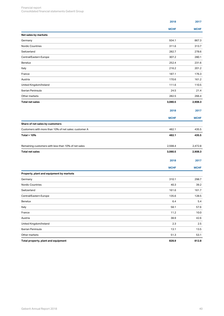|                                                       | 2018        | 2017        |
|-------------------------------------------------------|-------------|-------------|
|                                                       | <b>MCHF</b> | <b>MCHF</b> |
| Net sales by markets                                  |             |             |
| Germany                                               | 934.1       | 867.3       |
| Nordic Countries                                      | 311.6       | 313.7       |
| Switzerland                                           | 282.7       | 278.6       |
| Central/Eastern Europe                                | 307.2       | 280.1       |
| Benelux                                               | 252.4       | 231.6       |
| Italy                                                 | 216.2       | 201.2       |
| France                                                | 187.1       | 176.3       |
| Austria                                               | 170.6       | 161.2       |
| United Kingdom/Ireland                                | 111.6       | 110.5       |
| Iberian Peninsula                                     | 24.5        | 21.4        |
| Other markets                                         | 282.5       | 266.4       |
| <b>Total net sales</b>                                | 3,080.5     | 2,908.3     |
|                                                       | 2018        | 2017        |
|                                                       | <b>MCHF</b> | <b>MCHF</b> |
| Share of net sales by customers                       |             |             |
| Customers with more than 10% of net sales: customer A | 482.1       | 435.5       |
| <b>Total &gt; 10%</b>                                 | 482.1       | 435.5       |
| Remaining customers with less than 10% of net sales   | 2,598.4     | 2,472.8     |
| <b>Total net sales</b>                                | 3,080.5     | 2,908.3     |
|                                                       |             |             |
|                                                       | 2018        | 2017        |
|                                                       | <b>MCHF</b> | <b>MCHF</b> |
| Property, plant and equipment by markets              |             |             |
| Germany                                               | 310.1       | 298.7       |
| <b>Nordic Countries</b>                               | 40.3        | 39.2        |
| Switzerland                                           | 161.6       | 161.7       |
| Central/Eastern Europe                                | 135.6       | 128.5       |
| Benelux                                               | 6.4         | $5.4\,$     |
| Italy                                                 | 58.1        | 57.6        |
| France                                                | 11.2        | 10.0        |
| Austria                                               | 38.9        | 42.6        |
| United Kingdom/Ireland                                | $2.3\,$     | $2.5\,$     |
| Iberian Peninsula                                     | 13.1        | 13.5        |
| Other markets                                         | 51.3        | 53.1        |
| Total property, plant and equipment                   | 828.9       | 812.8       |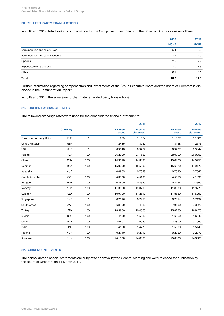# **30. RELATED PARTY TRANSACTIONS**

In 2018 and 2017, total booked compensation for the Group Executive Board and the Board of Directors was as follows:

|                                  | 2018        | 2017        |
|----------------------------------|-------------|-------------|
|                                  | <b>MCHF</b> | <b>MCHF</b> |
| Remuneration and salary fixed    | 5.4         | 5.5         |
| Remuneration and salary variable | 1.7         | 2.0         |
| Options                          | 2.5         | 2.7         |
| Expenditure on pensions          | 1.0         | 1.5         |
| Other                            | 0.1         | 0.1         |
| Total                            | 10.7        | 11.8        |

Further information regarding compensation and investments of the Group Executive Board and the Board of Directors is disclosed in the Remuneration Report.

In 2018 and 2017, there were no further material related party transactions.

### **31. FOREIGN EXCHANGE RATES**

The following exchange rates were used for the consolidated financial statements:

|                         |                 |              |                         | 2018                       |                         | 2017                       |
|-------------------------|-----------------|--------------|-------------------------|----------------------------|-------------------------|----------------------------|
|                         | <b>Currency</b> |              | <b>Balance</b><br>sheet | <b>Income</b><br>statement | <b>Balance</b><br>sheet | <b>Income</b><br>statement |
| European Currency Union | <b>EUR</b>      | $\mathbf{1}$ | 1.1255                  | 1.1564                     | 1.1687                  | 1.1086                     |
| United Kingdom          | GBP             | $\mathbf{1}$ | 1.2489                  | 1.3050                     | 1.3168                  | 1.2675                     |
| <b>USA</b>              | <b>USD</b>      | $\mathbf{1}$ | 0.9848                  | 0.9782                     | 0.9777                  | 0.9844                     |
| Poland                  | <b>PLN</b>      | 100          | 26.2000                 | 27.1550                    | 28.0300                 | 26.0350                    |
| China                   | <b>CNY</b>      | 100          | 14.3110                 | 14.8090                    | 15.0200                 | 14.5750                    |
| Denmark                 | <b>DKK</b>      | 100          | 15.0700                 | 15.5090                    | 15.6920                 | 14.9170                    |
| Australia               | <b>AUD</b>      | $\mathbf{1}$ | 0.6955                  | 0.7328                     | 0.7620                  | 0.7547                     |
| Czech Republic          | CZK             | 100          | 4.3700                  | 4.5190                     | 4.5650                  | 4.1890                     |
| Hungary                 | <b>HUF</b>      | 100          | 0.3500                  | 0.3640                     | 0.3764                  | 0.3590                     |
| Norway                  | <b>NOK</b>      | 100          | 11.3300                 | 12.0290                    | 11.8630                 | 11.9270                    |
| Sweden                  | <b>SEK</b>      | 100          | 10.9700                 | 11.2610                    | 11.8530                 | 11.5290                    |
| Singapore               | SGD             | $\mathbf{1}$ | 0.7216                  | 0.7253                     | 0.7314                  | 0.7129                     |
| South Africa            | ZAR             | 100          | 6.8400                  | 7.4330                     | 7.9100                  | 7.3820                     |
| Turkey                  | <b>TRY</b>      | 100          | 18.5800                 | 20.4560                    | 25.8250                 | 26.8470                    |
| Russia                  | <b>RUB</b>      | 100          | 1.4130                  | 1.5630                     | 1.6960                  | 1.6840                     |
| Ukraine                 | <b>UAH</b>      | 100          | 3.5401                  | 3.6030                     | 3.4800                  | 3.7060                     |
| India                   | <b>INR</b>      | 100          | 1.4100                  | 1.4270                     | 1.5300                  | 1.5140                     |
| Nigeria                 | <b>NGN</b>      | 100          | 0.2710                  | 0.2710                     | 0.2720                  | 0.2970                     |
| Romania                 | <b>RON</b>      | 100          | 24.1300                 | 24.8030                    | 25.0800                 | 24.3080                    |
|                         |                 |              |                         |                            |                         |                            |

# **32. SUBSEQUENT EVENTS**

The consolidated financial statements are subject to approval by the General Meeting and were released for publication by the Board of Directors on 11 March 2019.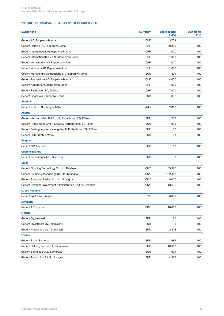# <span id="page-41-0"></span>**33. GROUP COMPANIES AS AT 31 DECEMBER 2018**

| CHF<br>Geberit AG, Rapperswil-Jona<br>3,704<br>Geberit Holding AG, Rapperswil-Jona<br>CHF<br>39,350<br>100<br>CHF<br>Geberit International AG, Rapperswil-Jona<br>1,000<br>100<br>CHF<br>Geberit International Sales AG, Rapperswil-Jona<br>1,000<br>100<br>CHF<br>Geberit Verwaltungs AG, Rapperswil-Jona<br>1,000<br>100<br>Geberit Vertriebs AG, Rapperswil-Jona<br>CHF<br>1,000<br>100<br><b>EUR</b><br>821<br>Geberit Marketing e Distribuzione SA, Rapperswil-Jona<br>100<br>Geberit Produktions AG, Rapperswil-Jona<br>CHF<br>4,000<br>100<br>CHF<br>1,000<br>Geberit Apparate AG, Rapperswil-Jona<br>100<br>Geberit Fabrication SA, Givisiez<br>CHF<br>7,000<br>100<br>Geberit Finanz AG, Rapperswil-Jona<br><b>EUR</b><br>832<br>100<br><b>Australia</b><br>Geberit Pty Ltd., North Ryde NSW<br><b>AUD</b><br>2,060<br>100<br>Austria<br>Geberit Vertriebs GmbH & Co KG, Pottenbrunn / St. Pölten<br><b>EUR</b><br>728<br>100<br><b>EUR</b><br>Geberit Produktions GmbH & Co KG, Pottenbrunn / St. Pölten<br>7,995<br>100<br>Geberit Beteiligungsverwaltung GmbH, Pottenbrunn / St. Pölten<br><b>EUR</b><br>35<br>100<br><b>EUR</b><br>37<br>Geberit Huter GmbH, Matrei<br>100<br><b>Belgium</b><br><b>EUR</b><br>62<br>Geberit N.V., Machelen<br>100<br><b>Channel Islands</b><br><b>EUR</b><br>$\overline{2}$<br>100<br>Geberit Reinsurance Ltd., Guernsey<br><b>China</b><br>Geberit Flushing Technology Co. Ltd., Daishan<br><b>CNY</b><br>63,376<br>100<br>Geberit Plumbing Technology Co. Ltd., Shanghai<br><b>CNY</b><br>152,453<br>100<br>Geberit Shanghai Trading Co. Ltd., Shanghai<br><b>CNY</b><br>5,000<br>100<br>Geberit Shanghai Investment Administration Co. Ltd., Shanghai<br><b>CNY</b><br>13,638<br>100<br><b>Czech Republic</b><br>Geberit spol. s.r.o., Prague<br>CZK<br>6,000<br>100<br><b>Denmark</b><br>Geberit A/S, Lystrup<br><b>DKK</b><br>10,000<br>100<br><b>Finland</b><br>Geberit Oy, Helsinki<br><b>EUR</b><br>50<br>100<br>Geberit Investment Oy, Tammisaari<br><b>EUR</b><br>3<br>100<br><b>EUR</b><br>Geberit Production Oy, Tammisaari<br>2,813<br>100<br><b>France</b><br><b>EUR</b><br>1,686<br>Geberit S.a.r.l., Samoreau<br>100<br>Geberit Holding France S.A., Samoreau<br><b>EUR</b><br>10,388<br>100<br>Geberit Services S.A.S., Samoreau<br><b>EUR</b><br>1,931<br>100 | <b>Switzerland</b>                 | <b>Currency</b> | <b>Share capital</b><br>(000) | <b>Ownership</b><br>in % |
|------------------------------------------------------------------------------------------------------------------------------------------------------------------------------------------------------------------------------------------------------------------------------------------------------------------------------------------------------------------------------------------------------------------------------------------------------------------------------------------------------------------------------------------------------------------------------------------------------------------------------------------------------------------------------------------------------------------------------------------------------------------------------------------------------------------------------------------------------------------------------------------------------------------------------------------------------------------------------------------------------------------------------------------------------------------------------------------------------------------------------------------------------------------------------------------------------------------------------------------------------------------------------------------------------------------------------------------------------------------------------------------------------------------------------------------------------------------------------------------------------------------------------------------------------------------------------------------------------------------------------------------------------------------------------------------------------------------------------------------------------------------------------------------------------------------------------------------------------------------------------------------------------------------------------------------------------------------------------------------------------------------------------------------------------------------------------------------------------------------------------------------------------------------------------------------------------------------------------------------------------------------------------------------------------------------------------|------------------------------------|-----------------|-------------------------------|--------------------------|
|                                                                                                                                                                                                                                                                                                                                                                                                                                                                                                                                                                                                                                                                                                                                                                                                                                                                                                                                                                                                                                                                                                                                                                                                                                                                                                                                                                                                                                                                                                                                                                                                                                                                                                                                                                                                                                                                                                                                                                                                                                                                                                                                                                                                                                                                                                                              |                                    |                 |                               |                          |
|                                                                                                                                                                                                                                                                                                                                                                                                                                                                                                                                                                                                                                                                                                                                                                                                                                                                                                                                                                                                                                                                                                                                                                                                                                                                                                                                                                                                                                                                                                                                                                                                                                                                                                                                                                                                                                                                                                                                                                                                                                                                                                                                                                                                                                                                                                                              |                                    |                 |                               |                          |
|                                                                                                                                                                                                                                                                                                                                                                                                                                                                                                                                                                                                                                                                                                                                                                                                                                                                                                                                                                                                                                                                                                                                                                                                                                                                                                                                                                                                                                                                                                                                                                                                                                                                                                                                                                                                                                                                                                                                                                                                                                                                                                                                                                                                                                                                                                                              |                                    |                 |                               |                          |
|                                                                                                                                                                                                                                                                                                                                                                                                                                                                                                                                                                                                                                                                                                                                                                                                                                                                                                                                                                                                                                                                                                                                                                                                                                                                                                                                                                                                                                                                                                                                                                                                                                                                                                                                                                                                                                                                                                                                                                                                                                                                                                                                                                                                                                                                                                                              |                                    |                 |                               |                          |
|                                                                                                                                                                                                                                                                                                                                                                                                                                                                                                                                                                                                                                                                                                                                                                                                                                                                                                                                                                                                                                                                                                                                                                                                                                                                                                                                                                                                                                                                                                                                                                                                                                                                                                                                                                                                                                                                                                                                                                                                                                                                                                                                                                                                                                                                                                                              |                                    |                 |                               |                          |
|                                                                                                                                                                                                                                                                                                                                                                                                                                                                                                                                                                                                                                                                                                                                                                                                                                                                                                                                                                                                                                                                                                                                                                                                                                                                                                                                                                                                                                                                                                                                                                                                                                                                                                                                                                                                                                                                                                                                                                                                                                                                                                                                                                                                                                                                                                                              |                                    |                 |                               |                          |
|                                                                                                                                                                                                                                                                                                                                                                                                                                                                                                                                                                                                                                                                                                                                                                                                                                                                                                                                                                                                                                                                                                                                                                                                                                                                                                                                                                                                                                                                                                                                                                                                                                                                                                                                                                                                                                                                                                                                                                                                                                                                                                                                                                                                                                                                                                                              |                                    |                 |                               |                          |
|                                                                                                                                                                                                                                                                                                                                                                                                                                                                                                                                                                                                                                                                                                                                                                                                                                                                                                                                                                                                                                                                                                                                                                                                                                                                                                                                                                                                                                                                                                                                                                                                                                                                                                                                                                                                                                                                                                                                                                                                                                                                                                                                                                                                                                                                                                                              |                                    |                 |                               |                          |
|                                                                                                                                                                                                                                                                                                                                                                                                                                                                                                                                                                                                                                                                                                                                                                                                                                                                                                                                                                                                                                                                                                                                                                                                                                                                                                                                                                                                                                                                                                                                                                                                                                                                                                                                                                                                                                                                                                                                                                                                                                                                                                                                                                                                                                                                                                                              |                                    |                 |                               |                          |
|                                                                                                                                                                                                                                                                                                                                                                                                                                                                                                                                                                                                                                                                                                                                                                                                                                                                                                                                                                                                                                                                                                                                                                                                                                                                                                                                                                                                                                                                                                                                                                                                                                                                                                                                                                                                                                                                                                                                                                                                                                                                                                                                                                                                                                                                                                                              |                                    |                 |                               |                          |
|                                                                                                                                                                                                                                                                                                                                                                                                                                                                                                                                                                                                                                                                                                                                                                                                                                                                                                                                                                                                                                                                                                                                                                                                                                                                                                                                                                                                                                                                                                                                                                                                                                                                                                                                                                                                                                                                                                                                                                                                                                                                                                                                                                                                                                                                                                                              |                                    |                 |                               |                          |
|                                                                                                                                                                                                                                                                                                                                                                                                                                                                                                                                                                                                                                                                                                                                                                                                                                                                                                                                                                                                                                                                                                                                                                                                                                                                                                                                                                                                                                                                                                                                                                                                                                                                                                                                                                                                                                                                                                                                                                                                                                                                                                                                                                                                                                                                                                                              |                                    |                 |                               |                          |
|                                                                                                                                                                                                                                                                                                                                                                                                                                                                                                                                                                                                                                                                                                                                                                                                                                                                                                                                                                                                                                                                                                                                                                                                                                                                                                                                                                                                                                                                                                                                                                                                                                                                                                                                                                                                                                                                                                                                                                                                                                                                                                                                                                                                                                                                                                                              |                                    |                 |                               |                          |
|                                                                                                                                                                                                                                                                                                                                                                                                                                                                                                                                                                                                                                                                                                                                                                                                                                                                                                                                                                                                                                                                                                                                                                                                                                                                                                                                                                                                                                                                                                                                                                                                                                                                                                                                                                                                                                                                                                                                                                                                                                                                                                                                                                                                                                                                                                                              |                                    |                 |                               |                          |
|                                                                                                                                                                                                                                                                                                                                                                                                                                                                                                                                                                                                                                                                                                                                                                                                                                                                                                                                                                                                                                                                                                                                                                                                                                                                                                                                                                                                                                                                                                                                                                                                                                                                                                                                                                                                                                                                                                                                                                                                                                                                                                                                                                                                                                                                                                                              |                                    |                 |                               |                          |
|                                                                                                                                                                                                                                                                                                                                                                                                                                                                                                                                                                                                                                                                                                                                                                                                                                                                                                                                                                                                                                                                                                                                                                                                                                                                                                                                                                                                                                                                                                                                                                                                                                                                                                                                                                                                                                                                                                                                                                                                                                                                                                                                                                                                                                                                                                                              |                                    |                 |                               |                          |
|                                                                                                                                                                                                                                                                                                                                                                                                                                                                                                                                                                                                                                                                                                                                                                                                                                                                                                                                                                                                                                                                                                                                                                                                                                                                                                                                                                                                                                                                                                                                                                                                                                                                                                                                                                                                                                                                                                                                                                                                                                                                                                                                                                                                                                                                                                                              |                                    |                 |                               |                          |
|                                                                                                                                                                                                                                                                                                                                                                                                                                                                                                                                                                                                                                                                                                                                                                                                                                                                                                                                                                                                                                                                                                                                                                                                                                                                                                                                                                                                                                                                                                                                                                                                                                                                                                                                                                                                                                                                                                                                                                                                                                                                                                                                                                                                                                                                                                                              |                                    |                 |                               |                          |
|                                                                                                                                                                                                                                                                                                                                                                                                                                                                                                                                                                                                                                                                                                                                                                                                                                                                                                                                                                                                                                                                                                                                                                                                                                                                                                                                                                                                                                                                                                                                                                                                                                                                                                                                                                                                                                                                                                                                                                                                                                                                                                                                                                                                                                                                                                                              |                                    |                 |                               |                          |
|                                                                                                                                                                                                                                                                                                                                                                                                                                                                                                                                                                                                                                                                                                                                                                                                                                                                                                                                                                                                                                                                                                                                                                                                                                                                                                                                                                                                                                                                                                                                                                                                                                                                                                                                                                                                                                                                                                                                                                                                                                                                                                                                                                                                                                                                                                                              |                                    |                 |                               |                          |
|                                                                                                                                                                                                                                                                                                                                                                                                                                                                                                                                                                                                                                                                                                                                                                                                                                                                                                                                                                                                                                                                                                                                                                                                                                                                                                                                                                                                                                                                                                                                                                                                                                                                                                                                                                                                                                                                                                                                                                                                                                                                                                                                                                                                                                                                                                                              |                                    |                 |                               |                          |
|                                                                                                                                                                                                                                                                                                                                                                                                                                                                                                                                                                                                                                                                                                                                                                                                                                                                                                                                                                                                                                                                                                                                                                                                                                                                                                                                                                                                                                                                                                                                                                                                                                                                                                                                                                                                                                                                                                                                                                                                                                                                                                                                                                                                                                                                                                                              |                                    |                 |                               |                          |
|                                                                                                                                                                                                                                                                                                                                                                                                                                                                                                                                                                                                                                                                                                                                                                                                                                                                                                                                                                                                                                                                                                                                                                                                                                                                                                                                                                                                                                                                                                                                                                                                                                                                                                                                                                                                                                                                                                                                                                                                                                                                                                                                                                                                                                                                                                                              |                                    |                 |                               |                          |
|                                                                                                                                                                                                                                                                                                                                                                                                                                                                                                                                                                                                                                                                                                                                                                                                                                                                                                                                                                                                                                                                                                                                                                                                                                                                                                                                                                                                                                                                                                                                                                                                                                                                                                                                                                                                                                                                                                                                                                                                                                                                                                                                                                                                                                                                                                                              |                                    |                 |                               |                          |
|                                                                                                                                                                                                                                                                                                                                                                                                                                                                                                                                                                                                                                                                                                                                                                                                                                                                                                                                                                                                                                                                                                                                                                                                                                                                                                                                                                                                                                                                                                                                                                                                                                                                                                                                                                                                                                                                                                                                                                                                                                                                                                                                                                                                                                                                                                                              |                                    |                 |                               |                          |
|                                                                                                                                                                                                                                                                                                                                                                                                                                                                                                                                                                                                                                                                                                                                                                                                                                                                                                                                                                                                                                                                                                                                                                                                                                                                                                                                                                                                                                                                                                                                                                                                                                                                                                                                                                                                                                                                                                                                                                                                                                                                                                                                                                                                                                                                                                                              |                                    |                 |                               |                          |
|                                                                                                                                                                                                                                                                                                                                                                                                                                                                                                                                                                                                                                                                                                                                                                                                                                                                                                                                                                                                                                                                                                                                                                                                                                                                                                                                                                                                                                                                                                                                                                                                                                                                                                                                                                                                                                                                                                                                                                                                                                                                                                                                                                                                                                                                                                                              |                                    |                 |                               |                          |
|                                                                                                                                                                                                                                                                                                                                                                                                                                                                                                                                                                                                                                                                                                                                                                                                                                                                                                                                                                                                                                                                                                                                                                                                                                                                                                                                                                                                                                                                                                                                                                                                                                                                                                                                                                                                                                                                                                                                                                                                                                                                                                                                                                                                                                                                                                                              |                                    |                 |                               |                          |
|                                                                                                                                                                                                                                                                                                                                                                                                                                                                                                                                                                                                                                                                                                                                                                                                                                                                                                                                                                                                                                                                                                                                                                                                                                                                                                                                                                                                                                                                                                                                                                                                                                                                                                                                                                                                                                                                                                                                                                                                                                                                                                                                                                                                                                                                                                                              |                                    |                 |                               |                          |
|                                                                                                                                                                                                                                                                                                                                                                                                                                                                                                                                                                                                                                                                                                                                                                                                                                                                                                                                                                                                                                                                                                                                                                                                                                                                                                                                                                                                                                                                                                                                                                                                                                                                                                                                                                                                                                                                                                                                                                                                                                                                                                                                                                                                                                                                                                                              |                                    |                 |                               |                          |
|                                                                                                                                                                                                                                                                                                                                                                                                                                                                                                                                                                                                                                                                                                                                                                                                                                                                                                                                                                                                                                                                                                                                                                                                                                                                                                                                                                                                                                                                                                                                                                                                                                                                                                                                                                                                                                                                                                                                                                                                                                                                                                                                                                                                                                                                                                                              |                                    |                 |                               |                          |
|                                                                                                                                                                                                                                                                                                                                                                                                                                                                                                                                                                                                                                                                                                                                                                                                                                                                                                                                                                                                                                                                                                                                                                                                                                                                                                                                                                                                                                                                                                                                                                                                                                                                                                                                                                                                                                                                                                                                                                                                                                                                                                                                                                                                                                                                                                                              |                                    |                 |                               |                          |
|                                                                                                                                                                                                                                                                                                                                                                                                                                                                                                                                                                                                                                                                                                                                                                                                                                                                                                                                                                                                                                                                                                                                                                                                                                                                                                                                                                                                                                                                                                                                                                                                                                                                                                                                                                                                                                                                                                                                                                                                                                                                                                                                                                                                                                                                                                                              |                                    |                 |                               |                          |
|                                                                                                                                                                                                                                                                                                                                                                                                                                                                                                                                                                                                                                                                                                                                                                                                                                                                                                                                                                                                                                                                                                                                                                                                                                                                                                                                                                                                                                                                                                                                                                                                                                                                                                                                                                                                                                                                                                                                                                                                                                                                                                                                                                                                                                                                                                                              |                                    |                 |                               |                          |
|                                                                                                                                                                                                                                                                                                                                                                                                                                                                                                                                                                                                                                                                                                                                                                                                                                                                                                                                                                                                                                                                                                                                                                                                                                                                                                                                                                                                                                                                                                                                                                                                                                                                                                                                                                                                                                                                                                                                                                                                                                                                                                                                                                                                                                                                                                                              |                                    |                 |                               |                          |
|                                                                                                                                                                                                                                                                                                                                                                                                                                                                                                                                                                                                                                                                                                                                                                                                                                                                                                                                                                                                                                                                                                                                                                                                                                                                                                                                                                                                                                                                                                                                                                                                                                                                                                                                                                                                                                                                                                                                                                                                                                                                                                                                                                                                                                                                                                                              |                                    |                 |                               |                          |
|                                                                                                                                                                                                                                                                                                                                                                                                                                                                                                                                                                                                                                                                                                                                                                                                                                                                                                                                                                                                                                                                                                                                                                                                                                                                                                                                                                                                                                                                                                                                                                                                                                                                                                                                                                                                                                                                                                                                                                                                                                                                                                                                                                                                                                                                                                                              |                                    |                 |                               |                          |
|                                                                                                                                                                                                                                                                                                                                                                                                                                                                                                                                                                                                                                                                                                                                                                                                                                                                                                                                                                                                                                                                                                                                                                                                                                                                                                                                                                                                                                                                                                                                                                                                                                                                                                                                                                                                                                                                                                                                                                                                                                                                                                                                                                                                                                                                                                                              |                                    |                 |                               |                          |
|                                                                                                                                                                                                                                                                                                                                                                                                                                                                                                                                                                                                                                                                                                                                                                                                                                                                                                                                                                                                                                                                                                                                                                                                                                                                                                                                                                                                                                                                                                                                                                                                                                                                                                                                                                                                                                                                                                                                                                                                                                                                                                                                                                                                                                                                                                                              |                                    |                 |                               |                          |
|                                                                                                                                                                                                                                                                                                                                                                                                                                                                                                                                                                                                                                                                                                                                                                                                                                                                                                                                                                                                                                                                                                                                                                                                                                                                                                                                                                                                                                                                                                                                                                                                                                                                                                                                                                                                                                                                                                                                                                                                                                                                                                                                                                                                                                                                                                                              | Geberit Production S.A.S., Limoges | <b>EUR</b>      | 4,577                         | 100                      |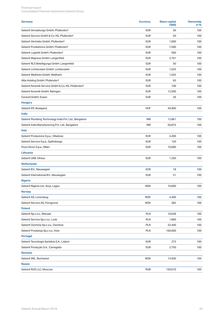| <b>Germany</b>                                         | <b>Currency</b> | <b>Share capital</b><br>(000) | <b>Ownership</b><br>in % |
|--------------------------------------------------------|-----------------|-------------------------------|--------------------------|
| Geberit Verwaltungs GmbH, Pfullendorf                  | <b>EUR</b>      | 50                            | 100                      |
| Geberit Service GmbH & Co. KG, Pfullendorf             | <b>EUR</b>      | 50                            | 100                      |
| Geberit Vertriebs GmbH, Pfullendorf                    | <b>EUR</b>      | 1,000                         | 100                      |
| Geberit Produktions GmbH, Pfullendorf                  | <b>EUR</b>      | 7,500                         | 100                      |
| Geberit Logistik GmbH, Pfullendorf                     | <b>EUR</b>      | 500                           | 100                      |
| Geberit Mapress GmbH, Langenfeld                       | <b>EUR</b>      | 2,701                         | 100                      |
| Geberit RLS Beteiligungs GmbH, Langenfeld              | <b>EUR</b>      | 50                            | 100                      |
| Geberit Lichtenstein GmbH, Lichtenstein                | <b>EUR</b>      | 1,025                         | 100                      |
| Geberit Weilheim GmbH, Weilheim                        | <b>EUR</b>      | 1,025                         | 100                      |
| Allia Holding GmbH, Pfullendorf                        | <b>EUR</b>      | 65                            | 100                      |
| Geberit Keramik Service GmbH & Co. KG, Pfullendorf     | <b>EUR</b>      | 100                           | 100                      |
| Geberit Keramik GmbH, Ratingen                         | <b>EUR</b>      | 12,500                        | 100                      |
| Ceravid GmbH, Essen                                    | <b>EUR</b>      | 26                            | 100                      |
| <b>Hungary</b>                                         |                 |                               |                          |
| Geberit Kft, Budapest                                  | <b>HUF</b>      | 49,900                        | 100                      |
| India                                                  |                 |                               |                          |
| Geberit Plumbing Technology India Pvt. Ltd., Bangalore | <b>INR</b>      | 12,861                        | 100                      |
| Geberit India Manufacturing Pvt. Ltd., Bangalore       | <b>INR</b>      | 56,875                        | 100                      |
| Italy                                                  |                 |                               |                          |
| Geberit Produzione S.p.a., Villadose                   | <b>EUR</b>      | 4,200                         | 100                      |
| Geberit Service S.p.a., Spilimbergo                    | <b>EUR</b>      | 120                           | 100                      |
| Pozzi Ginori S.p.a., Milan                             | <b>EUR</b>      | 10,000                        | 100                      |
| Lithuania                                              |                 |                               |                          |
| Geberit UAB, Vilnius                                   | <b>EUR</b>      | 1,250                         | 100                      |
| <b>Netherlands</b>                                     |                 |                               |                          |
| Geberit B.V., Nieuwegein                               | <b>EUR</b>      | 18                            | 100                      |
| Geberit International B.V., Nieuwegein                 | <b>EUR</b>      | 51                            | 100                      |
| <b>Nigeria</b>                                         |                 |                               |                          |
| Geberit Nigeria Ltd., Ikoyi, Lagos                     | <b>NGN</b>      | 10,000                        | 100                      |
| <b>Norway</b>                                          |                 |                               |                          |
| Geberit AS, Lorenskog                                  | <b>NOK</b>      | 4,400                         | 100                      |
| Geberit Service AS, Porsgrund                          | <b>NOK</b>      | 282                           | 100                      |
| <b>Poland</b>                                          |                 |                               |                          |
| Geberit Sp.z o.o., Warsaw                              | PLN             | 10,638                        | 100                      |
| Geberit Service Sp.z o.o., Lodz                        | <b>PLN</b>      | 1,800                         | 100                      |
| Geberit Ozorków Sp.z o.o., Ozorkow                     | PLN             | 32,400                        | 100                      |
| Geberit Produkcja Sp.z o.o., Kolo                      | PLN             | 100,000                       | 100                      |
| <b>Portugal</b>                                        |                 |                               |                          |
| Geberit Tecnologia Sanitária S.A., Lisbon              | <b>EUR</b>      | 275                           | 100                      |
| Geberit Produção S.A., Carregado                       | <b>EUR</b>      | 2,750                         | 100                      |
|                                                        |                 |                               |                          |
| <b>Romania</b><br>Geberit SRL, Bucharest               |                 |                               |                          |
|                                                        | <b>RON</b>      | 13,500                        | 100                      |
| <b>Russia</b>                                          |                 |                               |                          |
| Geberit RUS LLC, Moscow                                | <b>RUB</b>      | 150,010                       | 100                      |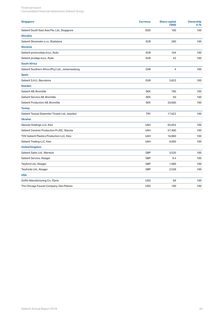| <b>Singapore</b>                                  | <b>Currency</b> | <b>Share capital</b><br>(000) | <b>Ownership</b><br>in % |
|---------------------------------------------------|-----------------|-------------------------------|--------------------------|
| Geberit South East Asia Pte. Ltd., Singapore      | SGD             | 100                           | 100                      |
| <b>Slovakia</b>                                   |                 |                               |                          |
| Geberit Slovensko s.r.o., Bratislava              | <b>EUR</b>      | 200                           | 100                      |
| <b>Slovenia</b>                                   |                 |                               |                          |
| Geberit proizvodnja d.o.o., Ruše                  | <b>EUR</b>      | 104                           | 100                      |
| Geberit prodaja d.o.o., Ruše                      | <b>EUR</b>      | 42                            | 100                      |
| <b>South Africa</b>                               |                 |                               |                          |
| Geberit Southern Africa (Pty.) Ltd., Johannesburg | ZAR             | $\overline{4}$                | 100                      |
| <b>Spain</b>                                      |                 |                               |                          |
| Geberit S.A.U., Barcelona                         | <b>EUR</b>      | 3,823                         | 100                      |
| <b>Sweden</b>                                     |                 |                               |                          |
| Geberit AB, Bromölla                              | <b>SEK</b>      | 700                           | 100                      |
| Geberit Service AB, Bromölla                      | <b>SEK</b>      | 50                            | 100                      |
| Geberit Production AB, Bromölla                   | <b>SEK</b>      | 20,000                        | 100                      |
| <b>Turkey</b>                                     |                 |                               |                          |
| Geberit Tesisat Sistemleri Ticaret Ltd., Istanbul | <b>TRY</b>      | 17,922                        | 100                      |
| <b>Ukraine</b>                                    |                 |                               |                          |
| Slavuta Holdings LLC, Kiev                        | <b>UAH</b>      | 65,654                        | 100                      |
| Geberit Ceramic Production PrJSC, Slavuta         | <b>UAH</b>      | 57,400                        | 100                      |
| TOV Geberit Plastics Production LLC, Kiev         | <b>UAH</b>      | 16,860                        | 100                      |
| Geberit Trading LLC, Kiev                         | <b>UAH</b>      | 9,000                         | 100                      |
| <b>United Kingdom</b>                             |                 |                               |                          |
| Geberit Sales Ltd., Warwick                       | GBP             | 3,520                         | 100                      |
| Geberit Service, Alsager                          | GBP             | 0.4                           | 100                      |
| Twyford Ltd., Alsager                             | GBP             | 1,000                         | 100                      |
| Twyfords Ltd., Alsager                            | GBP             | 2,528                         | 100                      |
| <b>USA</b>                                        |                 |                               |                          |
| Duffin Manufacturing Co., Elyria                  | <b>USD</b>      | 69                            | 100                      |
| The Chicago Faucet Company, Des Plaines           | <b>USD</b>      | 100                           | 100                      |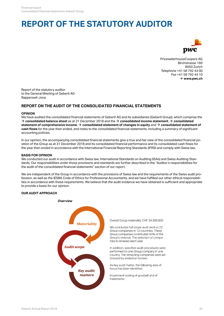# **REPORT OF THE STATUTORY AUDITOR**



PricewaterhouseCoopers AG Birchstrasse 160 8050 Zurich Telephone +41 58 792 44 00 Fax +41 58 792 44 10  $\rightarrow$  [www.pwc.ch](http://www.pwc.de)

Report of the statutory auditor to the General Meeting of Geberit AG Rapperswil-Jona

# **REPORT ON THE AUDIT OF THE CONSOLIDATED FINANCIAL STATEMENTS**

### **OPINION**

We have audited the consolidated financial statements of Geberit AG and its subsidiaries (Geberit Group), which comprise the  $\rightarrow$  **[consolidated balance sheet](#page-2-0)** as at 31 December 2018 and the  $\rightarrow$  **[consolidated income statement](#page-3-0)**,  $\rightarrow$  **[consolidated](#page-4-0)** [statement of comprehensive income](#page-4-0),  $\rightarrow$  [consolidated statement of changes in equity](#page-4-0) and  $\rightarrow$  [consolidated statement of](#page-3-0) **[cash flows](#page-3-0)** for the year then ended, and notes to the consolidated financial statements, including a summary of significant accounting policies.

In our opinion, the accompanying consolidated financial statements give a true and fair view of the consolidated financial position of the Group as at 31 December 2018 and its consolidated financial performance and its consolidated cash flows for the year then ended in accordance with the International Financial Reporting Standards (IFRS) and comply with Swiss law.

#### **BASIS FOR OPINION**

We conducted our audit in accordance with Swiss law, International Standards on Auditing (ISAs) and Swiss Auditing Standards. Our responsibilities under those provisions and standards are further described in the "Auditor's responsibilities for the audit of the consolidated financial statements" section of our report.

We are independent of the Group in accordance with the provisions of Swiss law and the requirements of the Swiss audit profession, as well as the IESBA Code of Ethics for Professional Accountants, and we have fulfilled our other ethical responsibilities in accordance with these requirements. We believe that the audit evidence we have obtained is sufficient and appropriate to provide a basis for our opinion.

# **OUR AUDIT APPROACH**



Overall Group materiality CHF 34.300.000

We concluded full scope audit work at 22 Group companies in 12 countries. These Group companies contributed 64% of the Group's revenue. The selection of companies is renewed each year.

In addition, specified audit procedures were performed on one Group company in one country. The remaining companies were addressed by analytical reviews.

As key audit matter, the following area of focus has been identified:

Impairment testing of goodwill and of trademarks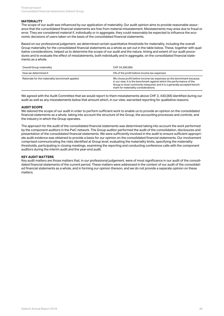#### **MATERIALITY**

The scope of our audit was influenced by our application of materiality. Our audit opinion aims to provide reasonable assurance that the consolidated financial statements are free from material misstatement. Misstatements may arise due to fraud or error. They are considered material if, individually or in aggregate, they could reasonably be expected to influence the economic decisions of users taken on the basis of the consolidated financial statements.

Based on our professional judgement, we determined certain quantitative thresholds for materiality, including the overall Group materiality for the consolidated financial statements as a whole as set out in the table below. These, together with qualitative considerations, helped us to determine the scope of our audit and the nature, timing and extent of our audit procedures and to evaluate the effect of misstatements, both individually and in aggregate, on the consolidated financial statements as a whole.

| Overall Group materiality                       | CHF 34,300,000                                                                                                                                                                                                                                                  |
|-------------------------------------------------|-----------------------------------------------------------------------------------------------------------------------------------------------------------------------------------------------------------------------------------------------------------------|
| How we determined it                            | 5% of the profit before income tax expenses                                                                                                                                                                                                                     |
| Rationale for the materiality benchmark applied | We chose profit before income tax expenses as the benchmark because,<br>in our view, it is the benchmark against which the performance of the<br>Group is most commonly measured, and it is a generally accepted bench-<br>mark for materiality considerations. |

We agreed with the Audit Committee that we would report to them misstatements above CHF 3, 430,000 identified during our audit as well as any misstatements below that amount which, in our view, warranted reporting for qualitative reasons.

#### **AUDIT SCOPE**

We tailored the scope of our audit in order to perform sufficient work to enable us to provide an opinion on the consolidated financial statements as a whole, taking into account the structure of the Group, the accounting processes and controls, and the industry in which the Group operates.

The approach for the audit of the consolidated financial statements was determined taking into account the work performed by the component auditors in the PwC network. The Group auditor performed the audit of the consolidation, disclosures and presentation of the consolidated financial statements. We were sufficiently involved in the audit to ensure sufficient appropriate audit evidence was obtained to provide a basis for our opinion on the consolidated financial statements. Our involvement comprised communicating the risks identified at Group level, evaluating the materiality limits, specifying the materiality thresholds, participating in closing meetings, examining the reporting and conducting conference calls with the component auditors during the interim audit and the year-end audit.

#### **KEY AUDIT MATTERS**

Key audit matters are those matters that, in our professional judgement, were of most significance in our audit of the consolidated financial statements of the current period. These matters were addressed in the context of our audit of the consolidated financial statements as a whole, and in forming our opinion thereon, and we do not provide a separate opinion on these mattore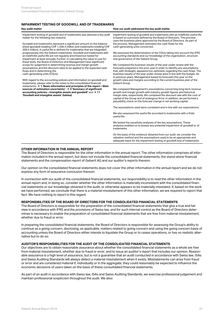# **IMPAIRMENT TESTING OF GOODWILL AND OF TRADEMARKS**

#### **Key audit matter How our audit addressed the key audit matter** Impairment testing of goodwill and of trademarks was deemed a key audit matter for the following two reasons: Goodwill and trademarks represent a significant amount on the balance sheet (goodwill totalling CHF 1,299.4 million and trademarks totalling CHF 309.5 million). A useful life is defined for trademarks that are integrated progressively into the Geberit trademarks. Goodwill and trademarks with an indefinite useful life are not regularly amortised but tested for impairment at least annually. Further, in calculating the value-in-use for these tests, the Board of Directors and Management have significant scope for judgement in determining revenue and margin growth assumptions and the discount rates to be applied to the expected cash flows and in determining the cash-generating units (CGUs). With regard to the accounting policies and information on goodwill and trademarks, please refer to the notes to the consolidated financial statements: **[1 'Basic information and principles of the report – Main](#page-7-2)** [\\$](#page-7-2) **[sources of estimation uncertainty'](#page-7-2)**, **[3 'Summary of significant](#page-8-0)**  $\mathsf{accounting}$  policies – Intangible assets and  $\mathsf{goodwill'}$  and  $\mathsf{\rightarrow}\, \mathsf{11}$  $\mathsf{\rightarrow}\, \mathsf{11}$  $\mathsf{\rightarrow}\, \mathsf{11}$  growth and margin growth with **['Goodwill and intangible assets' \(tables\)](#page-17-1)**. Impairment testing of goodwill and trademarks with an indefinite useful life is based on a process defined by the Board of Directors. This process uses the business plans approved by the Board of Directors. As part of the process, Management estimates the cash flows for the cash-generating units concerned. We assessed the determination of the CGUs taking into account the IFRS accounting standards and our knowledge of the organisation, structure and governance of the Geberit Group. We compared the business results of the year under review with the forecasts prepared in the prior year in order to identify any assumptions that, with hindsight, appeared too optimistic regarding the cash flows. The business results of the year under review were in line with the budget. As in previous years, Management based its forecasts this year on the growth rates and margins according to the current business plan of the Geberit Group.  $\rightarrow$  3 'Summary of significant We compared Management's assumptions concerning long-term revenue growth and margin growth with industry growth figures and historical margin data, respectively. We compared the discount rate with the cost of capital of the Group and of analogous firms. In addition, we performed a plausibility check on the forecast change in net working capital. The assumptions used were consistent and in line with our expectations. We also assessed the useful life accorded to trademarks with a finite useful life. We tested the sensitivity analyses of the key assumptions. These analyses enabled us to assess any potential impairment of goodwill or of trademarks. On the basis of the evidence obtained from our audit, we consider the valuation method and the assumptions used to be an appropriate and

# **OTHER INFORMATION IN THE ANNUAL REPORT**

The Board of Directors is responsible for the other information in the annual report. The other information comprises all information included in the annual report, but does not include the consolidated financial statements, the stand-alone financial statements and the compensation report of Geberit AG and our auditor's reports thereon.

adequate basis for the impairment testing of goodwill and of trademarks.

Our opinion on the consolidated financial statements does not cover the other information in the annual report and we do not express any form of assurance conclusion thereon.

In connection with our audit of the consolidated financial statements, our responsibility is to read the other information in the annual report and, in doing so, consider whether the other information is materially inconsistent with the consolidated financial statements or our knowledge obtained in the audit, or otherwise appears to be materially misstated. If, based on the work we have performed, we conclude that there is a material misstatement of this other information, we are required to report that fact. We have nothing to report in this regard.

#### **RESPONSIBILITIES OF THE BOARD OF DIRECTORS FOR THE CONSOLIDATED FINANCIAL STATEMENTS**

The Board of Directors is responsible for the preparation of the consolidated financial statements that give a true and fair view in accordance with IFRS and the provisions of Swiss law, and for such internal control as the Board of Directors determines is necessary to enable the preparation of consolidated financial statements that are free from material misstatement, whether due to fraud or error.

In preparing the consolidated financial statements, the Board of Directors is responsible for assessing the Group's ability to continue as a going concern, disclosing, as applicable, matters related to going concern and using the going concern basis of accounting unless the Board of Directors either intends to liquidate the Group or to cease operations, or has no realistic alternative but to do so.

#### **AUDITOR'S RESPONSIBILITIES FOR THE AUDIT OF THE CONSOLIDATED FINANCIAL STATEMENTS**

Our objectives are to obtain reasonable assurance about whether the consolidated financial statements as a whole are free from material misstatement, whether due to fraud or error, and to issue an auditor's report that includes our opinion. Reasonable assurance is a high level of assurance, but is not a guarantee that an audit conducted in accordance with Swiss law, ISAs and Swiss Auditing Standards will always detect a material misstatement when it exists. Misstatements can arise from fraud or error and are considered material if, individually or in the aggregate, they could reasonably be expected to influence the economic decisions of users taken on the basis of these consolidated financial statements.

As part of an audit in accordance with Swiss law, ISAs and Swiss Auditing Standards, we exercise professional judgement and maintain professional scepticism throughout the audit. We also: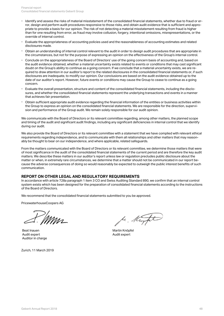- Identify and assess the risks of material misstatement of the consolidated financial statements, whether due to fraud or error, design and perform audit procedures responsive to those risks, and obtain audit evidence that is sufficient and appropriate to provide a basis for our opinion. The risk of not detecting a material misstatement resulting from fraud is higher than for one resulting from error, as fraud may involve collusion, forgery, intentional omissions, misrepresentations, or the - Identify and assess the risks of material mis<br>ror, design and perform audit procedures re<br>priate to provide a basis for our opinion. The<br>than for one resulting from error, as fraud m<br>override of internal control.
- Evaluate the appropriateness of accounting policies used and the reasonableness of accounting estimates and related<br>disclosures made.
- Obtain an understanding of internal control relevant to the audit in order to design audit procedures that are appropriate in - Obtain an understanding of internal control relevant to the audit in order to design audit procedures that are appropriate<br>the circumstances, but not for the purpose of expressing an opinion on the effectiveness of the G
- Conclude on the appropriateness of the Board of Directors' use of the going concern basis of accounting and, based on the audit evidence obtained, whether a material uncertainty exists related to events or conditions that may cast significant doubt on the Group's ability to continue as a going concern. If we conclude that a material uncertainty exists, we are required to draw attention in our auditor's report to the related disclosures in the consolidated financial statements or, if such disclosures are inadequate, to modify our opinion. Our conclusions are based on the audit evidence obtained up to the date of our auditor's report. However, future events or conditions may cause the Group to cease to continue as a going concern.
- Evaluate the overall presentation, structure and content of the consolidated financial statements, including the disclosures, and whether the consolidated financial statements represent the underlying transactions and events in a manner - Evaluate the overall presentation, structure and<br>sures, and whether the consolidated financial s<br>that achieves fair presentation.
- Obtain sufficient appropriate audit evidence regarding the financial information of the entities or business activities within the Group to express an opinion on the consolidated financial statements. We are responsible for the direction, supervision and performance of the Group audit. We remain solely responsible for our audit opinion.

We communicate with the Board of Directors or its relevant committee regarding, among other matters, the planned scope and timing of the audit and significant audit findings, including any significant deficiencies in internal control that we identify during our audit.

We also provide the Board of Directors or its relevant committee with a statement that we have complied with relevant ethical requirements regarding independence, and to communicate with them all relationships and other matters that may reasonably be thought to bear on our independence, and where applicable, related safeguards.

From the matters communicated with the Board of Directors or its relevant committee, we determine those matters that were of most significance in the audit of the consolidated financial statements of the current period and are therefore the key audit matters. We describe these matters in our auditor's report unless law or regulation precludes public disclosure about the matter or when, in extremely rare circumstances, we determine that a matter should not be communicated in our report because the adverse consequences of doing so would reasonably be expected to outweigh the public interest benefits of such communication.

# **REPORT ON OTHER LEGAL AND REGULATORY REQUIREMENTS**

In accordance with article 728a paragraph 1 item 3 CO and Swiss Auditing Standard 890, we confirm that an internal control system exists which has been designed for the preparation of consolidated financial statements according to the instructions of the Board of Directors.

We recommend that the consolidated financial statements submitted to you be approved.

PricewaterhouseCoopers AG

Beat Inauen Audit expert Auditor in charge

Zurich, 11 March 2019

M. Kurfet

Martin Knöpfel Audit expert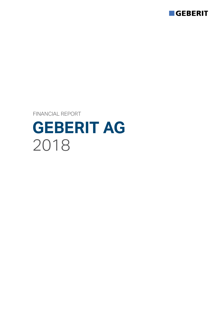

FINANCIAL REPORT

# **GEBERIT AG** 2018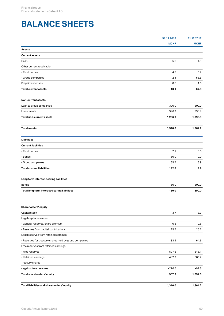# <span id="page-49-0"></span>**BALANCE SHEETS**

|                                                        | 31.12.2018  | 31.12.2017  |
|--------------------------------------------------------|-------------|-------------|
|                                                        | <b>MCHF</b> | <b>MCHF</b> |
| Assets                                                 |             |             |
| <b>Current assets</b>                                  |             |             |
| Cash                                                   | 5.6         | 4.9         |
| Other current receivable                               |             |             |
| - Third parties                                        | 4.5         | $5.2$       |
| - Group companies                                      | 2.4         | 55.6        |
| Prepaid expenses                                       | 0.6         | 1.6         |
| <b>Total current assets</b>                            | 13.1        | 67.3        |
| Non-current assets                                     |             |             |
| Loan to group companies                                | 300.0       | 300.0       |
| Investments                                            | 996.9       | 996.9       |
| <b>Total non-current assets</b>                        | 1,296.9     | 1,296.9     |
| <b>Total assets</b>                                    | 1,310.0     | 1,364.2     |
| Liabilities                                            |             |             |
| <b>Current liabilities</b>                             |             |             |
| - Third parties                                        | 7.1         | 6.0         |
| - Bonds                                                | 150.0       | 0.0         |
| - Group companies                                      | 35.7        | 3.9         |
| <b>Total current liabilities</b>                       | 192.8       | 9.9         |
| Long term interest-bearing liabilities                 |             |             |
| Bonds                                                  | 150.0       | 300.0       |
| Total long term interest-bearing liabilities           | 150.0       | 300.0       |
| Shareholders' equity                                   |             |             |
| Capital stock                                          | 3.7         | 3.7         |
| Legal capital reserves                                 |             |             |
| - General reserves, share premium                      | 0.8         | 0.8         |
| - Reserves from capital contributions                  | 25.7        | 25.7        |
| Legal reserves from retained earnings                  |             |             |
| - Reserves for treasury shares held by group companies | 133.2       | 64.6        |
| Free reserves from retained earnings                   |             |             |
| - Free reserves                                        | 597.6       | 546.1       |
| - Retained earnings                                    | 482.7       | 505.2       |
| Treasury shares                                        |             |             |
| - against free reserves                                | $-276.5$    | $-91.8$     |
| Total shareholders' equity                             | 967.2       | 1,054.3     |
| Total liabilities and shareholders' equity             | 1,310.0     | 1,364.2     |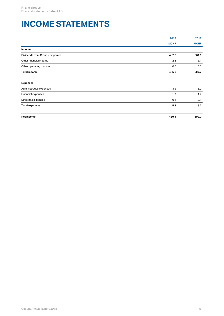# <span id="page-50-0"></span>**INCOME STATEMENTS**

|                                | 2018        | 2017        |
|--------------------------------|-------------|-------------|
|                                | <b>MCHF</b> | <b>MCHF</b> |
| Income                         |             |             |
| Dividends from Group companies | 482.3       | 501.1       |
| Other financial income         | 2.8         | 6.1         |
| Other operating income         | 0.5         | 0.5         |
| <b>Total income</b>            | 485.6       | 507.7       |
| <b>Expenses</b>                |             |             |
| Administrative expenses        | 3.9         | 3.9         |
| Financial expenses             | 1.7         | 1.7         |
| Direct tax expenses            | $-0.1$      | 0.1         |
| <b>Total expenses</b>          | 5.5         | 5.7         |
| Net income                     | 480.1       | 502.0       |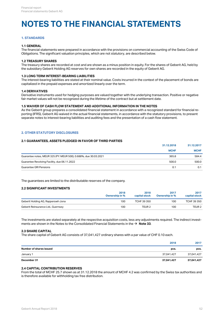# <span id="page-51-0"></span>**NOTES TO THE FINANCIAL STATEMENTS**

#### **1. STANDARDS**

#### **1.1 GENERAL**

The financial statements were prepared in accordance with the provisions on commercial accounting of the Swiss Code of Obligations. The significant valuation principles, which are not statutory, are described below.

#### **1.2 TREASURY SHARES**

The treasury shares are recorded at cost and are shown as a minus position in equity. For the shares of Geberit AG, held by the subsidiary Geberit Holding AG reserves for own shares are recorded in the equity of Geberit AG.

#### **1.3 LONG TERM INTEREST-BEARING LIABILITIES**

The interest-bearing liabilities are stated at their nominal value. Costs incurred in the context of the placement of bonds are capitalized in the prepaid expenses and amortized linearly over the term.

#### **1.4 DERIVATIVES**

Derivative instruments used for hedging purposes are valued together with the underlying transaction. Positive or negative fair market values will not be recognized during the lifetime of the contract but at settlement date.

#### **1.5 WAIVER OF CASH FLOW STATEMENT AND ADDITIONAL INFORMATION IN THE NOTES**

As the Geberit group prepares a consolidated financial statement in accordance with a recognized standard for financial reporting (IFRS), Geberit AG waived in the actual financial statements, in accordance with the statutory provisions, to present separate notes to interest-bearing liabilities and auditing fees and the presentation of a cash flow statement.

#### **2. OTHER STATUTORY DISCLOSURES**

#### **2.1 GUARANTEES, ASSETS PLEDGED IN FAVOR OF THIRD PARTIES**

|                                                                  | 31.12.2018  | 31.12.2017  |
|------------------------------------------------------------------|-------------|-------------|
|                                                                  | <b>MCHF</b> | <b>MCHF</b> |
| Guarantee notes, MEUR 325 (PY: MEUR 500), 0.688%, due 30.03.2021 | 365.8       | 584.4       |
| Guarantee Revolving Facility, due 06.11.2022                     | 500.0       | 500.0       |
| Guarantee GRI Pensions                                           | 0.1         | 0.1         |

The guarantees are limited to the distributable reserves of the company.

#### **2.2 SIGNIFICANT INVESTMENTS**

|                                     | 2018<br>Ownership in % | 2018<br>capital stock | 2017<br>Ownership in % | 2017<br>capital stock |
|-------------------------------------|------------------------|-----------------------|------------------------|-----------------------|
| Geberit Holding AG, Rapperswil-Jona | 100                    | TCHF 39 350           | 100                    | TCHF 39 350           |
| Geberit Reinsurance Ltd., Guernsey  | 100                    | TEUR <sub>2</sub>     | 100                    | TEUR <sub>2</sub>     |

The investments are stated separately at the respective acquisition costs, less any adjustments required. The indirect investments are shown in the Notes to the Consolidated Financial Statements in the  $\rightarrow$  **[Note 33](#page-41-0)**.

# **2.3 SHARE CAPITAL**

The share capital of Geberit AG consists of 37,041,427 ordinary shares with a par value of CHF 0.10 each.

|                         | 2018       | 2017       |
|-------------------------|------------|------------|
| Number of shares issued | pcs.       | pcs.       |
| January 1               | 37,041,427 | 37,041,427 |
| December 31             | 37,041,427 | 37,041,427 |

# **2.4 CAPITAL CONTRIBUTION RESERVES**

From the total of MCHF 25.7 shown as at 31.12.2018 the amount of MCHF 4.2 was confirmed by the Swiss tax authorities and is therefore available for withholding tax free distribution.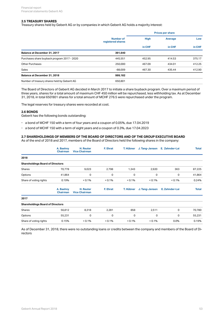#### **2.5 TREASURY SHARES**

Treasury shares held by Geberit AG or by companies in which Geberit AG holds a majority interest:

|                                              |                                       | <b>Prices per share</b> |         |        |  |  |
|----------------------------------------------|---------------------------------------|-------------------------|---------|--------|--|--|
|                                              | <b>Number of</b><br>registered shares | <b>High</b>             | Average | Low    |  |  |
|                                              |                                       | in CHF                  | in CHF  | in CHF |  |  |
| Balance at December 31, 2017                 | 391,640                               |                         |         |        |  |  |
| Purchases share buyback program 2017 - 2020  | 445,551                               | 452.95                  | 414.53  | 375.17 |  |  |
| <b>Other Purchases</b>                       | 250,000                               | 467.09                  | 434.01  | 412.25 |  |  |
| Sales                                        | $-88,009$                             | 467.30                  | 435.44  | 412.90 |  |  |
| Balance at December 31, 2018                 | 999,182                               |                         |         |        |  |  |
| Number of treasury shares held by Geberit AG | 650,801                               |                         |         |        |  |  |

The Board of Directors of Geberit AG decided in March 2017 to initiate a share buyback program. Over a maximum period of three years, shares for a total amount of maximum CHF 450 million will be repurchased, less withholding tax. As at December 31, 2018, in total 650'801 shares for a total amount of MCHF 276.5 were repurchased under the program.

The legal reserves for treasury shares were recorded at cost.

#### **2.6 BONDS**

Geberit has the following bonds outstanding:

- a bond of MCHF 150 with a term of four years and a coupon of 0.05%, due 17.04.2019
- a bond of MCHF 150 with a term of eight years and a coupon of 0.3%, due 17.04.2023

#### **2.7 SHAREHOLDINGS OF MEMBERS OF THE BOARD OF DIRECTORS AND OF THE GROUP EXECUTIVE BOARD**

As of the end of 2018 and 2017, members of the Board of Directors held the following shares in the company:

|                                         | A. Baehny<br><b>Chairman</b> | H. Reuter<br><b>Vice Chairman</b> | F. Ehrat     | T. Hübner    | J. Tang-Jensen | E. Zehnder-Lai | <b>Total</b> |
|-----------------------------------------|------------------------------|-----------------------------------|--------------|--------------|----------------|----------------|--------------|
| 2018                                    |                              |                                   |              |              |                |                |              |
| <b>Shareholdings Board of Directors</b> |                              |                                   |              |              |                |                |              |
| Shares                                  | 70,778                       | 9,023                             | 2,798        | 1,343        | 2,920          | 363            | 87,225       |
| Options                                 | 41,864                       | 0                                 | $\mathsf{O}$ | $\mathsf{O}$ | 0              | 0              | 41,864       |
| Share of voting rights                  | 0.19%                        | $< 0.1\%$                         | $< 0.1\%$    | $< 0.1\%$    | $< 0.1\%$      | $< 0.1\%$      | 0.24%        |
|                                         | A. Baehny<br><b>Chairman</b> | H. Reuter<br><b>Vice Chairman</b> | F. Ehrat     | T. Hübner    | J. Tang-Jensen | E. Zehnder-Lai | <b>Total</b> |
| 2017                                    |                              |                                   |              |              |                |                |              |
| <b>Shareholdings Board of Directors</b> |                              |                                   |              |              |                |                |              |
| <b>Shares</b>                           | 56,812                       | 8,318                             | 2,281        | 858          | 2,511          | $\mathbf 0$    | 70,780       |
| Options                                 | 55,231                       | $\mathbf 0$                       | $\mathbf 0$  | $\mathbf 0$  | $\mathbf 0$    | $\mathbf 0$    | 55,231       |
| Share of voting rights                  | 0.15%                        | $< 0.1\%$                         | $< 0.1\%$    | < 0.1%       | $< 0.1\%$      | 0.0%           | 0.19%        |
|                                         |                              |                                   |              |              |                |                |              |

As of December 31, 2018, there were no outstanding loans or credits between the company and members of the Board of Directors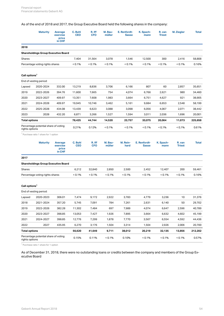# As of the end of 2018 and 2017, the Group Executive Board held the following shares in the company:

|                                                                                | <b>Maturity</b>                            | <b>Average</b><br>exercise<br>price           | C. Buhl<br><b>CEO</b> | R. Iff<br><b>CFO</b> | M. Bau-<br>müller | E. Renfordt-<br><b>Sasse</b> | K. Spach-<br>mann            | R. van<br><b>Triest</b> | M. Ziegler              | <b>Total</b> |
|--------------------------------------------------------------------------------|--------------------------------------------|-----------------------------------------------|-----------------------|----------------------|-------------------|------------------------------|------------------------------|-------------------------|-------------------------|--------------|
| 2018                                                                           |                                            | in CHF                                        |                       |                      |                   |                              |                              |                         |                         |              |
|                                                                                | <b>Shareholdings Group Executive Board</b> |                                               |                       |                      |                   |                              |                              |                         |                         |              |
| Shares                                                                         |                                            |                                               | 7,404                 | 31,564               | 3,078             | 1,546                        | 12,500                       | 300                     | 2,416                   | 58,808       |
|                                                                                |                                            |                                               | $< 0.1\%$             | < 0.1%               |                   | < 0.1%                       | < 0.1%                       |                         | < 0.1%                  | 0.16%        |
|                                                                                | Percentage voting rights shares            |                                               |                       |                      | $< 0.1\%$         |                              |                              | < 0.1%                  |                         |              |
| Call options <sup>1</sup>                                                      |                                            |                                               |                       |                      |                   |                              |                              |                         |                         |              |
|                                                                                | End of vesting period:                     |                                               |                       |                      |                   |                              |                              |                         |                         |              |
| Lapsed                                                                         | 2020-2024                                  | 332.00                                        | 13,219                | 8,836                | 3,706             | 6,166                        | 807                          | 60                      | 2,857                   | 35,651       |
| 2019                                                                           | 2022-2026                                  | 394.76                                        | 11,600                | 7,665                | 754               | 4,074                        | 6,766                        | 2,621                   | 980                     | 34,460       |
| 2020                                                                           | 2023-2027                                  | 409.97                                        | 13,351                | 7,608                | 1,983             | 3,664                        | 6,751                        | 4,627                   | 921                     | 38,905       |
| 2021                                                                           | 2024-2028                                  | 409.97                                        | 19,945                | 10,746               | 3,462             | 5,161                        | 9,684                        | 6,653                   | 2,548                   | 58,199       |
| 2022                                                                           | 2025-2028                                  | 434.08                                        | 13,439                | 6,623                | 3,088             | 3,098                        | 6,056                        | 4,067                   | 2,071                   | 38,442       |
| 2023                                                                           | 2028                                       | 432.20                                        | 6,871                 | 3,266                | 1,527             | 1,594                        | 3,011                        | 2,036                   | 1,696                   | 20,001       |
| <b>Total options</b>                                                           |                                            |                                               | 78,425                | 44,744               | 14,520            | 23,757                       | 33,075                       | 20,064                  | 11,073                  | 225,658      |
| rights options                                                                 | Percentage potential share of voting       |                                               | 0.21%                 | 0.12%                | $< 0.1\%$         | < 0.1%                       | $< 0.1\%$                    | < 0.1%                  | < 0.1%                  | 0.61%        |
|                                                                                | Purchase ratio 1 share for 1 option        |                                               |                       |                      |                   |                              |                              |                         |                         |              |
|                                                                                |                                            |                                               |                       |                      |                   |                              |                              |                         |                         |              |
|                                                                                | <b>Maturity</b>                            | <b>Average</b><br>exercise<br>price<br>in CHF | C. Buhl<br><b>CEO</b> | R. Iff<br><b>CFO</b> | M. Bau-<br>müller | M. Rein-<br>hard             | E. Renfordt-<br><b>Sasse</b> | K. Spach-<br>mann       | R. van<br><b>Triest</b> | <b>Total</b> |
| 2017                                                                           |                                            |                                               |                       |                      |                   |                              |                              |                         |                         |              |
|                                                                                | <b>Shareholdings Group Executive Board</b> |                                               |                       |                      |                   |                              |                              |                         |                         |              |
| Shares                                                                         |                                            |                                               | 6,212                 | 32,840               | 2,850             | 2,500                        | 2,452                        | 12,407                  | 200                     | 59,461       |
|                                                                                | Percentage voting rights shares            |                                               | < 0.1%                | < 0.1%               | $< 0.1\%$         | $< 0.1\%$                    | $< 0.1\%$                    | $< 0.1\%$               | < 0.1%                  | 0.16%        |
| Call options <sup>1</sup>                                                      |                                            |                                               |                       |                      |                   |                              |                              |                         |                         |              |
|                                                                                | End of vesting period:                     |                                               |                       |                      |                   |                              |                              |                         |                         |              |
| Lapsed                                                                         | 2020-2023                                  | 306.01                                        | 7,474                 | 9,172                | 2,922             | 3,783                        | 4,779                        | 3,236                   | 10                      | 31,376       |
| 2018                                                                           | 2021-2024                                  | 357.20                                        | 5,745                 | 7,091                | 784               | 7,261                        | 2,631                        | 6,140                   | 50                      | 29,702       |
| 2019                                                                           | 2022-2026                                  | 382.28                                        | 11,302                | 7,484                | 697               | 7,989                        | 4,074                        | 6,647                   | 2,596                   | 40,789       |
| 2020                                                                           | 2023-2027                                  | 398.85                                        | 13,053                | 7,427                | 1,926             | 7,895                        | 3,664                        | 6,632                   | 4,602                   | 45,199       |
| 2021                                                                           | 2024-2027                                  | 398.85                                        | 12,776                | 7,299                | 1,878             | 7,770                        | 3,567                        | 6,554                   | 4,592                   | 44,436       |
| 2022                                                                           | 2027                                       | 435.95                                        | 6,270                 | 3,176                | 1,504             | 3,314                        | 1,504                        | 2,926                   | 2,006                   | 20,700       |
|                                                                                |                                            |                                               | 56,620                | 41,649               | 9,711             | 38,012                       | 20,219                       | 32,135                  | 13,856                  | 212,202      |
| <b>Total options</b><br>Percentage potential share of voting<br>rights options |                                            |                                               | 0.15%                 | 0.11%                | $< 0.1\%$         | 0.10%                        | $< 0.1\%$                    | $< 0.1\%$               | $< 0.1\%$               | 0.57%        |

<sup>1</sup> Purchase ratio 1 share for 1 option

As of December 31, 2018, there were no outstanding loans or credits between the company and members of the Group Executive Board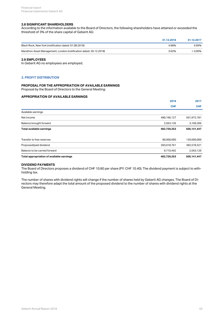#### **2.8 SIGNIFICANT SHAREHOLDERS**

According to the information available to the Board of Directors, the following shareholders have attained or exceeded the threshold of 3% of the share capital of Geberit AG:

|                                                                    | 31.12.2018 | .12.2017 |
|--------------------------------------------------------------------|------------|----------|
| Black Rock, New York (notification dated: 01.08.2018)              | 4.98%      | 4.99%    |
| Marathon Asset Management, London (notification dated: 20.12.2018) | 3.02%      | 3.00%    |

#### **2.9 EMPLOYEES**

In Geberit AG no employees are employed.

### **3. PROFIT DISTRIBUTION**

#### **PROPOSAL FOR THE APPROPRIATION OF AVAILABLE EARNINGS**

Proposal by the Board of Directors to the General Meeting:

#### **APPROPRIATION OF AVAILABLE EARNINGS**

| Total appropriation of available earnings | 482,729,253 | 505,141,447 |
|-------------------------------------------|-------------|-------------|
| Balance to be carried forward             | 9,710,492   | 2,563,126   |
| Proposed/paid dividend                    | 393,018,761 | 382,578,321 |
| Transfer to free reserves                 | 80,000,000  | 120,000,000 |
| Total available earnings                  | 482,729,253 | 505,141,447 |
| Balance brought forward                   | 2,563,126   | 3,169,266   |
| Net income                                | 480,166,127 | 501,972,181 |
| Available earnings                        |             |             |
|                                           | <b>CHF</b>  | <b>CHF</b>  |
|                                           | 2018        | 2017        |

#### **DIVIDEND PAYMENTS**

The Board of Directors proposes a dividend of CHF 10.80 per share (PY: CHF 10.40). The dividend payment is subject to withholding tax.

The number of shares with dividend rights will change if the number of shares held by Geberit AG changes. The Board of Directors may therefore adapt the total amount of the proposed dividend to the number of shares with dividend rights at the General Meeting.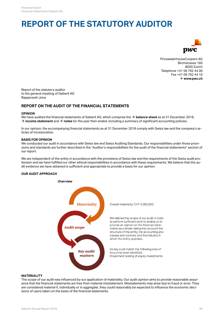# **REPORT OF THE STATUTORY AUDITOR**



PricewaterhouseCoopers AG Birchstrasse 160 8050 Zurich Telephone +41 58 792 44 00 Fax +41 58 792 44 10  $\rightarrow$  [www.pwc.ch](http://www.pwc.de)

Report of the statutory auditor to the general meeting of Geberit AG Rapperswil-Jona

# **REPORT ON THE AUDIT OF THE FINANCIAL STATEMENTS**

#### **OPINION**

We have audited the financial statements of Geberit AG, which comprise the **[balance sheet](#page-49-0)** as at 31 December 2018, [\\$](#page-49-0)  $\rightarrow$  **[income statement](#page-50-0)** and  $\rightarrow$  **[notes](#page-51-0)** for the year then ended, including a summary of significant accounting policies.

In our opinion, the accompanying financial statements as at 31 December 2018 comply with Swiss law and the company's articles of incorporation.

#### **BASIS FOR OPINION**

We conducted our audit in accordance with Swiss law and Swiss Auditing Standards. Our responsibilities under those provisions and standards are further described in the "Auditor's responsibilities for the audit of the financial statements" section of our report.

We are independent of the entity in accordance with the provisions of Swiss law and the requirements of the Swiss audit profession and we have fulfilled our other ethical responsibilities in accordance with these requirements. We believe that the audit evidence we have obtained is sufficient and appropriate to provide a basis for our opinion.

#### **OUR AUDIT APPROACH**



#### **MATERIALITY**

The scope of our audit was influenced by our application of materiality. Our audit opinion aims to provide reasonable assurance that the financial statements are free from material misstatement. Misstatements may arise due to fraud or error. They are considered material if, individually or in aggregate, they could reasonably be expected to influence the economic decisions of users taken on the basis of the financial statements.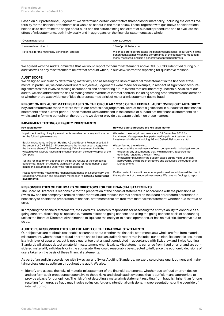Based on our professional judgement, we determined certain quantitative thresholds for materiality, including the overall materiality for the financial statements as a whole as set out in the table below. These, together with qualitative considerations, helped us to determine the scope of our audit and the nature, timing and extent of our audit procedures and to evaluate the effect of misstatements, both individually and in aggregate, on the financial statements as a whole.

| Overall materiality                             | CHF 5.000.000                                                                                                                                                                                                   |  |
|-------------------------------------------------|-----------------------------------------------------------------------------------------------------------------------------------------------------------------------------------------------------------------|--|
| How we determined it                            | 1 % of profit before tax                                                                                                                                                                                        |  |
| Rationale for the materiality benchmark applied | We chose profit before tax as the benchmark because, in our view, it is the<br>benchmark against which the performance of the company is most com-<br>monly measured, and it is a generally accepted benchmark. |  |

We agreed with the Audit Committee that we would report to them misstatements above CHF 500'000 identified during our audit as well as any misstatements below that amount which, in our view, warranted reporting for qualitative reasons.

#### **AUDIT SCOPE**

We designed our audit by determining materiality and assessing the risks of material misstatement in the financial statements. In particular, we considered where subjective judgements were made; for example, in respect of significant accounting estimates that involved making assumptions and considering future events that are inherently uncertain. As in all of our audits, we also addressed the risk of management override of internal controls, including among other matters consideration of whether there was evidence of bias that represented a risk of material misstatement due to fraud.

#### **REPORT ON KEY AUDIT MATTERS BASED ON THE CIRCULAR 1/2015 OF THE FEDERAL AUDIT OVERSIGHT AUTHORITY**

Key audit matters are those matters that, in our professional judgement, were of most significance in our audit of the financial statements of the current period. These matters were addressed in the context of our audit of the financial statements as a whole, and in forming our opinion thereon, and we do not provide a separate opinion on these matters.

#### **IMPAIRMENT TESTING OF EQUITY INVESTMENTS**

| Key audit matter                                                                                                                                                                                                                                                                                                                                                                                                                                                                                                                          | How our audit addressed the key audit matter                                                                                                                                                                                                                                                                                                                           |
|-------------------------------------------------------------------------------------------------------------------------------------------------------------------------------------------------------------------------------------------------------------------------------------------------------------------------------------------------------------------------------------------------------------------------------------------------------------------------------------------------------------------------------------------|------------------------------------------------------------------------------------------------------------------------------------------------------------------------------------------------------------------------------------------------------------------------------------------------------------------------------------------------------------------------|
| Impairment testing of equity investments was deemed a key audit matter<br>for the following two reasons:                                                                                                                                                                                                                                                                                                                                                                                                                                  | We tested the equity investments as at 31 December 2018 for<br>impairment. Management has performed impairment tests on the<br>investments in Geberit Holding AG and Geberit Reinsurance Ltd.                                                                                                                                                                          |
| Equity investments in Geberit Holding AG and Geberit Reinsurance Ltd. in<br>the amount of CHF 996.9 million represent the largest asset category on<br>the balance sheet (76.1% of total assets). If this investment had to be<br>written down, it would have a significant impact on the equity capital of the<br>Company.<br>Testing for impairment depends on the future results of the companies<br>concerned. In addition, there is significant scope for judgement in deter-<br>mining the assumptions underlying forecast results. | We performed the following:<br>compared the actual results of each company with its budget in order<br>to identify any assumptions that, with hindsight, appeared too<br>optimistic regarding the cash flows;<br>checked for plausibility the outlook based on the multi-year plan<br>approved by the Board of Directors and discussed the outlook with<br>Management; |
| Please refer to the notes to the financial statements and, specifically, the<br>recognition, valuation and disclosure methods in $\rightarrow$ note 2.2 'Significant<br>investments'.                                                                                                                                                                                                                                                                                                                                                     | On the basis of the audit procedures performed, we addressed the risk of<br>the impairment of the equity investments. We have no findings to report.                                                                                                                                                                                                                   |

### **RESPONSIBILITIES OF THE BOARD OF DIRECTORS FOR THE FINANCIAL STATEMENTS**

The Board of Directors is responsible for the preparation of the financial statements in accordance with the provisions of Swiss law and the company's articles of incorporation, and for such internal control as the Board of Directors determines is necessary to enable the preparation of financial statements that are free from material misstatement, whether due to fraud or error.

In preparing the financial statements, the Board of Directors is responsible for assessing the entity's ability to continue as a going concern, disclosing, as applicable, matters related to going concern and using the going concern basis of accounting unless the Board of Directors either intends to liquidate the entity or to cease operations, or has no realistic alternative but to do so.

# **AUDITOR'S RESPONSIBILITIES FOR THE AUDIT OF THE FINANCIAL STATEMENTS**

Our objectives are to obtain reasonable assurance about whether the financial statements as a whole are free from material misstatement, whether due to fraud or error, and to issue an auditor's report that includes our opinion. Reasonable assurance is a high level of assurance, but is not a guarantee that an audit conducted in accordance with Swiss law and Swiss Auditing Standards will always detect a material misstatement when it exists. Misstatements can arise from fraud or error and are considered material if, individually or in the aggregate, they could reasonably be expected to influence the economic decisions of users taken on the basis of these financial statements.

As part of an audit in accordance with Swiss law and Swiss Auditing Standards, we exercise professional judgment and maintain professional scepticism throughout the audit. We also:

- Identify and assess the risks of material misstatement of the financial statements, whether due to fraud or error, design and perform audit procedures responsive to those risks, and obtain audit evidence that is sufficient and appropriate to provide a basis for our opinion. The risk of not detecting a material misstatement resulting from fraud is higher than for one resulting from error, as fraud may involve collusion, forgery, intentional omissions, misrepresentations, or the override of - Identify and assess the risks of<br>and perform audit procedures re<br>provide a basis for our opinion.<br>resulting from error, as fraud ma<br>internal control.